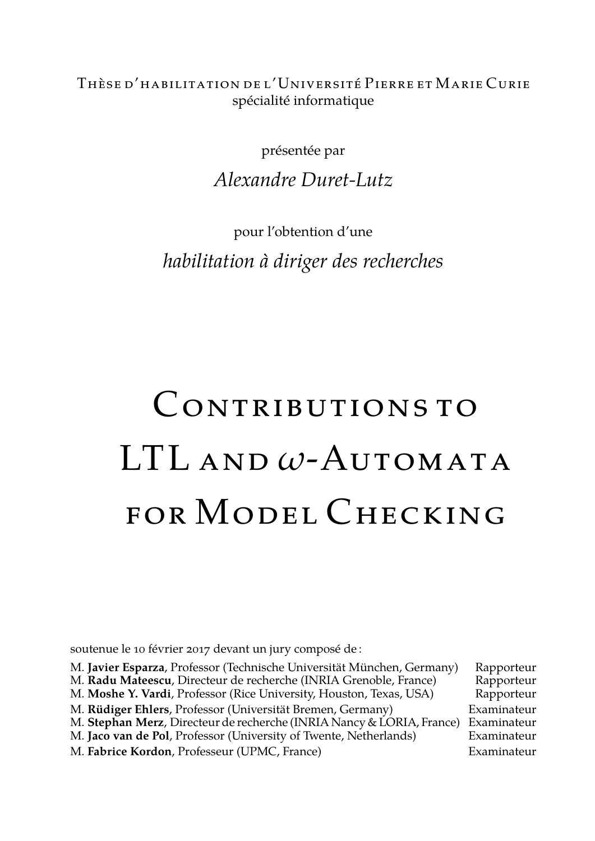Thèse d'habilitation de l'Université Pierre et Marie Curie spécialité informatique

présentée par

*Alexandre Duret-Lutz*

pour l'obtention d'une *habilitation à diriger des recherches*

# CONTRIBUTIONS TO LTL and *ω*-Automata FOR MODEL CHECKING

soutenue le 10 février 2017 devant un jury composé de :

| M. Javier Esparza, Professor (Technische Universität München, Germany) | Rapporteur  |
|------------------------------------------------------------------------|-------------|
| M. Radu Mateescu, Directeur de recherche (INRIA Grenoble, France)      | Rapporteur  |
| M. Moshe Y. Vardi, Professor (Rice University, Houston, Texas, USA)    | Rapporteur  |
| M. Rüdiger Ehlers, Professor (Universität Bremen, Germany)             | Examinateur |
| M. Stephan Merz, Directeur de recherche (INRIA Nancy & LORIA, France)  | Examinateur |
| M. Jaco van de Pol, Professor (University of Twente, Netherlands)      | Examinateur |
| M. Fabrice Kordon, Professeur (UPMC, France)                           | Examinateur |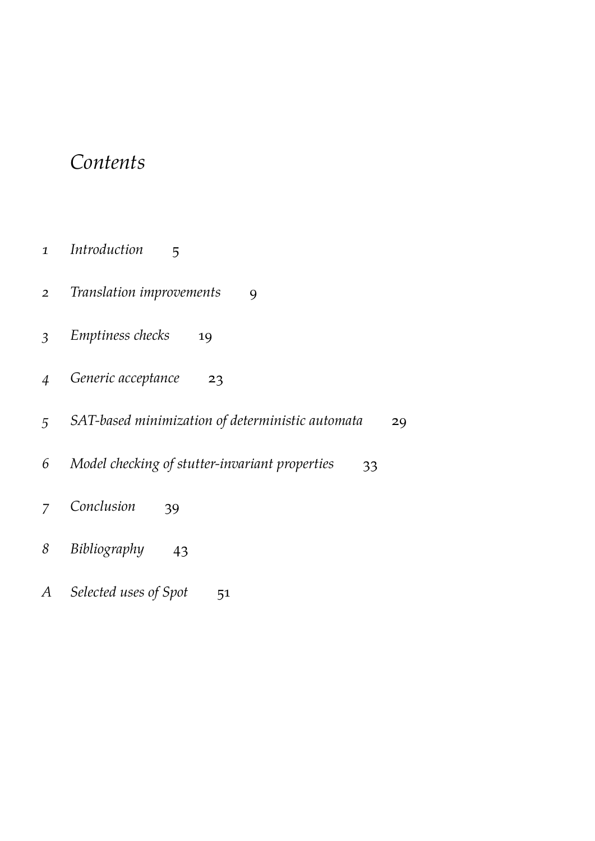### *Contents*

- *[Introduction](#page-4-0)* 5
- *[Translation improvements](#page-8-0)* 9
- *[Emptiness checks](#page-18-0)* 19
- *[Generic acceptance](#page-22-0)* 23
- *[SAT-based minimization of deterministic automata](#page-28-0)* 29
- *[Model checking of stutter-invariant properties](#page-32-0)* 33
- *[Conclusion](#page-38-0)* 39
- *[Bibliography](#page-42-0)* 43
- *A [Selected uses of Spot](#page-50-0)* 51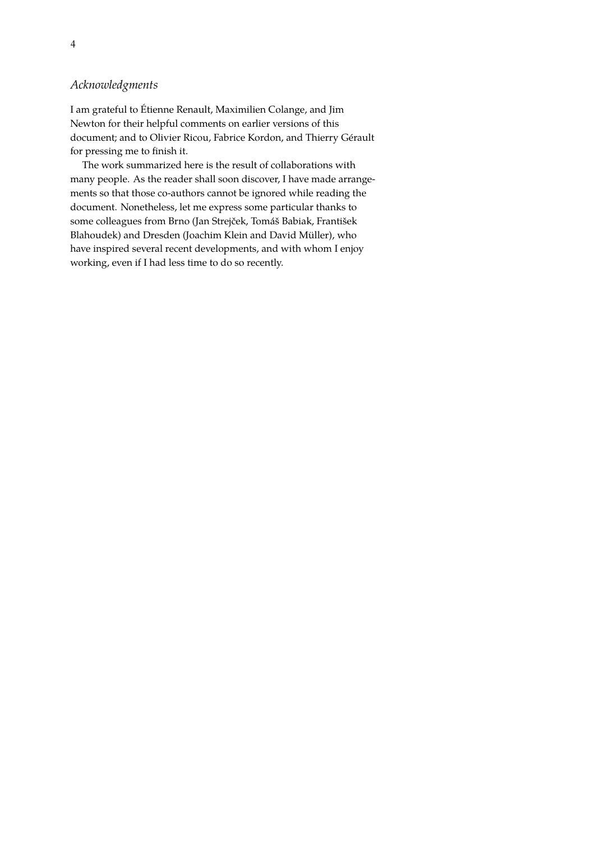#### *Acknowledgments*

I am grateful to Étienne Renault, Maximilien Colange, and Jim Newton for their helpful comments on earlier versions of this document; and to Olivier Ricou, Fabrice Kordon, and Thierry Gérault for pressing me to finish it.

The work summarized here is the result of collaborations with many people. As the reader shall soon discover, I have made arrangements so that those co-authors cannot be ignored while reading the document. Nonetheless, let me express some particular thanks to some colleagues from Brno (Jan Strejček, Tomáš Babiak, František Blahoudek) and Dresden (Joachim Klein and David Müller), who have inspired several recent developments, and with whom I enjoy working, even if I had less time to do so recently.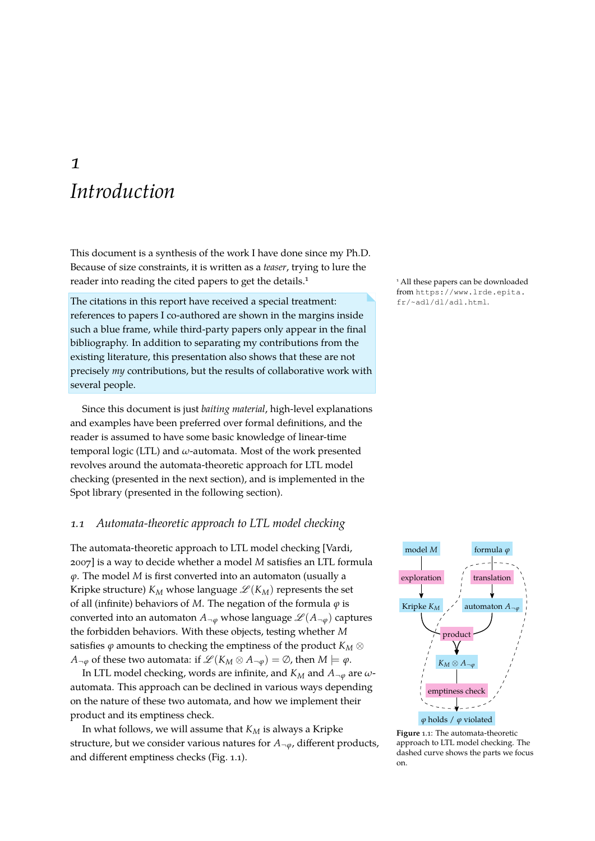### <span id="page-4-0"></span>*1 Introduction*

This document is a synthesis of the work I have done since my Ph.D. Because of size constraints, it is written as a *teaser*, trying to lure the reader into reading the cited papers to get the details.<sup>1</sup> 1 All these papers can be downloaded

The citations in this report have received a special treatment:  $f(r/\text{rad}/d1/\text{ad}1,\text{html})$ . references to papers I co-authored are shown in the margins inside such a blue frame, while third-party papers only appear in the final bibliography. In addition to separating my contributions from the existing literature, this presentation also shows that these are not precisely *my* contributions, but the results of collaborative work with several people.

Since this document is just *baiting material*, high-level explanations and examples have been preferred over formal definitions, and the reader is assumed to have some basic knowledge of linear-time temporal logic (LTL) and *ω*-automata. Most of the work presented revolves around the automata-theoretic approach for LTL model checking (presented in the next section), and is implemented in the Spot library (presented in the following section).

#### *1.1 Automata-theoretic approach to LTL model checking*

The automata-theoretic approach to LTL model checking [\[Vardi,](#page-49-0) [2007\]](#page-49-0) is a way to decide whether a model *M* satisfies an LTL formula *ϕ*. The model *M* is first converted into an automaton (usually a Kripke structure)  $K_M$  whose language  $\mathscr{L}(K_M)$  represents the set of all (infinite) behaviors of *M*. The negation of the formula *ϕ* is converted into an automaton  $A_{\neg\emptyset}$  whose language  $\mathscr{L}(A_{\neg\emptyset})$  captures the forbidden behaviors. With these objects, testing whether *M* satisfies  $\varphi$  amounts to checking the emptiness of the product  $K_M \otimes$ *A*<sub>¬ $\phi$ </sub> of these two automata: if  $\mathcal{L}(K_M \otimes A_{\neg \phi}) = \emptyset$ , then  $M \models \phi$ .

In LTL model checking, words are infinite, and  $K_M$  and  $A_{\neg\varphi}$  are  $\omega$ automata. This approach can be declined in various ways depending on the nature of these two automata, and how we implement their product and its emptiness check.

In what follows, we will assume that *K<sup>M</sup>* is always a Kripke structure, but we consider various natures for  $A_{\neg \varphi}$ , different products, and different emptiness checks (Fig. [1.1\)](#page-4-1).

from [https://www.lrde.epita.](https://www.lrde.epita.fr/~adl/dl/adl.html)



<span id="page-4-1"></span>**Figure** 1.1: The automata-theoretic approach to LTL model checking. The dashed curve shows the parts we focus on.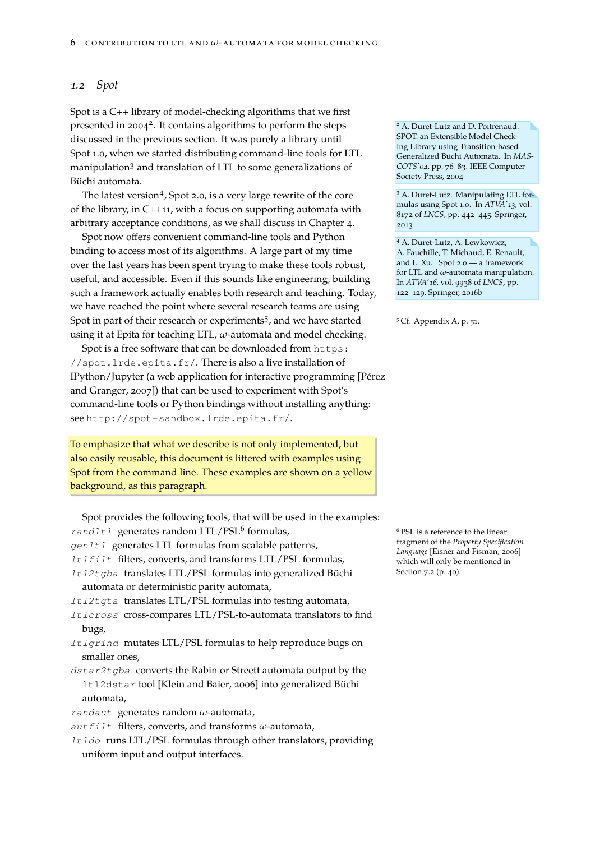#### *1.2 Spot*

Spot is a C++ library of model-checking algorithms that we first presented in 2004<sup>2</sup>. It contains algorithms to perform the steps <sup>2</sup> A. Duret-Lutz and D. Poitrenaud. discussed in the previous section. It was purely a library until Spot 1.0, when we started distributing command-line tools for LTL manipulation<sup>3</sup> and translation of LTL to some generalizations of Büchi automata.

The latest version<sup>4</sup>, Spot 2.0, is a very large rewrite of the core of the library, in C++11, with a focus on supporting automata with arbitrary acceptance conditions, as we shall discuss in Chapter [4.](#page-22-0)

Spot now offers convenient command-line tools and Python binding to access most of its algorithms. A large part of my time over the last years has been spent trying to make these tools robust, useful, and accessible. Even if this sounds like engineering, building such a framework actually enables both research and teaching. Today, we have reached the point where several research teams are using Spot in part of their research or experiments<sup>5</sup>, and we have started <sup>5</sup> Cf. Appendix [A,](#page-50-0) p. [51.](#page-50-0) using it at Epita for teaching LTL, *ω*-automata and model checking.

Spot is a free software that can be downloaded from [https:](https://spot.lrde.epita.fr/) [//spot.lrde.epita.fr/](https://spot.lrde.epita.fr/). There is also a live installation of IPython/Jupyter (a web application for interactive programming [\[Pér](#page-47-0)ez [and Granger, 2007\]](#page-47-0)) that can be used to experiment with Spot's command-line tools or Python bindings without installing anything: see <http://spot-sandbox.lrde.epita.fr/>.

To emphasize that what we describe is not only implemented, but also easily reusable, this document is littered with examples using Spot from the command line. These examples are shown on a yellow background, as this paragraph.

| Spot provides the following tools, that will be used in the examples: |
|-----------------------------------------------------------------------|
| rand1t1 generates random LTL/PSL <sup>6</sup> formulas,               |
| gen1t1 generates LTL formulas from scalable patterns,                 |
| <i>ltlfilt</i> filters, converts, and transforms LTL/PSL formulas,    |
| 1t12tgba translates LTL/PSL formulas into generalized Büchi           |
| automata or deterministic parity automata,                            |
| It12tgta translates LTL/PSL formulas into testing automata,           |
| Itlcross cross-compares LTL/PSL-to-automata translators to find       |
| bugs,                                                                 |
| It lgrind mutates LTL/PSL formulas to help reproduce bugs on          |
| smaller ones,                                                         |
| dstar2tgba converts the Rabin or Streett automata output by the       |
| 1t12dstar tool [Klein and Baier, 2006] into generalized Büchi         |
| automata,                                                             |
| randaut generates random $\omega$ -automata,                          |
| $autfill$ filters, converts, and transforms $\omega$ -automata,       |
| It Ido runs LTL/PSL formulas through other translators, providing     |

uniform input and output interfaces.

SPOT: an Extensible Model Checking Library using Transition-based Generalized Büchi Automata. In *MAS-COTS'04*, pp. 76–83. IEEE Computer Society Press, 2004

<sup>3</sup> A. Duret-Lutz. Manipulating LTL formulas using Spot 1.0. In *ATVA'13*, vol. 8172 of *LNCS*, pp. 442–445. Springer, 2013

<sup>4</sup> A. Duret-Lutz, A. Lewkowicz, A. Fauchille, T. Michaud, E. Renault, and L. Xu. Spot 2.0 — a framework for LTL and *ω*-automata manipulation. In *ATVA'16*, vol. 9938 of *LNCS*, pp. 122–129. Springer, 2016b

 $6$  PSL is a reference to the linear fragment of the *Property Specification Language* [\[Eisner and Fisman, 2006\]](#page-45-0) which will only be mentioned in Section [7.2](#page-39-0) (p. [40\)](#page-39-0).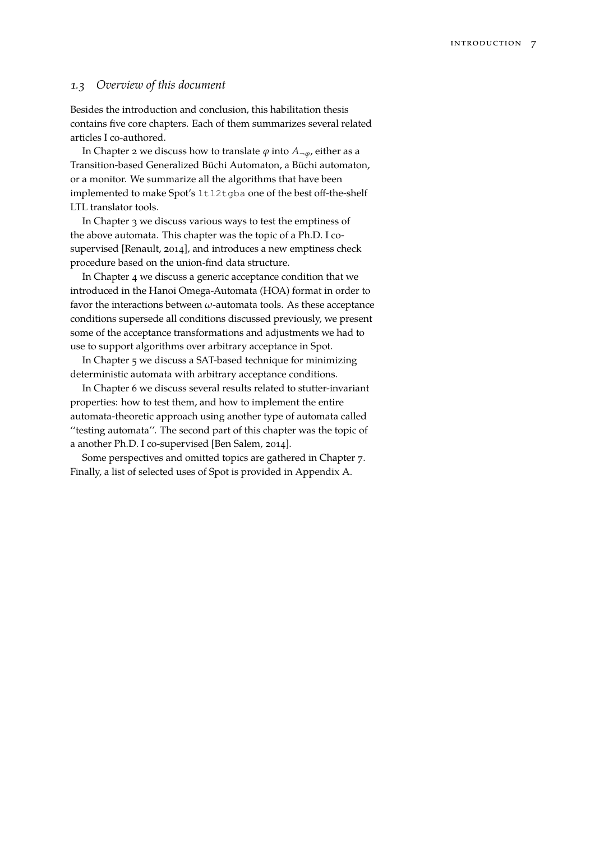#### *1.3 Overview of this document*

Besides the introduction and conclusion, this habilitation thesis contains five core chapters. Each of them summarizes several related articles I co-authored.

In Chapter [2](#page-8-0) we discuss how to translate  $\varphi$  into  $A_{\neg \varphi}$ , either as a Transition-based Generalized Büchi Automaton, a Büchi automaton, or a monitor. We summarize all the algorithms that have been implemented to make Spot's ltl2tgba one of the best off-the-shelf LTL translator tools.

In Chapter [3](#page-18-0) we discuss various ways to test the emptiness of the above automata. This chapter was the topic of a Ph.D. I cosupervised [\[Renault, 2014\]](#page-47-1), and introduces a new emptiness check procedure based on the union-find data structure.

In Chapter [4](#page-22-0) we discuss a generic acceptance condition that we introduced in the Hanoi Omega-Automata (HOA) format in order to favor the interactions between *ω*-automata tools. As these acceptance conditions supersede all conditions discussed previously, we present some of the acceptance transformations and adjustments we had to use to support algorithms over arbitrary acceptance in Spot.

In Chapter [5](#page-28-0) we discuss a SAT-based technique for minimizing deterministic automata with arbitrary acceptance conditions.

In Chapter [6](#page-32-0) we discuss several results related to stutter-invariant properties: how to test them, and how to implement the entire automata-theoretic approach using another type of automata called ''testing automata''. The second part of this chapter was the topic of a another Ph.D. I co-supervised [\[Ben Salem, 2014\]](#page-43-0).

Some perspectives and omitted topics are gathered in Chapter [7.](#page-38-0) Finally, a list of selected uses of Spot is provided in Appendix [A.](#page-50-0)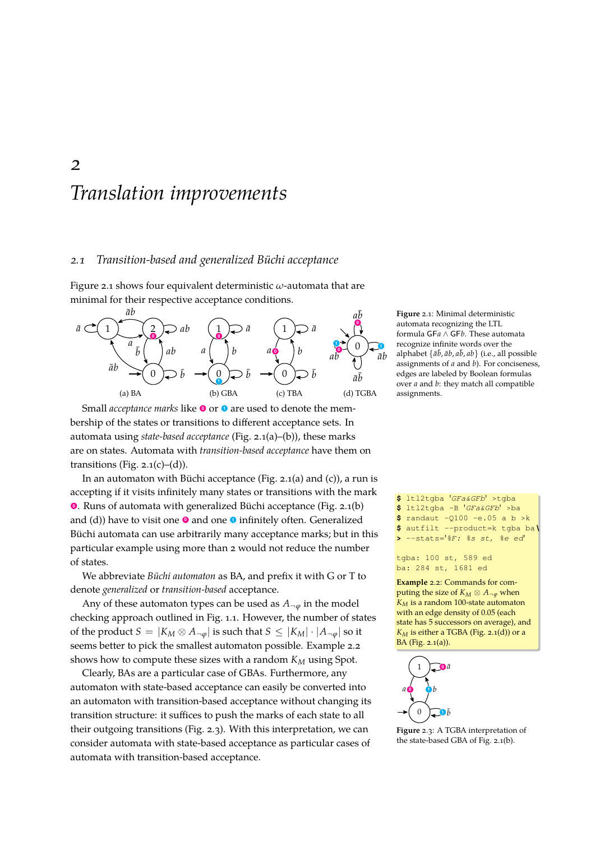## <span id="page-8-0"></span>*Translation improvements*

#### *2.1 Transition-based and generalized Büchi acceptance*

Figure [2.1](#page-8-1) shows four equivalent deterministic *ω*-automata that are minimal for their respective acceptance conditions.

<span id="page-8-2"></span>

<span id="page-8-3"></span>Small *acceptance marks* like **<sup>0</sup>** or **<sup>1</sup>** are used to denote the membership of the states or transitions to different acceptance sets. In automata using *state-based acceptance* (Fig. [2.1\(a\)–](#page-8-2)[\(b\)\)](#page-8-3), these marks are on states. Automata with *transition-based acceptance* have them on transitions (Fig.  $2.1(c)$ –[\(d\)\)](#page-8-5).

In an automaton with Büchi acceptance (Fig. [2.1\(a\)](#page-8-2) and [\(c\)\)](#page-8-4), a run is accepting if it visits infinitely many states or transitions with the mark **0** . Runs of automata with generalized Büchi acceptance (Fig. [2.1\(b\)](#page-8-3) and [\(d\)\)](#page-8-5) have to visit one **0** and one **0** infinitely often. Generalized Büchi automata can use arbitrarily many acceptance marks; but in this particular example using more than 2 would not reduce the number of states.

We abbreviate *Büchi automaton* as BA, and prefix it with G or T to denote *generalized* or *transition-based* acceptance.

Any of these automaton types can be used as  $A_{\neg \varphi}$  in the model checking approach outlined in Fig. [1.1.](#page-4-1) However, the number of states of the product  $S = |K_M \otimes A_{\neg \varphi}|$  is such that  $S \leq |K_M| \cdot |A_{\neg \varphi}|$  so it seems better to pick the smallest automaton possible. Example [2.2](#page-8-6) shows how to compute these sizes with a random *K<sup>M</sup>* using Spot.

Clearly, BAs are a particular case of GBAs. Furthermore, any automaton with state-based acceptance can easily be converted into an automaton with transition-based acceptance without changing its transition structure: it suffices to push the marks of each state to all their outgoing transitions (Fig. [2.3\)](#page-8-7). With this interpretation, we can consider automata with state-based acceptance as particular cases of automata with transition-based acceptance.

<span id="page-8-5"></span><span id="page-8-4"></span><span id="page-8-1"></span>**Figure** 2.1: Minimal deterministic automata recognizing the LTL formula GF*a* ∧ GF*b*. These automata recognize infinite words over the alphabet  $\{\bar{a}\bar{b}, \bar{a}b, a\bar{b}, ab\}$  (i.e., all possible assignments of *a* and *b*). For conciseness, edges are labeled by Boolean formulas over *a* and *b*: they match all compatible assignments.

**\$** ltl2tgba '*GFa&GFb*' >tgba **\$** ltl2tgba -B '*GFa&GFb*' >ba **\$** randaut -Q100 -e.05 a b >k **\$** autfilt --product=k tgba ba*\* **>** --stats='*%F: %s st, %e ed*'

tgba: 100 st, 589 ed ba: 284 st, 1681 ed

<span id="page-8-6"></span>**Example** 2.2: Commands for computing the size of  $K_M \otimes A_{\neg \varphi}$  when *K<sup>M</sup>* is a random 100-state automaton with an edge density of 0.05 (each state has 5 successors on average), and  $K_M$  is either a TGBA (Fig. [2.1\(d\)\)](#page-8-5) or a BA (Fig. [2.1\(a\)\)](#page-8-2).



<span id="page-8-7"></span>**Figure** 2.3: A TGBA interpretation of the state-based GBA of Fig. [2.1\(b\).](#page-8-3)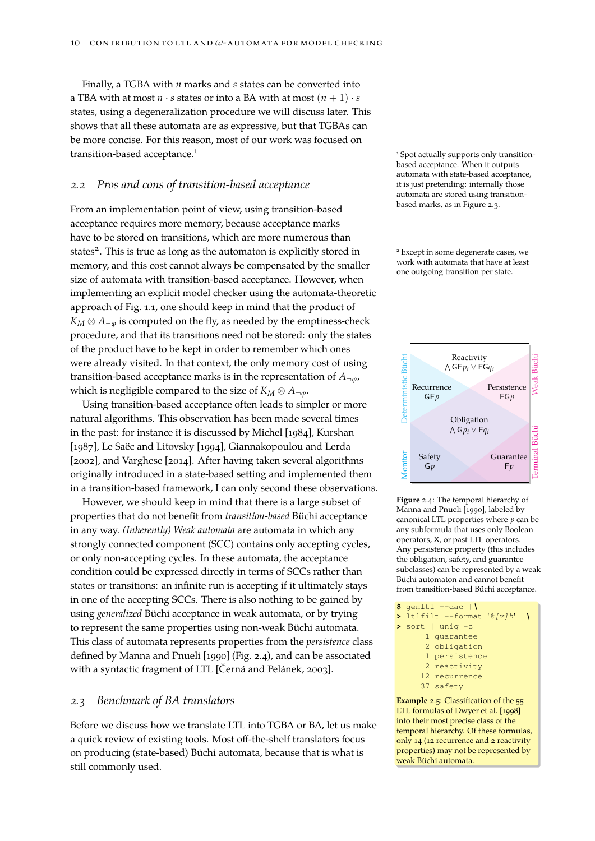Finally, a TGBA with *n* marks and *s* states can be converted into a TBA with at most  $n \cdot s$  states or into a BA with at most  $(n + 1) \cdot s$ states, using a degeneralization procedure we will discuss later. This shows that all these automata are as expressive, but that TGBAs can be more concise. For this reason, most of our work was focused on transition-based acceptance.<sup>1</sup> 1 Spot actually supports only transition-

#### *2.2 Pros and cons of transition-based acceptance*

From an implementation point of view, using transition-based acceptance requires more memory, because acceptance marks have to be stored on transitions, which are more numerous than states<sup>2</sup>. This is true as long as the automaton is explicitly stored in <sup>2</sup> Except in some degenerate cases, we memory, and this cost cannot always be compensated by the smaller size of automata with transition-based acceptance. However, when implementing an explicit model checker using the automata-theoretic approach of Fig. [1.1,](#page-4-1) one should keep in mind that the product of  $K_M \otimes A_{\neg \varphi}$  is computed on the fly, as needed by the emptiness-check procedure, and that its transitions need not be stored: only the states of the product have to be kept in order to remember which ones were already visited. In that context, the only memory cost of using transition-based acceptance marks is in the representation of  $A_{\neg \varphi}$ , which is negligible compared to the size of  $K_M \otimes A_{\neg \varphi}$ .

Using transition-based acceptance often leads to simpler or more natural algorithms. This observation has been made several times in the past: for instance it is discussed by [Michel \[1984\]](#page-47-2), [Kurshan](#page-46-1) [\[1987\]](#page-46-1), [Le Saëc and Litovsky \[1994\]](#page-46-2), [Giannakopoulou and Lerda](#page-46-3) [\[2002\]](#page-46-3), and [Varghese \[2014\]](#page-49-1). After having taken several algorithms originally introduced in a state-based setting and implemented them in a transition-based framework, I can only second these observations.

However, we should keep in mind that there is a large subset of properties that do not benefit from *transition-based* Büchi acceptance in any way. *(Inherently) Weak automata* are automata in which any strongly connected component (SCC) contains only accepting cycles, or only non-accepting cycles. In these automata, the acceptance condition could be expressed directly in terms of SCCs rather than states or transitions: an infinite run is accepting if it ultimately stays in one of the accepting SCCs. There is also nothing to be gained by using *generalized* Büchi acceptance in weak automata, or by trying to represent the same properties using non-weak Büchi automata. This class of automata represents properties from the *persistence* class defined by [Manna and Pnueli \[1990\]](#page-47-3) (Fig. [2.4\)](#page-9-0), and can be associated with a syntactic fragment of LTL [\[Černá and Pelánek, 2003\]](#page-43-1).

#### *2.3 Benchmark of BA translators*

Before we discuss how we translate LTL into TGBA or BA, let us make a quick review of existing tools. Most off-the-shelf translators focus on producing (state-based) Büchi automata, because that is what is still commonly used.

based acceptance. When it outputs automata with state-based acceptance, it is just pretending: internally those automata are stored using transitionbased marks, as in Figure [2.3.](#page-8-7)

work with automata that have at least one outgoing transition per state.



<span id="page-9-0"></span>**Figure** 2.4: The temporal hierarchy of [Manna and Pnueli \[1990\]](#page-47-3), labeled by canonical LTL properties where *p* can be any subformula that uses only Boolean operators, X, or past LTL operators. Any persistence property (this includes the obligation, safety, and guarantee subclasses) can be represented by a weak Büchi automaton and cannot benefit from transition-based Büchi acceptance.

```
$ genltl --dac |\
 > ltlfilt --format='%[v]h' |\
> sort | uniq -c
      1 guarantee
      2 obligation
      1 persistence
```

```
2 reactivity
```

```
12 recurrence
```
37 safety

**Example** 2.5: Classification of the 55 LTL formulasof [Dwyer et al. \[1998\]](#page-45-1) into their most precise class of the temporal hierarchy. Of these formulas, only 14 (12 recurrence and 2 reactivity properties) may not be represented by weak Büchi automata.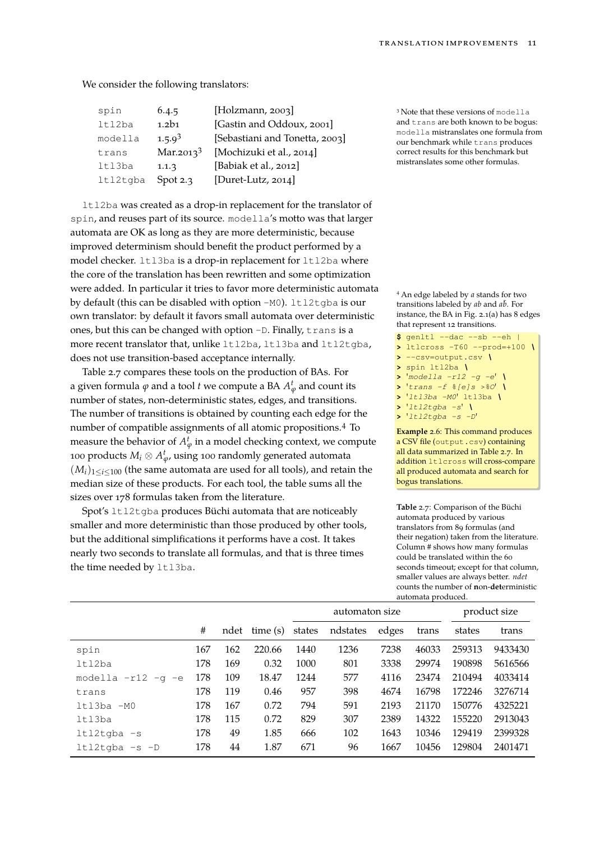We consider the following translators:

| spin     | 6.4.5        | [Holzmann, 2003]               |
|----------|--------------|--------------------------------|
| lt12ba   | 1.2b1        | [Gastin and Oddoux, 2001]      |
| modella  | $1.5.9^{3}$  | [Sebastiani and Tonetta, 2003] |
| trans    | Mar.2013 $3$ | [Mochizuki et al., 2014]       |
| ltl3ba   | 1.1.3        | [Babiak et al., 2012]          |
| ltl2tgba | Spot $2.3$   | [Duret-Lutz, 2014]             |

ltl2ba was created as a drop-in replacement for the translator of spin, and reuses part of its source. modella's motto was that larger automata are OK as long as they are more deterministic, because improved determinism should benefit the product performed by a model checker. 1t13ba is a drop-in replacement for 1t12ba where the core of the translation has been rewritten and some optimization were added. In particular it tries to favor more deterministic automata by default (this can be disabled with option  $-M0$ ). ltl2tgba is our own translator: by default it favors small automata over deterministic ones, but this can be changed with option -D. Finally, trans is a more recent translator that, unlike ltl2ba, ltl3ba and ltl2tqba, does not use transition-based acceptance internally.

Table [2.7](#page-10-0) compares these tools on the production of BAs. For a given formula  $\varphi$  and a tool  $t$  we compute a BA  $A_\varphi^t$  and count its number of states, non-deterministic states, edges, and transitions. The number of transitions is obtained by counting each edge for the number of compatible assignments of all atomic propositions.<sup>4</sup> To measure the behavior of  $A_\varphi^t$  in a model checking context, we compute 100 products  $M_i\otimes A_{\varphi}^t$ , using 100 randomly generated automata  $(M_i)_{1 \leq i \leq 100}$  (the same automata are used for all tools), and retain the median size of these products. For each tool, the table sums all the sizes over 178 formulas taken from the literature.

Spot's ltl2tgba produces Büchi automata that are noticeably smaller and more deterministic than those produced by other tools, but the additional simplifications it performs have a cost. It takes nearly two seconds to translate all formulas, and that is three times the time needed by 1t13ba.

<sup>3</sup> Note that these versions of modella and trans are both known to be bogus: modella mistranslates one formula from our benchmark while trans produces correct results for this benchmark but mistranslates some other formulas.

<sup>4</sup> An edge labeled by *a* stands for two transitions labeled by *ab* and  $a\bar{b}$ . For instance, the BA in Fig. [2.1\(a\)](#page-8-2) has 8 edges that represent 12 transitions.

```
$ genltl --dac --sb --eh |
> ltlcross -T60 --prod=+100 \
> --csv=output.csv \
> spin ltl2ba \
> 'modella -r12 -g -e' \
> 'trans -f %[e]s >%O' \
> 'ltl3ba -M0' ltl3ba \
> 'ltl2tgba -s' \
> 'ltl2tgba -s -D'
```
**Example** 2.6: This command produces a CSV file (output.csv) containing all data summarized in Table [2.7.](#page-10-0) In addition ltlcross will cross-compare all produced automata and search for bogus translations.

<span id="page-10-0"></span>**Table** 2.7: Comparison of the Büchi automata produced by various translators from 89 formulas (and their negation) taken from the literature. Column # shows how many formulas could be translated within the 60 seconds timeout; except for that column, smaller values are always better. *ndet* counts the number of **n**on-**det**erministic automata produced.

|                           |     |      |         |                | aatomata proaacca: |       |       |              |         |  |  |
|---------------------------|-----|------|---------|----------------|--------------------|-------|-------|--------------|---------|--|--|
|                           |     |      |         | automaton size |                    |       |       | product size |         |  |  |
|                           | #   | ndet | time(s) | states         | ndstates           | edges | trans | states       | trans   |  |  |
| spin                      | 167 | 162  | 220.66  | 1440           | 1236               | 7238  | 46033 | 259313       | 9433430 |  |  |
| ltl2ba                    | 178 | 169  | 0.32    | 1000           | 801                | 3338  | 29974 | 190898       | 5616566 |  |  |
| modella -r12<br>$-a$ $-e$ | 178 | 109  | 18.47   | 1244           | 577                | 4116  | 23474 | 210494       | 4033414 |  |  |
| trans                     | 178 | 119  | 0.46    | 957            | 398                | 4674  | 16798 | 172246       | 3276714 |  |  |
| $ltl3ba -MO$              | 178 | 167  | 0.72    | 794            | 591                | 2193  | 21170 | 150776       | 4325221 |  |  |
| ltl3ba                    | 178 | 115  | 0.72    | 829            | 307                | 2389  | 14322 | 155220       | 2913043 |  |  |
| $ltl2tagba -s$            | 178 | 49   | 1.85    | 666            | 102                | 1643  | 10346 | 129419       | 2399328 |  |  |
| $ltl2tagba -s -D$         | 178 | 44   | 1.87    | 671            | 96                 | 1667  | 10456 | 129804       | 2401471 |  |  |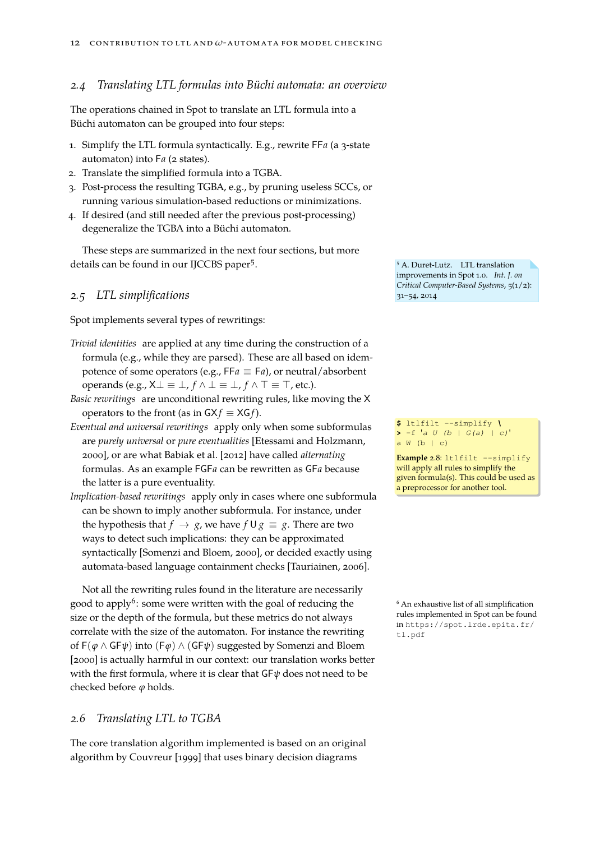#### *2.4 Translating LTL formulas into Büchi automata: an overview*

The operations chained in Spot to translate an LTL formula into a Büchi automaton can be grouped into four steps:

- 1. Simplify the LTL formula syntactically. E.g., rewrite FF*a* (a 3-state automaton) into F<sub>a</sub> (2 states).
- 2. Translate the simplified formula into a TGBA.
- 3. Post-process the resulting TGBA, e.g., by pruning useless SCCs, or running various simulation-based reductions or minimizations.
- 4. If desired (and still needed after the previous post-processing) degeneralize the TGBA into a Büchi automaton.

These steps are summarized in the next four sections, but more details can be found in our IJCCBS paper<sup>5</sup>.

#### *2.5 LTL simplifications* 31–54, 2014

Spot implements several types of rewritings:

*Trivial identities* are applied at any time during the construction of a formula (e.g., while they are parsed). These are all based on idempotence of some operators (e.g., FF $a \equiv Fa$ ), or neutral/absorbent operands (e.g.,  $X \perp \equiv \perp$ ,  $f \wedge \perp \equiv \perp$ ,  $f \wedge \top \equiv \top$ , etc.).

*Basic rewritings* are unconditional rewriting rules, like moving the X operators to the front (as in  $GXf \equiv XGf$ ).

- *Eventual and universal rewritings* apply only when some subformulas are *purely universal* or *pure eventualities* [\[Etessami and Holzmann,](#page-45-3) [2000\]](#page-45-3), or are what [Babiak et al. \[2012\]](#page-42-1) have called *alternating* formulas. As an example FGF*a* can be rewritten as GF*a* because the latter is a pure eventuality.
- *Implication-based rewritings* apply only in cases where one subformula can be shown to imply another subformula. For instance, under the hypothesis that  $f \rightarrow g$ , we have  $f \cup g \equiv g$ . There are two ways to detect such implications: they can be approximated syntactically [\[Somenzi and Bloem, 2000\]](#page-48-1), or decided exactly using automata-based language containment checks [\[Tauriainen, 2006\]](#page-48-2).

Not all the rewriting rules found in the literature are necessarily good to apply<sup>6</sup>: some were written with the goal of reducing the  $\overline{6}$  An exhaustive list of all simplification size or the depth of the formula, but these metrics do not always correlate with the size of the automaton. For instance the rewriting of F(*ϕ* ∧ GF*ψ*) into (F*ϕ*) ∧ (GF*ψ*) suggested by [Somenzi and Bloem](#page-48-1) [\[2000\]](#page-48-1) is actually harmful in our context: our translation works better with the first formula, where it is clear that GF*ψ* does not need to be checked before *ϕ* holds.

#### *2.6 Translating LTL to TGBA*

The core translation algorithm implemented is based on an original algorithm by [Couvreur \[1999\]](#page-44-0) that uses binary decision diagrams

<span id="page-11-0"></span><sup>5</sup> A. Duret-Lutz. LTL translation improvements in Spot 1.0. *Int. J. on Critical Computer-Based Systems*, 5(1/2):

**\$** ltlfilt --simplify *\* **>** -f '*a U (b | G(a) | c)*'  $a \ W (b \mid c)$ 

**Example 2.8: ltlfilt --simplify** will apply all rules to simplify the given formula(s). This could be used as a preprocessor for another tool.

rules implemented in Spot can be found in [https://spot.lrde.epita.fr/](https://spot.lrde.epita.fr/tl.pdf) [tl.pdf](https://spot.lrde.epita.fr/tl.pdf)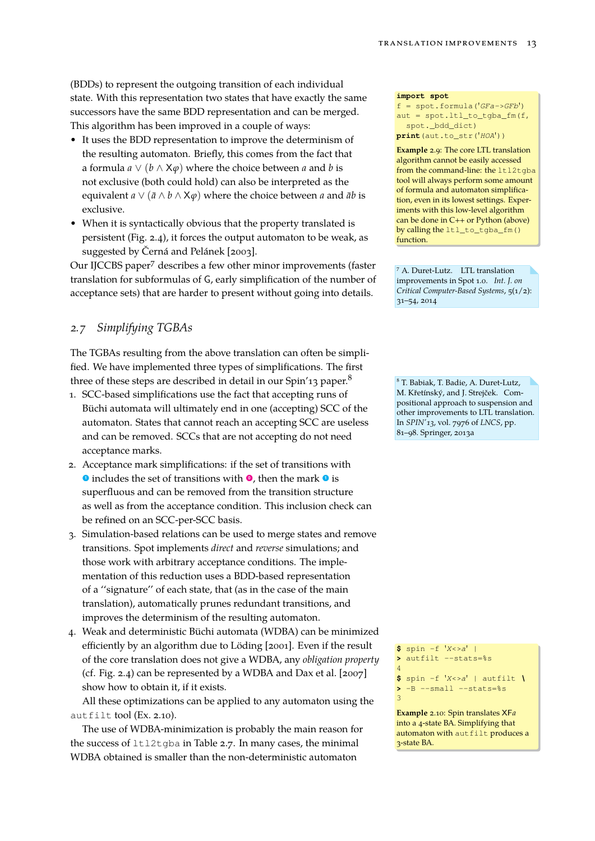(BDDs) to represent the outgoing transition of each individual state. With this representation two states that have exactly the same successors have the same BDD representation and can be merged. This algorithm has been improved in a couple of ways:

- It uses the BDD representation to improve the determinism of the resulting automaton. Briefly, this comes from the fact that a formula  $a \vee (b \wedge \mathsf{X}\varphi)$  where the choice between *a* and *b* is not exclusive (both could hold) can also be interpreted as the equivalent  $a \vee (\bar{a} \wedge b \wedge \mathsf{X}\varphi)$  where the choice between *a* and  $\bar{a}b$  is exclusive.
- When it is syntactically obvious that the property translated is persistent (Fig. [2.4\)](#page-9-0), it forces the output automaton to be weak, as suggested by [Černá and Pelánek \[2003\]](#page-43-1).

Our IJCCBS paper<sup>7</sup> describes a few other minor improvements (faster 7 A. Duret-Lutz. LTL translation translation for subformulas of G, early simplification of the number of acceptance sets) that are harder to present without going into details.

#### *2.7 Simplifying TGBAs*

The TGBAs resulting from the above translation can often be simplified. We have implemented three types of simplifications. The first three of these steps are described in detail in our Spin'13 paper.<sup>8</sup> 8 T. Babiak, T. Badie, A. Duret-Lutz,

- 1. SCC-based simplifications use the fact that accepting runs of Büchi automata will ultimately end in one (accepting) SCC of the automaton. States that cannot reach an accepting SCC are useless and can be removed. SCCs that are not accepting do not need acceptance marks.
- 2. Acceptance mark simplifications: if the set of transitions with **<sup>1</sup>** includes the set of transitions with **<sup>0</sup>** , then the mark **<sup>1</sup>** is superfluous and can be removed from the transition structure as well as from the acceptance condition. This inclusion check can be refined on an SCC-per-SCC basis.
- 3. Simulation-based relations can be used to merge states and remove transitions. Spot implements *direct* and *reverse* simulations; and those work with arbitrary acceptance conditions. The implementation of this reduction uses a BDD-based representation of a ''signature'' of each state, that (as in the case of the main translation), automatically prunes redundant transitions, and improves the determinism of the resulting automaton.
- <span id="page-12-1"></span>4. Weak and deterministic Büchi automata (WDBA) can be minimized efficiently by an algorithm due to [Löding \[2001\]](#page-47-5). Even if the result of the core translation does not give a WDBA, any *obligation property* (cf. Fig. [2.4\)](#page-9-0) can be represented by a WDBA and [Dax et al. \[2007\]](#page-44-1) show how to obtain it, if it exists.

All these optimizations can be applied to any automaton using the autfilt tool (Ex. [2.10\)](#page-12-0).

The use of WDBA-minimization is probably the main reason for the success of ltl2tgba in Table [2.7.](#page-10-0) In many cases, the minimal WDBA obtained is smaller than the non-deterministic automaton

**import spot**

f = spot.formula('*GFa->GFb*')  $aut = spot.ltl_to_tqba_fm(f,$ spot.\_bdd\_dict) **print**(aut.to\_str('*HOA*'))

**Example** 2.9: The core LTL translation algorithm cannot be easily accessed from the command-line: the ltl2tgba tool will always perform some amount of formula and automaton simplification, even in its lowest settings. Experiments with this low-level algorithm can be done in C++ or Python (above) by calling the ltl\_to\_tgba\_fm() function.

improvements in Spot 1.0. *Int. J. on Critical Computer-Based Systems*, 5(1/2): 31–54, 2014

M. Křetínský, and J. Strejček. Compositional approach to suspension and other improvements to LTL translation. In *SPIN'13*, vol. 7976 of *LNCS*, pp. 81–98. Springer, 2013a

**\$** spin -f '*X<>a*' | **>** autfilt --stats=%s

4 **\$** spin -f '*X<>a*' | autfilt *\* >  $-B$  --small --stats=%s 3

<span id="page-12-0"></span>**Example** 2.10: Spin translates XF*a* into a 4-state BA. Simplifying that automaton with autfilt produces a 3-state BA.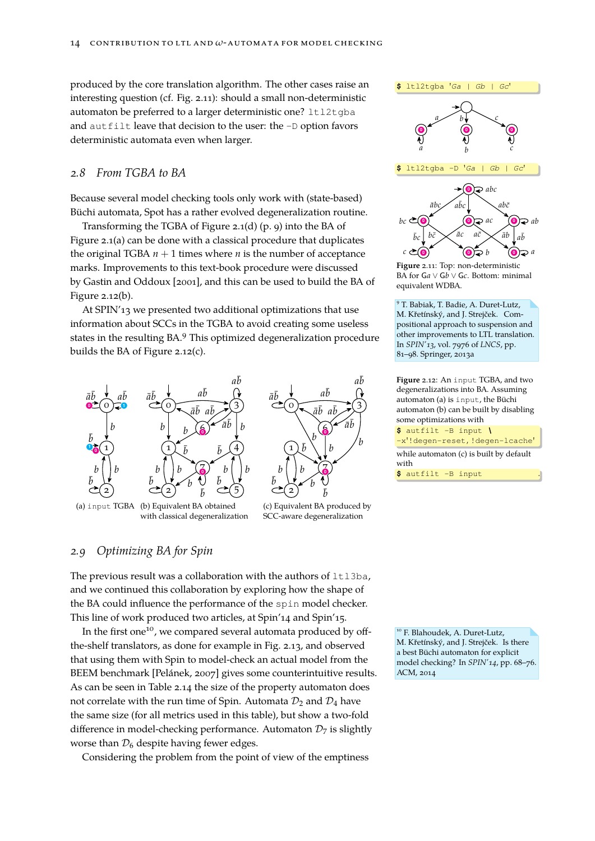produced by the core translation algorithm. The other cases raise an interesting question (cf. Fig. [2.11\)](#page-13-0): should a small non-deterministic automaton be preferred to a larger deterministic one? ltl2tgba and autfilt leave that decision to the user: the -D option favors deterministic automata even when larger.

#### *2.8 From TGBA to BA*

Because several model checking tools only work with (state-based) Büchi automata, Spot has a rather evolved degeneralization routine.

Transforming the TGBA of Figure [2.1\(d\)](#page-8-5) (p. [9\)](#page-8-1) into the BA of Figure [2.1\(a\)](#page-8-2) can be done with a classical procedure that duplicates the original TGBA  $n + 1$  times where  $n$  is the number of acceptance marks. Improvements to this text-book procedure were discussed by [Gastin and Oddoux \[2001\]](#page-45-2), and this can be used to build the BA of Figure [2.12\(b\).](#page-13-1)

At SPIN'13 we presented two additional optimizations that use information about SCCs in the TGBA to avoid creating some useless states in the resulting BA.<sup>9</sup> This optimized degeneralization procedure builds the BA of Figure [2.12\(c\).](#page-13-2)  $81-98.$  Springer, 2013a



<span id="page-13-1"></span>(a) input TGBA (b) Equivalent BA obtained with classical degeneralization

<span id="page-13-2"></span>

(c) Equivalent BA produced by SCC-aware degeneralization

#### <span id="page-13-3"></span>*2.9 Optimizing BA for Spin*

The previous result was a collaboration with the authors of  $ltllsba$ , and we continued this collaboration by exploring how the shape of the BA could influence the performance of the spin model checker. This line of work produced two articles, at Spin'14 and Spin'15.

In the first one<sup>10</sup>, we compared several automata produced by off-<br><sup>10</sup> F. Blahoudek, A. Duret-Lutz, the-shelf translators, as done for example in Fig. [2.13,](#page-14-0) and observed that using them with Spin to model-check an actual model from the BEEM benchmark [\[Pelánek, 2007\]](#page-47-6) gives some counterintuitive results. As can be seen in Table [2.14](#page-14-1) the size of the property automaton does not correlate with the run time of Spin. Automata  $\mathcal{D}_2$  and  $\mathcal{D}_4$  have the same size (for all metrics used in this table), but show a two-fold difference in model-checking performance. Automaton  $\mathcal{D}_7$  is slightly worse than  $\mathcal{D}_6$  despite having fewer edges.

Considering the problem from the point of view of the emptiness





<span id="page-13-0"></span>**Figure** 2.11: Top: non-deterministic BA for G*a* ∨ G*b* ∨ G*c*. Bottom: minimal equivalent WDBA.

<sup>9</sup> T. Babiak, T. Badie, A. Duret-Lutz, M. Křetínský, and J. Strejček. Compositional approach to suspension and other improvements to LTL translation. In *SPIN'13*, vol. 7976 of *LNCS*, pp.

**Figure** 2.12: An input TGBA, and two degeneralizations into BA. Assuming automaton (a) is input, the Büchi automaton (b) can be built by disabling some optimizations with **\$** autfilt -B input *\* -x'!degen-reset, !degen-lcache' while automaton (c) is built by default with **\$** autfilt -B input .

M. Křetínský, and J. Strejček. Is there a best Büchi automaton for explicit model checking? In *SPIN'14*, pp. 68–76. ACM, 2014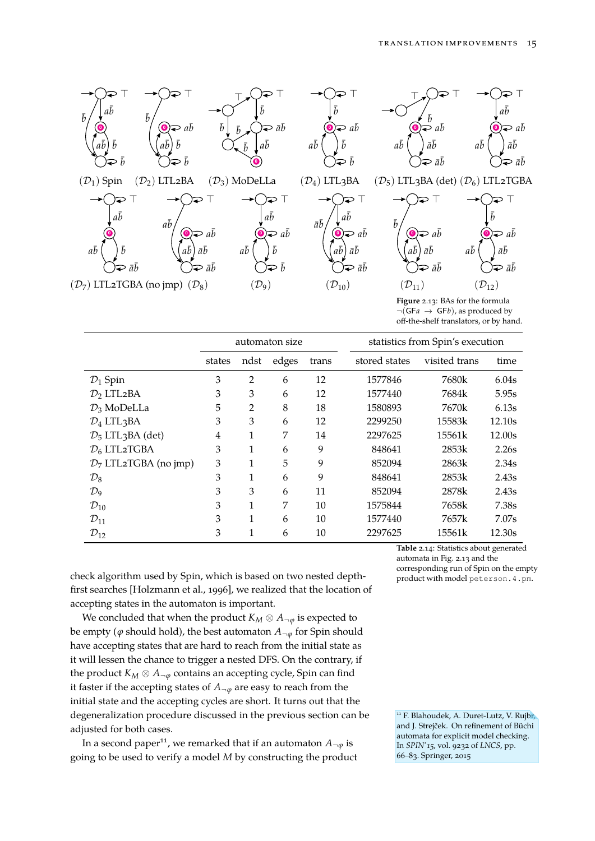

<span id="page-14-0"></span> $\neg(GFa \rightarrow GFb)$ , as produced by off-the-shelf translators, or by hand.

|                                           |        |                | automaton size |       | statistics from Spin's execution |               |        |  |  |
|-------------------------------------------|--------|----------------|----------------|-------|----------------------------------|---------------|--------|--|--|
|                                           | states | ndst           | edges          | trans | stored states                    | visited trans |        |  |  |
| $\mathcal{D}_1$ Spin                      | 3      | $\overline{2}$ | 6              | 12    | 1577846                          | 7680k         | 6.04s  |  |  |
| $\mathcal{D}_2$ LTL <sub>2</sub> BA       | 3      | 3              | 6              | 12    | 1577440                          | 7684k         | 5.95s  |  |  |
| $\mathcal{D}_3$ MoDeLLa                   | 5      | 2              | 8              | 18    | 1580893                          | 7670k         | 6.13s  |  |  |
| $\mathcal{D}_4$ LTL3BA                    | 3      | 3              | 6              | 12    | 2299250                          | 15583k        | 12.10s |  |  |
| $\mathcal{D}_5$ LTL <sub>3</sub> BA (det) | 4      | 1              | 7              | 14    | 2297625                          | 15561k        | 12.00s |  |  |
| $\mathcal{D}_6$ LTL2TGBA                  | 3      | 1              | 6              | 9     | 848641                           | 2853k         | 2.26s  |  |  |
| $D_7$ LTL2TGBA (no jmp)                   | 3      | 1              | 5              | 9     | 852094                           | 2863k         | 2.34s  |  |  |
| $\mathcal{D}_8$                           | 3      | 1              | 6              | 9     | 848641                           | 2853k         | 2.43s  |  |  |
| $\mathcal{D}_9$                           | 3      | 3              | 6              | 11    | 852094                           | 2878k         | 2.43s  |  |  |
| $\mathcal{D}_{10}$                        | 3      | 1              | 7              | 10    | 1575844                          | 7658k         | 7.38s  |  |  |
| $\mathcal{D}_{11}$                        | 3      | 1              | 6              | 10    | 1577440                          | 7657k         | 7.07s  |  |  |
| $\mathcal{D}_{12}$                        | 3      | 1              | 6              | 10    | 2297625                          | 15561k        | 12.30s |  |  |

check algorithm used by Spin, which is based on two nested depthfirst searches [\[Holzmann et al., 1996\]](#page-46-5), we realized that the location of accepting states in the automaton is important.

We concluded that when the product  $K_M \otimes A_{\neg \varphi}$  is expected to be empty ( $\varphi$  should hold), the best automaton  $A_{\neg \varphi}$  for Spin should have accepting states that are hard to reach from the initial state as it will lessen the chance to trigger a nested DFS. On the contrary, if the product  $K_M \otimes A_{\neg \varphi}$  contains an accepting cycle, Spin can find it faster if the accepting states of  $A_{\neg \varphi}$  are easy to reach from the initial state and the accepting cycles are short. It turns out that the degeneralization procedure discussed in the previous section can be adjusted for both cases.

In a second paper<sup>11</sup>, we remarked that if an automaton  $A_{\neg \varphi}$  is going to be used to verify a model *M* by constructing the product 66–83. Springer, 2015

<span id="page-14-1"></span>**Table** 2.14: Statistics about generated automata in Fig. [2.13](#page-14-0) and the corresponding run of Spin on the empty<br>product with model peters on . 4 . pm.

<sup>11</sup> F. Blahoudek, A. Duret-Lutz, V. Rujbr, and J. Strejček. On refinement of Büchi automata for explicit model checking. In *SPIN'15*, vol. 9232 of *LNCS*, pp.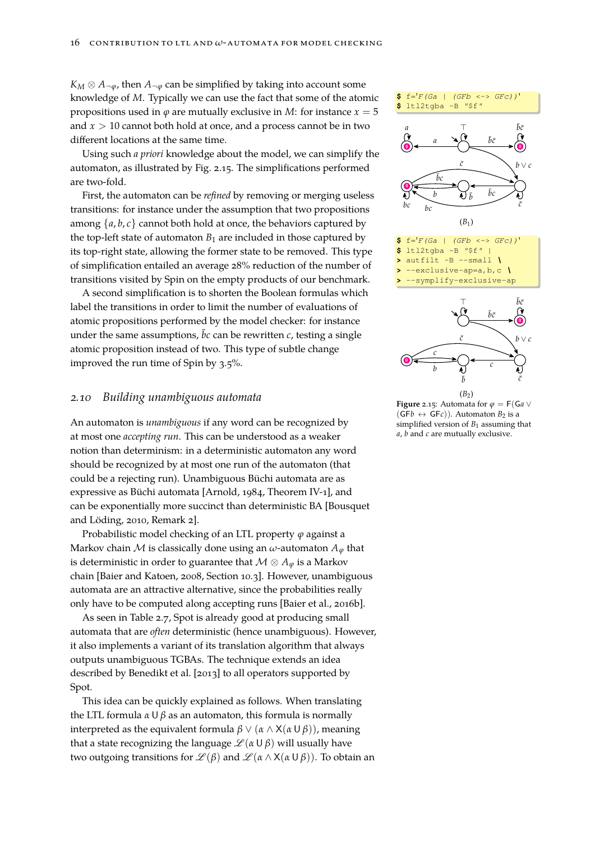$K_M \otimes A_{\neg \varphi}$ , then  $A_{\neg \varphi}$  can be simplified by taking into account some knowledge of *M*. Typically we can use the fact that some of the atomic propositions used in  $\varphi$  are mutually exclusive in *M*: for instance  $x = 5$ and *x* > 10 cannot both hold at once, and a process cannot be in two different locations at the same time.

Using such *a priori* knowledge about the model, we can simplify the automaton, as illustrated by Fig. [2.15.](#page-15-0) The simplifications performed are two-fold.

First, the automaton can be *refined* by removing or merging useless transitions: for instance under the assumption that two propositions among  $\{a, b, c\}$  cannot both hold at once, the behaviors captured by the top-left state of automaton  $B_1$  are included in those captured by its top-right state, allowing the former state to be removed. This type of simplification entailed an average 28% reduction of the number of transitions visited by Spin on the empty products of our benchmark.

A second simplification is to shorten the Boolean formulas which label the transitions in order to limit the number of evaluations of atomic propositions performed by the model checker: for instance under the same assumptions,  $\bar{b}c$  can be rewritten  $c$ , testing a single atomic proposition instead of two. This type of subtle change improved the run time of Spin by 3.5%.

#### *2.10 Building unambiguous automata*

An automaton is *unambiguous* if any word can be recognized by at most one *accepting run*. This can be understood as a weaker notion than determinism: in a deterministic automaton any word should be recognized by at most one run of the automaton (that could be a rejecting run). Unambiguous Büchi automata are as expressive as Büchi automata [\[Arnold, 1984,](#page-42-2) Theorem IV-1], and can be exponentially more succinct than deterministic BA [\[Bousquet](#page-43-2) [and Löding, 2010,](#page-43-2) Remark 2].

Probabilistic model checking of an LTL property *ϕ* against a Markov chain  $M$  is classically done using an  $\omega$ -automaton  $A_{\varphi}$  that is deterministic in order to guarantee that  $\mathcal{M} \otimes A_{\varphi}$  is a Markov chain [\[Baier and Katoen, 2008,](#page-42-3) Section 10.3]. However, unambiguous automata are an attractive alternative, since the probabilities really only have to be computed along accepting runs [\[Baier et al., 2016b\]](#page-42-4).

As seen in Table [2.7,](#page-10-0) Spot is already good at producing small automata that are *often* deterministic (hence unambiguous). However, it also implements a variant of its translation algorithm that always outputs unambiguous TGBAs. The technique extends an idea described by [Benedikt et al. \[2013\]](#page-43-3) to all operators supported by Spot.

This idea can be quickly explained as follows. When translating the LTL formula *α* U *β* as an automaton, this formula is normally interpreted as the equivalent formula  $β$   $\vee$  ( $α$   $\wedge$   $X$ ( $α$  U  $β$ )), meaning that a state recognizing the language  $\mathcal{L}(\alpha \cup \beta)$  will usually have two outgoing transitions for  $\mathcal{L}(\beta)$  and  $\mathcal{L}(\alpha \wedge X(\alpha \cup \beta))$ . To obtain an





**>** --symplify-exclusive-ap



<span id="page-15-0"></span>**Figure** 2.15: Automata for  $\varphi = F(Ga \vee$  $(GFb \leftrightarrow GFc)$ ). Automaton  $B_2$  is a simplified version of *B*<sup>1</sup> assuming that *a*, *b* and *c* are mutually exclusive.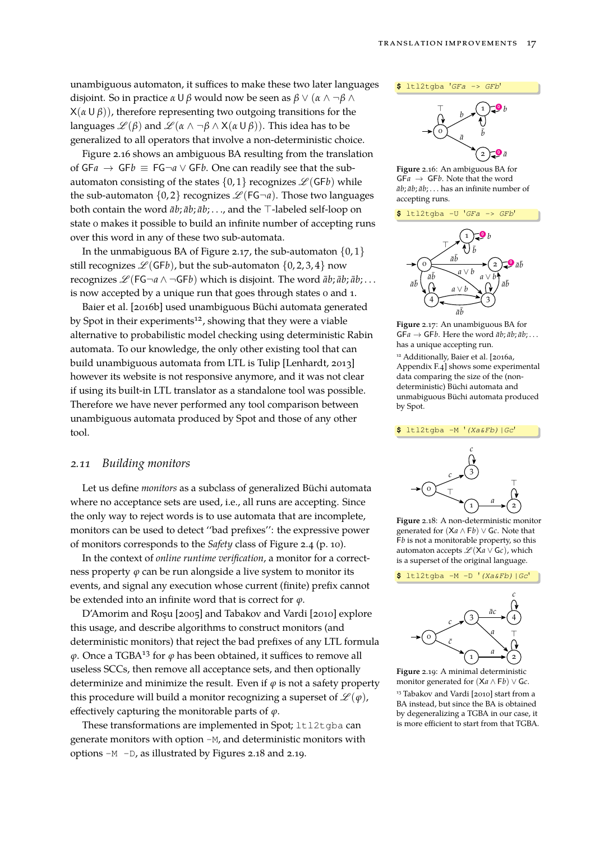unambiguous automaton, it suffices to make these two later languages disjoint. So in practice *α* U *β* would now be seen as *β* ∨ (*α* ∧ ¬*β* ∧  $X(\alpha \cup \beta)$ , therefore representing two outgoing transitions for the languages  $\mathcal{L}(\beta)$  and  $\mathcal{L}(\alpha \wedge \neg \beta \wedge X(\alpha \cup \beta))$ . This idea has to be generalized to all operators that involve a non-deterministic choice.

Figure [2.16](#page-16-0) shows an ambiguous BA resulting from the translation of  $GFa$  →  $GFb$   $\equiv$   $FG\neg a$   $\vee$   $GFb$ . One can readily see that the subautomaton consisting of the states  $\{0, 1\}$  recognizes  $\mathcal{L}(\mathsf{G}\mathsf{F} b)$  while the sub-automaton  $\{0, 2\}$  recognizes  $\mathcal{L}$  (FG $\neg a$ ). Those two languages both contain the word  $\bar{a}b$ ;  $\bar{a}b$ ;  $\bar{a}b$ ; ..., and the  $\top$ -labeled self-loop on state 0 makes it possible to build an infinite number of accepting runs over this word in any of these two sub-automata.

In the unmabiguous BA of Figure [2.17,](#page-16-1) the sub-automaton  $\{0, 1\}$ still recognizes  $\mathcal{L}(GFb)$ , but the sub-automaton  $\{0, 2, 3, 4\}$  now recognizes  $\mathscr{L}(\mathsf{FG}\neg a \wedge \neg\mathsf{GF} b)$  which is disjoint. The word  $\bar{a}b$ ;  $\bar{a}b$ ;  $\bar{a}b$ ; ... is now accepted by a unique run that goes through states 0 and 1.

[Baier et al. \[2016b\]](#page-42-4) used unambiguous Büchi automata generated by Spot in their experiments<sup>12</sup>, showing that they were a viable alternative to probabilistic model checking using deterministic Rabin automata. To our knowledge, the only other existing tool that can build unambiguous automata from LTL is Tulip [\[Lenhardt, 2013\]](#page-46-6) however its website is not responsive anymore, and it was not clear if using its built-in LTL translator as a standalone tool was possible. Therefore we have never performed any tool comparison between unambiguous automata produced by Spot and those of any other tool.

#### *2.11 Building monitors*

Let us define *monitors* as a subclass of generalized Büchi automata where no acceptance sets are used, i.e., all runs are accepting. Since the only way to reject words is to use automata that are incomplete, monitors can be used to detect ''bad prefixes'': the expressive power of monitors corresponds to the *Safety* class of Figure [2.4](#page-9-0) (p. [10\)](#page-9-0).

In the context of *online runtime verification*, a monitor for a correctness property  $\varphi$  can be run alongside a live system to monitor its events, and signal any execution whose current (finite) prefix cannot be extended into an infinite word that is correct for *ϕ*.

D'Amorim and Roşu [\[2005\]](#page-44-2) and [Tabakov and Vardi \[2010\]](#page-48-3) explore this usage, and describe algorithms to construct monitors (and deterministic monitors) that reject the bad prefixes of any LTL formula *ϕ*. Once a TGBA<sup>13</sup> for *ϕ* has been obtained, it suffices to remove all useless SCCs, then remove all acceptance sets, and then optionally determinize and minimize the result. Even if *ϕ* is not a safety property this procedure will build a monitor recognizing a superset of  $\mathcal{L}(\varphi)$ , effectively capturing the monitorable parts of *ϕ*.

These transformations are implemented in Spot; ltl2tqba can generate monitors with option -M, and deterministic monitors with options -M -D, as illustrated by Figures [2.18](#page-16-2) and [2.19.](#page-16-3)



<span id="page-16-0"></span>**Figure** 2.16: An ambiguous BA for  $GFa \rightarrow GFb$ . Note that the word  $\bar{a}b$ ;  $\bar{a}b$ ;  $\bar{a}b$ ; . . . has an infinite number of accepting runs.

#### **\$** ltl2tgba -U '*GFa -> GFb*'



<span id="page-16-1"></span>**Figure** 2.17: An unambiguous BA for  $GFa \rightarrow GFb$ . Here the word  $\bar{a}b$ ;  $\bar{a}b$ ;  $\bar{a}b$ ; ... has a unique accepting run.

<sup>12</sup> Additionally, [Baier et al. \[2016a,](#page-42-5) Appendix F.4] shows some experimental data comparing the size of the (nondeterministic) Büchi automata and unmabiguous Büchi automata produced by Spot.

**\$** ltl2tgba -M '*(Xa&Fb)|Gc*'



<span id="page-16-2"></span>**Figure** 2.18: A non-deterministic monitor generated for (X*a* ∧ F*b*) ∨ G*c*. Note that F*b* is not a monitorable property, so this automaton accepts  $\mathcal{L}(\mathsf{X}a \vee \mathsf{G}c)$ , which is a superset of the original language.





<span id="page-16-3"></span>**Figure** 2.19: A minimal deterministic monitor generated for (X*a* ∧ F*b*) ∨ G*c*. <sup>13</sup> [Tabakov and Vardi \[2010\]](#page-48-3) start from a BA instead, but since the BA is obtained by degeneralizing a TGBA in our case, it is more efficient to start from that TGBA.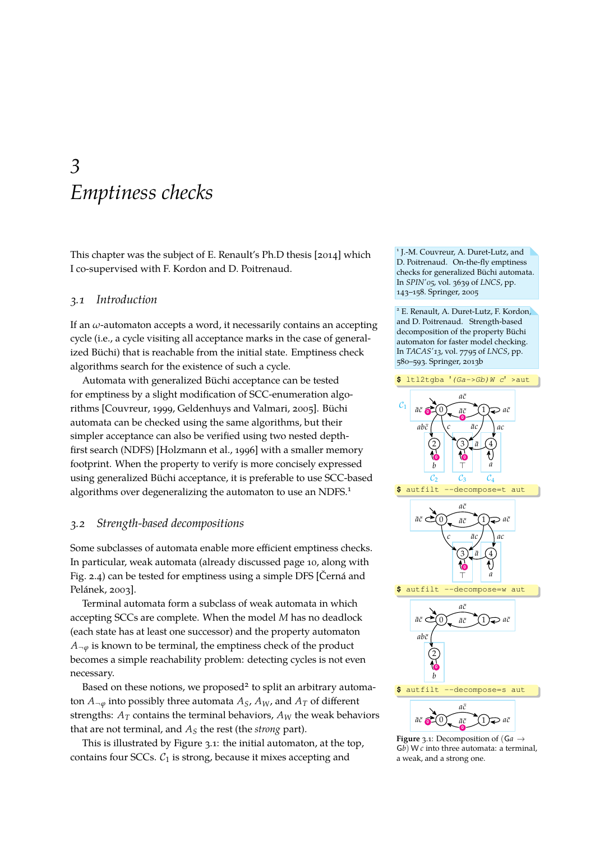### <span id="page-18-0"></span>*3 Emptiness checks*

This chapter was the subject of E. [Renault'](#page-47-1)s Ph.D thesis [\[2014\]](#page-47-1) which I co-supervised with F. Kordon and D. Poitrenaud.

#### *3.1 Introduction*

If an *ω*-automaton accepts a word, it necessarily contains an accepting cycle (i.e., a cycle visiting all acceptance marks in the case of generalized Büchi) that is reachable from the initial state. Emptiness check algorithms search for the existence of such a cycle.

Automata with generalized Büchi acceptance can be tested for emptiness by a slight modification of SCC-enumeration algorithms [\[Couvreur, 1999,](#page-44-0) [Geldenhuys and Valmari, 2005\]](#page-45-4). Büchi automata can be checked using the same algorithms, but their simpler acceptance can also be verified using two nested depthfirst search (NDFS) [\[Holzmann et al., 1996\]](#page-46-5) with a smaller memory footprint. When the property to verify is more concisely expressed using generalized Büchi acceptance, it is preferable to use SCC-based algorithms over degeneralizing the automaton to use an NDFS.<sup>1</sup>

#### <span id="page-18-2"></span>*3.2 Strength-based decompositions*

Some subclasses of automata enable more efficient emptiness checks. In particular, weak automata (already discussed page [10,](#page-9-0) along with Fig. [2.4\)](#page-9-0) can be tested for emptiness using a simple DFS [\[Černá and](#page-43-1) [Pelánek, 2003\]](#page-43-1).

Terminal automata form a subclass of weak automata in which accepting SCCs are complete. When the model *M* has no deadlock (each state has at least one successor) and the property automaton  $A_{\neg \varphi}$  is known to be terminal, the emptiness check of the product becomes a simple reachability problem: detecting cycles is not even necessary.

Based on these notions, we proposed<sup>2</sup> to split an arbitrary automaton  $A_{\neg \varphi}$  into possibly three automata  $A_S$ ,  $A_W$ , and  $A_T$  of different strengths:  $A_T$  contains the terminal behaviors,  $A_W$  the weak behaviors that are not terminal, and *A<sup>S</sup>* the rest (the *strong* part).

This is illustrated by Figure [3.1:](#page-18-1) the initial automaton, at the top, contains four SCCs.  $C_1$  is strong, because it mixes accepting and

1 J.-M. Couvreur, A. Duret-Lutz, and D. Poitrenaud. On-the-fly emptiness checks for generalized Büchi automata. In *SPIN'05*, vol. 3639 of *LNCS*, pp. 143–158. Springer, 2005

<sup>2</sup> E. Renault, A. Duret-Lutz, F. Kordon, and D. Poitrenaud. Strength-based decomposition of the property Büchi automaton for faster model checking. In *TACAS'13*, vol. 7795 of *LNCS*, pp. 580–593. Springer, 2013b



<span id="page-18-1"></span>**Figure** 3.1: Decomposition of (G*a* → G*b*) W *c* into three automata: a terminal, a weak, and a strong one.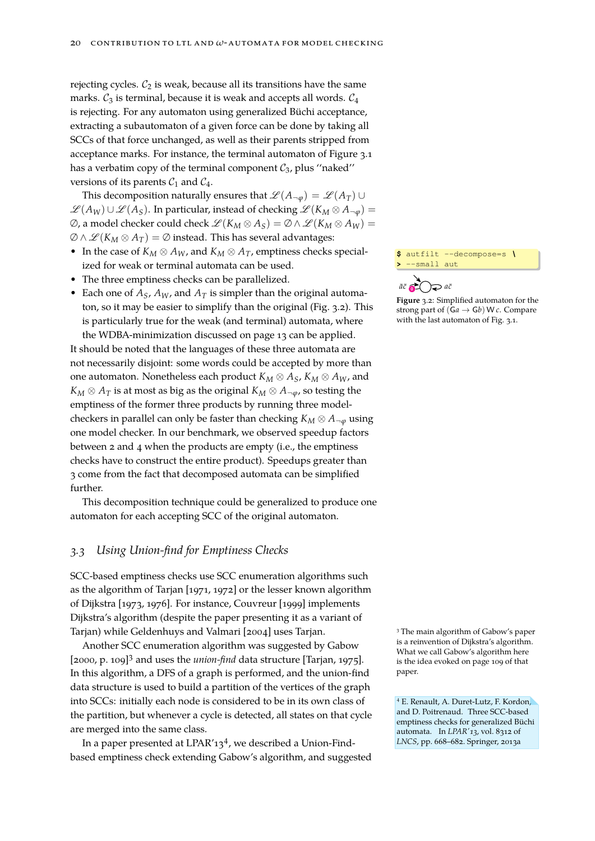rejecting cycles.  $C_2$  is weak, because all its transitions have the same marks.  $C_3$  is terminal, because it is weak and accepts all words.  $C_4$ is rejecting. For any automaton using generalized Büchi acceptance, extracting a subautomaton of a given force can be done by taking all SCCs of that force unchanged, as well as their parents stripped from acceptance marks. For instance, the terminal automaton of Figure [3.1](#page-18-1) has a verbatim copy of the terminal component  $C_3$ , plus "naked" versions of its parents  $C_1$  and  $C_4$ .

This decomposition naturally ensures that  $\mathscr{L}(A_{\neg \varphi}) = \mathscr{L}(A_T) \cup$  $\mathscr{L}(A_W) \cup \mathscr{L}(A_S)$ . In particular, instead of checking  $\mathscr{L}(K_M \otimes A_{\neg \varphi})$  =  $\emptyset$ , a model checker could check  $\mathscr{L}(K_M \otimes A_S) = \emptyset \wedge \mathscr{L}(K_M \otimes A_W) =$  $\emptyset \wedge \mathscr{L}(K_M \otimes A_T) = \emptyset$  instead. This has several advantages:

- In the case of  $K_M \otimes A_W$ , and  $K_M \otimes A_T$ , emptiness checks specialized for weak or terminal automata can be used.
- The three emptiness checks can be parallelized.
- Each one of  $A_S$ ,  $A_W$ , and  $A_T$  is simpler than the original automaton, so it may be easier to simplify than the original (Fig. [3.2\)](#page-19-0). This is particularly true for the weak (and terminal) automata, where the WDBA-minimization discussed on page [13](#page-12-1) can be applied.

It should be noted that the languages of these three automata are not necessarily disjoint: some words could be accepted by more than one automaton. Nonetheless each product  $K_M \otimes A_S$ ,  $K_M \otimes A_W$ , and  $K_M \otimes A_T$  is at most as big as the original  $K_M \otimes A_{\neg \varphi}$ , so testing the emptiness of the former three products by running three modelcheckers in parallel can only be faster than checking  $K_M \otimes A_{\neg \varphi}$  using one model checker. In our benchmark, we observed speedup factors between 2 and 4 when the products are empty (i.e., the emptiness checks have to construct the entire product). Speedups greater than 3 come from the fact that decomposed automata can be simplified further.

This decomposition technique could be generalized to produce one automaton for each accepting SCC of the original automaton.

#### *3.3 Using Union-find for Emptiness Checks*

SCC-based emptiness checks use SCC enumeration algorithms such as the algorithm of [Tarjan \[1971,](#page-48-4) [1972\]](#page-48-5) or the lesser known algorithm of [Dijkstra \[1973,](#page-44-3) [1976\]](#page-44-4). For instance, [Couvreur \[1999\]](#page-44-0) implements Dijkstra's algorithm (despite the paper presenting it as a variant of Tarjan) while [Geldenhuys and Valmari \[2004\]](#page-45-5) uses Tarjan.

Another SCC enumeration algorithm was suggested by [Gabow](#page-45-6) [\[2000,](#page-45-6) p. 109]<sup>3</sup> and uses the *union-find* data structure [\[Tarjan, 1975\]](#page-48-6). In this algorithm, a DFS of a graph is performed, and the union-find paper. data structure is used to build a partition of the vertices of the graph into SCCs: initially each node is considered to be in its own class of the partition, but whenever a cycle is detected, all states on that cycle are merged into the same class.

In a paper presented at LPAR'13<sup>4</sup>, we described a Union-Findbased emptiness check extending Gabow's algorithm, and suggested **\$** autfilt --decompose=s *\* **>** --small aut



<span id="page-19-0"></span>**Figure** 3.2: Simplified automaton for the strong part of (G*a* → G*b*) W *c*. Compare with the last automaton of Fig. [3.1.](#page-18-1)

<sup>3</sup> The main algorithm of [Gabow'](#page-45-6)s paper is a reinvention of Dijkstra's algorithm. What we call Gabow's algorithm here is the idea evoked on page 109 of that

<sup>4</sup> E. Renault, A. Duret-Lutz, F. Kordon, and D. Poitrenaud. Three SCC-based emptiness checks for generalized Büchi automata. In *LPAR'13*, vol. 8312 of *LNCS*, pp. 668–682. Springer, 2013a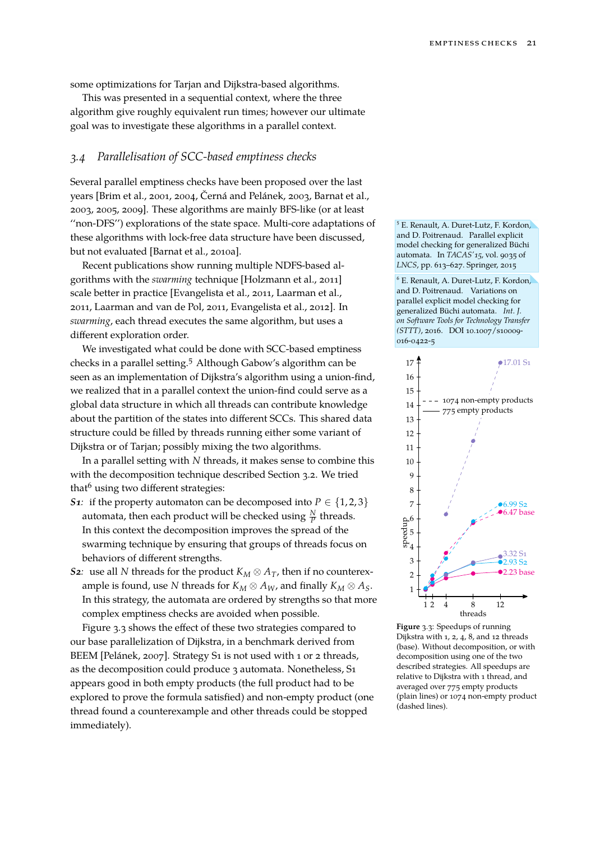some optimizations for Tarjan and Dijkstra-based algorithms.

This was presented in a sequential context, where the three algorithm give roughly equivalent run times; however our ultimate goal was to investigate these algorithms in a parallel context.

#### *3.4 Parallelisation of SCC-based emptiness checks*

Several parallel emptiness checks have been proposed over the last years [\[Brim et al., 2001,](#page-43-4) [2004,](#page-43-5) [Černá and Pelánek, 2003,](#page-44-5) [Barnat et al.,](#page-42-6) [2003,](#page-42-6) [2005,](#page-42-7) [2009\]](#page-42-8). These algorithms are mainly BFS-like (or at least ''non-DFS'') explorations of the state space. Multi-core adaptations of these algorithms with lock-free data structure have been discussed, but not evaluated [\[Barnat et al., 2010a\]](#page-43-6).

Recent publications show running multiple NDFS-based algorithms with the *swarming* technique [\[Holzmann et al., 2011\]](#page-46-7) scale better in practice [\[Evangelista et al., 2011,](#page-45-7) [Laarman et al.,](#page-46-8) [2011,](#page-46-8) [Laarman and van de Pol, 2011,](#page-46-9) [Evangelista et al., 2012\]](#page-45-8). In *swarming*, each thread executes the same algorithm, but uses a different exploration order.

We investigated what could be done with SCC-based emptiness checks in a parallel setting.<sup>5</sup> Although Gabow's algorithm can be seen as an implementation of Dijkstra's algorithm using a union-find, we realized that in a parallel context the union-find could serve as a global data structure in which all threads can contribute knowledge about the partition of the states into different SCCs. This shared data structure could be filled by threads running either some variant of Dijkstra or of Tarjan; possibly mixing the two algorithms.

In a parallel setting with *N* threads, it makes sense to combine this with the decomposition technique described Section [3.2.](#page-18-2) We tried that $<sup>6</sup>$  using two different strategies:</sup>

- *S1:* if the property automaton can be decomposed into  $P \in \{1, 2, 3\}$ automata, then each product will be checked using  $\frac{N}{P}$  threads. In this context the decomposition improves the spread of the swarming technique by ensuring that groups of threads focus on behaviors of different strengths.
- *S2:* use all *N* threads for the product  $K_M \otimes A_T$ , then if no counterexample is found, use *N* threads for  $K_M \otimes A_W$ , and finally  $K_M \otimes A_S$ . In this strategy, the automata are ordered by strengths so that more complex emptiness checks are avoided when possible. threads

Figure [3.3](#page-20-0) shows the effect of these two strategies compared to our base parallelization of Dijkstra, in a benchmark derived from BEEM [\[Pelánek, 2007\]](#page-47-6). Strategy S1 is not used with 1 or 2 threads, as the decomposition could produce 3 automata. Nonetheless, S1 appears good in both empty products (the full product had to be explored to prove the formula satisfied) and non-empty product (one thread found a counterexample and other threads could be stopped immediately).

<sup>5</sup> E. Renault, A. Duret-Lutz, F. Kordon, and D. Poitrenaud. Parallel explicit model checking for generalized Büchi automata. In *TACAS'15*, vol. 9035 of *LNCS*, pp. 613–627. Springer, 2015

<sup>6</sup> E. Renault, A. Duret-Lutz, F. Kordon, and D. Poitrenaud. Variations on parallel explicit model checking for generalized Büchi automata. *Int. J. on Software Tools for Technology Transfer (STTT)*, 2016. DOI [10.1007/s10009-](http://doi.org/10.1007/s10009-016-0422-5) [016-0422-5](http://doi.org/10.1007/s10009-016-0422-5)



<span id="page-20-0"></span>**Figure** 3.3: Speedups of running Dijkstra with 1, 2, 4, 8, and 12 threads (base). Without decomposition, or with decomposition using one of the two described strategies. All speedups are relative to Dijkstra with 1 thread, and averaged over 775 empty products (plain lines) or 1074 non-empty product (dashed lines).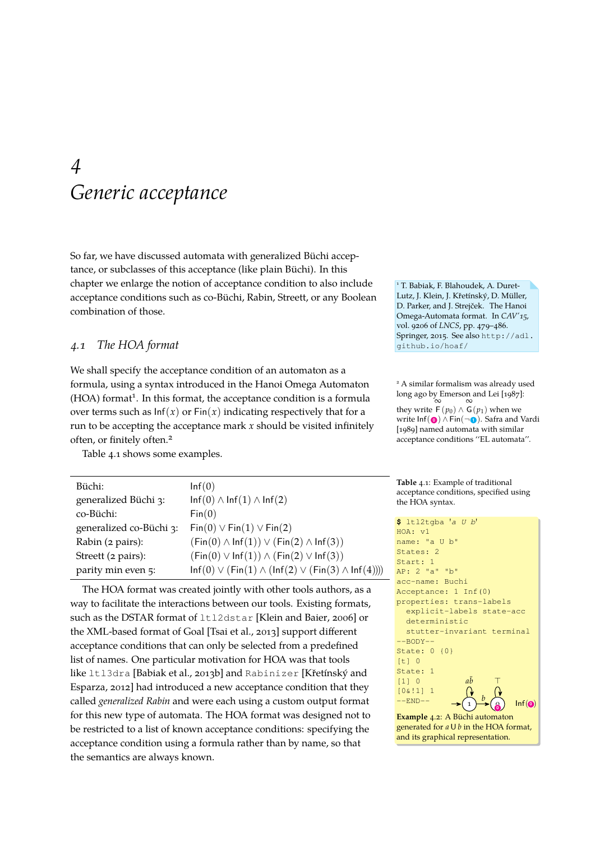### <span id="page-22-0"></span>*4 Generic acceptance*

So far, we have discussed automata with generalized Büchi acceptance, or subclasses of this acceptance (like plain Büchi). In this chapter we enlarge the notion of acceptance condition to also include acceptance conditions such as co-Büchi, Rabin, Streett, or any Boolean combination of those.

#### *4.1 The HOA format*

We shall specify the acceptance condition of an automaton as a formula, using a syntax introduced in the Hanoi Omega Automaton (HOA) format<sup>1</sup>. In this format, the acceptance condition is a formula over terms such as  $\ln f(x)$  or  $\text{Fin}(x)$  indicating respectively that for a run to be accepting the acceptance mark *x* should be visited infinitely often, or finitely often.<sup>2</sup>

Table [4.1](#page-22-1) shows some examples.

| Büchi:                  | Inf(0)                                                             |
|-------------------------|--------------------------------------------------------------------|
| generalized Büchi 3:    | $\ln f(0) \wedge \ln f(1) \wedge \ln f(2)$                         |
| co-Büchi:               | Fin(0)                                                             |
| generalized co-Büchi 3: | $Fin(0) \vee Fin(1) \vee Fin(2)$                                   |
| Rabin (2 pairs):        | $(Fin(0) \wedge Inf(1)) \vee (Fin(2) \wedge Inf(3))$               |
| Streett (2 pairs):      | $(Fin(0) \vee Inf(1)) \wedge (Fin(2) \vee Inf(3))$                 |
| parity min even 5:      | $Inf(0) \vee (Fin(1) \wedge (Inf(2) \vee (Fin(3) \wedge Inf(4))))$ |

The HOA format was created jointly with other tools authors, as a way to facilitate the interactions between our tools. Existing formats, such as the DSTAR format of ltl2dstar [\[Klein and Baier, 2006\]](#page-46-0) or the XML-based format of Goal [\[Tsai et al., 2013\]](#page-49-2) support different acceptance conditions that can only be selected from a predefined list of names. One particular motivation for HOA was that tools like ltl3dra [\[Babiak et al., 2013b\]](#page-42-9) and Rabinizer [\[Křetínský and](#page-46-10) [Esparza, 2012\]](#page-46-10) had introduced a new acceptance condition that they called *generalized Rabin* and were each using a custom output format for this new type of automata. The HOA format was designed not to be restricted to a list of known acceptance conditions: specifying the acceptance condition using a formula rather than by name, so that the semantics are always known.

<sup>1</sup> T. Babiak, F. Blahoudek, A. Duret-Lutz, J. Klein, J. Křetínský, D. Müller, D. Parker, and J. Strejček. The Hanoi Omega-Automata format. In *CAV'15*, vol. 9206 of *LNCS*, pp. 479–486. Springer, 2015. See also [http://adl.](http://adl.github.io/hoaf/) [github.io/hoaf/](http://adl.github.io/hoaf/)

<sup>2</sup> A similar formalism was already used long ago by [Emerson and Lei \[1987\]](#page-45-9):<br>∞  $\infty$ they write  $F(p_0) \wedge G(p_1)$  when we write Inf( $\textcircled{\bullet}$ ) ∧ Fin(¬ $\textcircled{\bullet}$ ). [Safra and Vardi](#page-48-7) [\[1989\]](#page-48-7) named automata with similar acceptance conditions ''EL automata''.

<span id="page-22-1"></span>**Table** 4.1: Example of traditional acceptance conditions, specified using the HOA syntax.

```
$ ltl2tgba 'a U b'
HOA: v1
name: "a U b"
States: 2
Start: 1
AP: 2 "a" "b"
acc-name: Buchi
Acceptance: 1 Inf(0)
properties: trans-labels
  explicit-labels state-acc
  deterministic
 stutter-invariant terminal
--BODY--
State: 0 {0}
[t] 0State: 1
[1] 0
[0&!1] 1
--END-- \rightarrow 1
                 a\bar{b} \topb
                        0
                             Inf(Example 4.2: A Büchi automaton
generated for a U b in the HOA format,
and its graphical representation.
```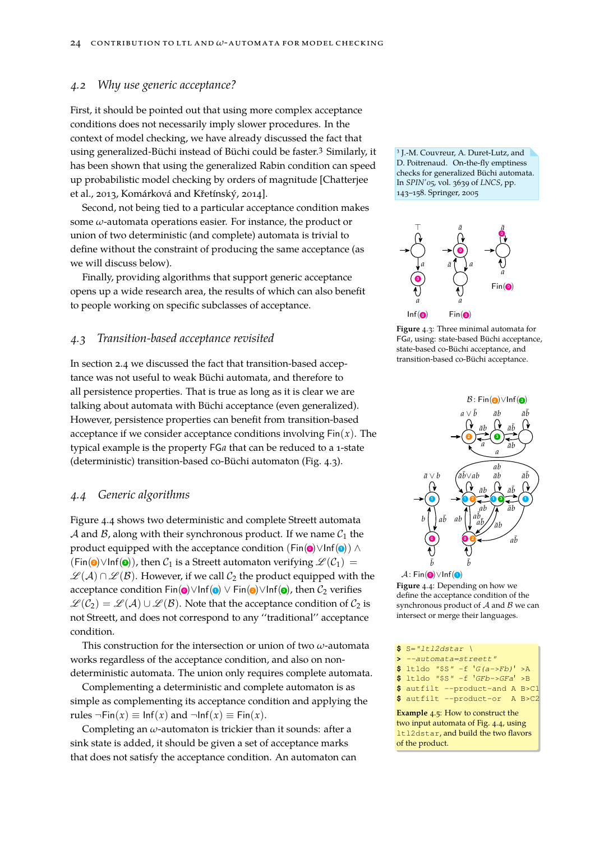#### *4.2 Why use generic acceptance?*

First, it should be pointed out that using more complex acceptance conditions does not necessarily imply slower procedures. In the context of model checking, we have already discussed the fact that using generalized-Büchi instead of Büchi could be faster.<sup>3</sup> Similarly, it <sup>3</sup> has been shown that using the generalized Rabin condition can speed up probabilistic model checking by orders of magnitude [\[Chatterjee](#page-44-6) [et al., 2013,](#page-44-6) [Komárková and Křetínský, 2014\]](#page-46-11).

Second, not being tied to a particular acceptance condition makes some *ω*-automata operations easier. For instance, the product or union of two deterministic (and complete) automata is trivial to define without the constraint of producing the same acceptance (as we will discuss below).

Finally, providing algorithms that support generic acceptance opens up a wide research area, the results of which can also benefit to people working on specific subclasses of acceptance.

#### *4.3 Transition-based acceptance revisited*

In section [2.4](#page-9-0) we discussed the fact that transition-based acceptance was not useful to weak Büchi automata, and therefore to all persistence properties. That is true as long as it is clear we are talking about automata with Büchi acceptance (even generalized). However, persistence properties can benefit from transition-based acceptance if we consider acceptance conditions involving  $Fin(x)$ . The typical example is the property FG*a* that can be reduced to a 1-state (deterministic) transition-based co-Büchi automaton (Fig. [4.3\)](#page-23-0).

#### *4.4 Generic algorithms*

Figure [4.4](#page-23-1) shows two deterministic and complete Streett automata A and B, along with their synchronous product. If we name  $C_1$  the product equipped with the acceptance condition (Fin(<sup>o</sup>)∨Inf(<sup>o</sup>)) ∧  $(Fin(②) \lor Inf(③))$ , then  $C_1$  is a Streett automaton verifying  $\mathscr{L}(C_1) =$  $\mathscr{L}(A) \cap \mathscr{L}(B)$ . However, if we call  $C_2$  the product equipped with the acceptance condition Fin $\textbf{(o)} \vee \text{Inf} \textbf{(o)} \vee \text{Fin} \textbf{(o)} \vee \text{Inf} \textbf{(o)}$ , then  $\mathcal{C}_2$  verifies  $\mathscr{L}(\mathcal{C}_2) = \mathscr{L}(\mathcal{A}) \cup \mathscr{L}(\mathcal{B})$ . Note that the acceptance condition of  $\mathcal{C}_2$  is not Streett, and does not correspond to any ''traditional'' acceptance condition.

This construction for the intersection or union of two *ω*-automata works regardless of the acceptance condition, and also on nondeterministic automata. The union only requires complete automata.

Complementing a deterministic and complete automaton is as simple as complementing its acceptance condition and applying the rules  $\neg Fin(x) \equiv Inf(x)$  and  $\neg Inf(x) \equiv Fin(x)$ .

Completing an *ω*-automaton is trickier than it sounds: after a sink state is added, it should be given a set of acceptance marks that does not satisfy the acceptance condition. An automaton can <sup>3</sup> J.-M. Couvreur, A. Duret-Lutz, and D. Poitrenaud. On-the-fly emptiness checks for generalized Büchi automata. In *SPIN'05*, vol. 3639 of *LNCS*, pp. 143–158. Springer, 2005



<span id="page-23-0"></span>**Figure** 4.3: Three minimal automata for FG*a*, using: state-based Büchi acceptance, state-based co-Büchi acceptance, and transition-based co-Büchi acceptance.



<span id="page-23-1"></span>A: Fin(<sup>o</sup>)∨Inf(1) **Figure** 4.4: Depending on how we define the acceptance condition of the synchronous product of  $A$  and  $B$  we can intersect or merge their languages.

| $S = "It12dstar$        |  |                                          |  |
|-------------------------|--|------------------------------------------|--|
| $>$ --automata=streett" |  |                                          |  |
|                         |  | <b>\$</b> ltldo "\$S" -f $G(a->Fb)$ ' >A |  |
|                         |  | $$ 1t1do$ "SS" -f 'GFb->GFa' >B          |  |
|                         |  | \$ autfilt --product-and A B>C1          |  |

**\$** autfilt --product-or A B>C2

**Example** 4.5: How to construct the two input automata of Fig. [4.4,](#page-23-1) using ltl2dstar, and build the two flavors of the product.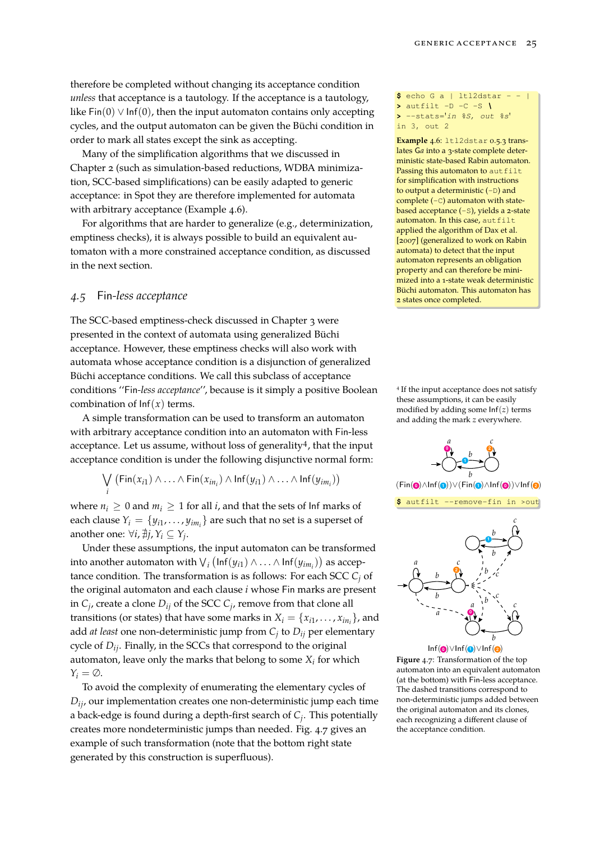therefore be completed without changing its acceptance condition *unless* that acceptance is a tautology. If the acceptance is a tautology, like  $Fin(0) \vee Inf(0)$ , then the input automaton contains only accepting cycles, and the output automaton can be given the Büchi condition in order to mark all states except the sink as accepting.

Many of the simplification algorithms that we discussed in Chapter [2](#page-8-0) (such as simulation-based reductions, WDBA minimization, SCC-based simplifications) can be easily adapted to generic acceptance: in Spot they are therefore implemented for automata with arbitrary acceptance (Example [4.6\)](#page-24-0).

For algorithms that are harder to generalize (e.g., determinization, emptiness checks), it is always possible to build an equivalent automaton with a more constrained acceptance condition, as discussed in the next section.

#### <span id="page-24-2"></span>*4.5* Fin*-less acceptance*

*i*

The SCC-based emptiness-check discussed in Chapter [3](#page-18-0) were presented in the context of automata using generalized Büchi acceptance. However, these emptiness checks will also work with automata whose acceptance condition is a disjunction of generalized Büchi acceptance conditions. We call this subclass of acceptance conditions ''Fin*-less acceptance*'', because is it simply a positive Boolean combination of  $\text{Inf}(x)$  terms.

A simple transformation can be used to transform an automaton with arbitrary acceptance condition into an automaton with Fin-less acceptance. Let us assume, without loss of generality<sup>4</sup>, that the input acceptance condition is under the following disjunctive normal form:

$$
\bigvee (\mathsf{Fin}(x_{i1}) \wedge \ldots \wedge \mathsf{Fin}(x_{in_i}) \wedge \mathsf{Inf}(y_{i1}) \wedge \ldots \wedge \mathsf{Inf}(y_{im_i}))
$$

where  $n_i \geq 0$  and  $m_i \geq 1$  for all *i*, and that the sets of lnf marks of each clause  $Y_i = \{y_{i1}, \ldots, y_{im_i}\}$  are such that no set is a superset of another one:  $\forall i, \nexists j, Y_i \subseteq Y_j$ .

Under these assumptions, the input automaton can be transformed into another automaton with  $\vee_i$   $(\mathsf{Inf}(y_{i1}) \wedge ... \wedge \mathsf{Inf}(y_{im_i}))$  as acceptance condition. The transformation is as follows: For each SCC  $C_i$  of the original automaton and each clause *i* whose Fin marks are present in *C<sup>j</sup>* , create a clone *Dij* of the SCC *C<sup>j</sup>* , remove from that clone all transitions (or states) that have some marks in  $X_i = \{x_{i1}, \ldots, x_{in_i}\}$ , and add *at least* one non-deterministic jump from *C<sup>j</sup>* to *Dij* per elementary cycle of *Dij*. Finally, in the SCCs that correspond to the original automaton, leave only the marks that belong to some *X<sup>i</sup>* for which  $Y_i = \emptyset$ .

To avoid the complexity of enumerating the elementary cycles of *Dij*, our implementation creates one non-deterministic jump each time a back-edge is found during a depth-first search of *C<sup>j</sup>* . This potentially creates more nondeterministic jumps than needed. Fig. [4.7](#page-24-1) gives an example of such transformation (note that the bottom right state generated by this construction is superfluous).

**\$** echo G a | ltl2dstar - - | **>** autfilt -D -C -S *\* **>** --stats='*in %S, out %s*' in 3, out 2

<span id="page-24-0"></span>**Example** 4.6: ltl2dstar 0.5.3 translates G*a* into a 3-state complete deterministic state-based Rabin automaton. Passing this automaton to autfilt for simplification with instructions to output a deterministic (-D) and complete  $(-c)$  automaton with statebased acceptance (-S), yields a 2-state automaton. In this case, autfilt applied the algorithm of [Dax et al.](#page-44-1) [\[2007\]](#page-44-1) (generalized to work on Rabin automata) to detect that the input automaton represents an obligation property and can therefore be minimized into a 1-state weak deterministic Büchi automaton. This automaton has 2 states once completed.

4 If the input acceptance does not satisfy these assumptions, it can be easily modified by adding some Inf(*z*) terms and adding the mark *z* everywhere.

**0** *a* **1** *b* **2** *c b*

(Fin( **<sup>0</sup>** )∧Inf( **<sup>1</sup>** ))∨(Fin( **<sup>1</sup>** )∧Inf( **<sup>0</sup>** ))∨Inf( **<sup>2</sup>** )

**\$** autfilt --remove-fin in >out



<span id="page-24-1"></span>**Figure** 4.7: Transformation of the top automaton into an equivalent automaton (at the bottom) with Fin-less acceptance. The dashed transitions correspond to non-deterministic jumps added between the original automaton and its clones, each recognizing a different clause of the acceptance condition.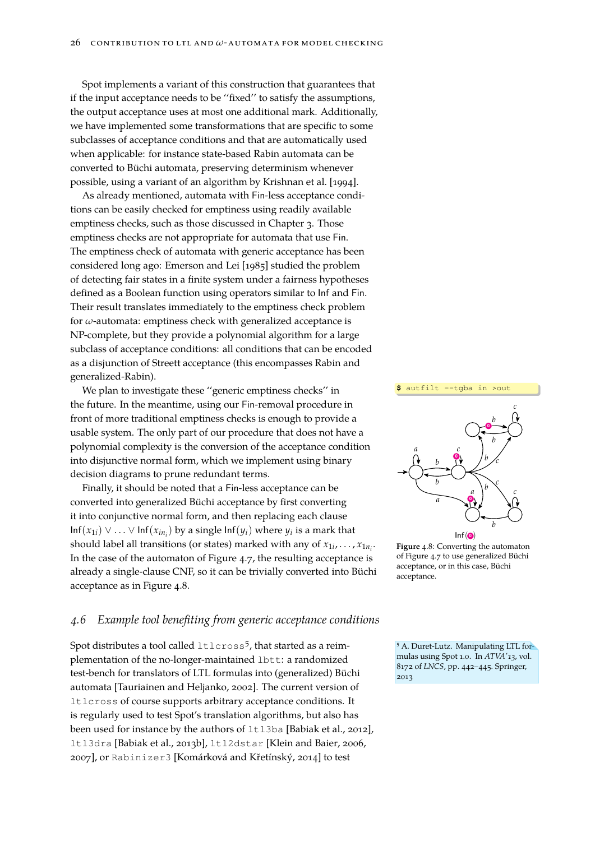Spot implements a variant of this construction that guarantees that if the input acceptance needs to be ''fixed'' to satisfy the assumptions, the output acceptance uses at most one additional mark. Additionally, we have implemented some transformations that are specific to some subclasses of acceptance conditions and that are automatically used when applicable: for instance state-based Rabin automata can be converted to Büchi automata, preserving determinism whenever possible, using a variant of an algorithm by [Krishnan et al. \[1994\]](#page-46-12).

As already mentioned, automata with Fin-less acceptance conditions can be easily checked for emptiness using readily available emptiness checks, such as those discussed in Chapter [3.](#page-18-0) Those emptiness checks are not appropriate for automata that use Fin. The emptiness check of automata with generic acceptance has been considered long ago: [Emerson and Lei \[1985\]](#page-45-10) studied the problem of detecting fair states in a finite system under a fairness hypotheses defined as a Boolean function using operators similar to Inf and Fin. Their result translates immediately to the emptiness check problem for *ω*-automata: emptiness check with generalized acceptance is NP-complete, but they provide a polynomial algorithm for a large subclass of acceptance conditions: all conditions that can be encoded as a disjunction of Streett acceptance (this encompasses Rabin and generalized-Rabin).

We plan to investigate these ''generic emptiness checks'' in the future. In the meantime, using our Fin-removal procedure in front of more traditional emptiness checks is enough to provide a usable system. The only part of our procedure that does not have a polynomial complexity is the conversion of the acceptance condition into disjunctive normal form, which we implement using binary decision diagrams to prune redundant terms.

Finally, it should be noted that a Fin-less acceptance can be converted into generalized Büchi acceptance by first converting it into conjunctive normal form, and then replacing each clause  $\text{Inf}(x_{1i}) \vee \ldots \vee \text{Inf}(x_{in_i})$  by a single  $\text{Inf}(y_i)$  where  $y_i$  is a mark that should label all transitions (or states) marked with any of  $x_{1i},...,x_{1n_i}$ . In the case of the automaton of Figure [4.7,](#page-24-1) the resulting acceptance is already a single-clause CNF, so it can be trivially converted into Büchi acceptance as in Figure [4.8.](#page-25-0)

#### <span id="page-25-1"></span>*4.6 Example tool benefiting from generic acceptance conditions*

Spot distributes a tool called  $ltlccos5$ , that started as a reimplementation of the no-longer-maintained lbtt: a randomized test-bench for translators of LTL formulas into (generalized) Büchi automata [\[Tauriainen and Heljanko, 2002\]](#page-48-8). The current version of ltlcross of course supports arbitrary acceptance conditions. It is regularly used to test Spot's translation algorithms, but also has been used for instance by the authors of  $ltl13ba$  [\[Babiak et al., 2012\]](#page-42-1), ltl3dra [\[Babiak et al., 2013b\]](#page-42-9), ltl2dstar [\[Klein and Baier, 2006,](#page-46-0) [2007\]](#page-46-13), or Rabinizer3 [\[Komárková and Křetínský, 2014\]](#page-46-11) to test



<span id="page-25-0"></span>

<sup>5</sup> A. Duret-Lutz. Manipulating LTL formulas using Spot 1.0. In *ATVA'13*, vol. 8172 of *LNCS*, pp. 442–445. Springer, 2013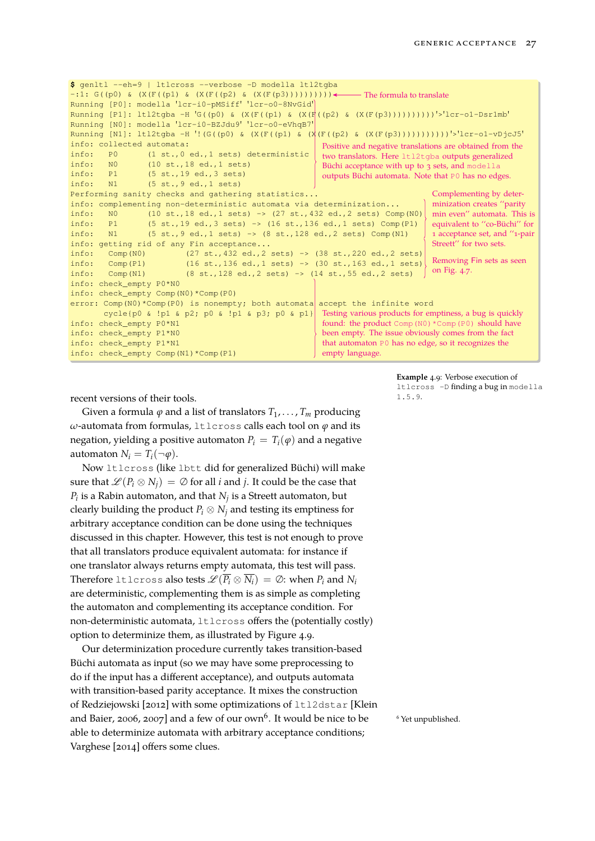```
$ genltl --eh=9 | ltlcross --verbose -D modella ltl2tgba
-:1: G((p0) \& (X(F((p1) \& (X(F((p2) \& (X(F(p3)))))))))) \leftrightarrow The formula to translate
Running [P0]: modella 'lcr-i0-pMSiff' 'lcr-o0-8NvGid'
Running [P1]: ltl2tgba -H 'G((p0) & (X(F((p1) & (X(F((p2) & (X(F(p3))))))))))'>'lcr-o1-Dsr1mb'
Running [N0]: modella 'lcr-i0-BZJdu9' 'lcr-o0-eVhqB7'
Running [N1]: ltl2tgba -H '!(G((p0) & (X(F((p1) & (X(F((p2) & (X(F(p3)))))))))))'>'lcr-o1-vDjcJ5'
info: collected automata:
info: P0 (1 st.,0 ed.,1 sets) deterministic
info: N0 (10 st.,18 ed.,1 sets)
info: P1 (5 st.,19 ed.,3 sets)
info: N1 (5 st.,9 ed.,1 sets)
Performing sanity checks and gathering statistics...
info: complementing non-deterministic automata via determinization...
info: N0 (10 st.,18 ed.,1 sets) \rightarrow (27 st.,432 ed.,2 sets) Comp(N0)
info: P1 (5 st., 19 ed., 3 sets) -> (16 st., 136 ed., 1 sets) Comp(P1)<br>info: N1 (5 st., 9 ed., 1 sets) -> (8 st., 128 ed., 2 sets) Comp(N1)
info: N1 (5 st., 9 ed., 1 sets) \rightarrow (8 st., 128 ed., 2 sets) Comp(N1)
info: getting rid of any Fin acceptance...
info: Comp(N0) (27 st.,432 ed.,2 sets) -> (38 st.,220 ed.,2 sets)
info: Comp(P1) (16 st.,136 ed.,1 sets) -> (30 st.,163 ed.,1 sets)
info: Comp(N1) (8 st.,128 ed.,2 sets) -> (14 st.,55 ed.,2 sets)
info: check_empty P0*N0
info: check_empty Comp(N0)*Comp(P0)
error: Comp(N0)*Comp(P0) is nonempty; both automata accept the infinite word
       cycle{p0 & !p1 & p2; p0 & !p1 & p3; p0 & p1}
info: check_empty P0*N1
info: check_empty P1*N0
info: check_empty P1*N1
info: check_empty Comp(N1)*Comp(P1)
                                                          Positive and negative translations are obtained from the
                                                          two translators. Here ltl2tgba outputs generalized
                                                          Büchi acceptance with up to 3 sets, and modella
                                                          outputs Büchi automata. Note that P0 has no edges.
                                                                                    Complementing by deter-
                                                                                    minization creates ''parity
                                                                                   min even'' automata. This is
                                                                                    equivalent to ''co-Büchi'' for
                                                                                    1 acceptance set, and ''1-pair
                                                                                   Streett" for two sets.
                                                                                    Removing Fin sets as seen
                                                                                   on Fig. 4.7.
                                                          Testing various products for emptiness, a bug is quickly
                                                          found: the product Comp(N0) *Comp(P0) should have
                                                          been empty. The issue obviously comes from the fact
                                                          that automaton P0 has no edge, so it recognizes the
                                                          empty language.
```
**1.5.9.** recent versions of their tools. **1.5.9** 

Given a formula  $\varphi$  and a list of translators  $T_1, \ldots, T_m$  producing *ω*-automata from formulas, ltlcross calls each tool on *ϕ* and its negation, yielding a positive automaton  $P_i = T_i(\varphi)$  and a negative automaton  $N_i = T_i(\neg \varphi)$ .

Now ltlcross (like lbtt did for generalized Büchi) will make sure that  $\mathscr{L}(P_i \otimes N_i) = \emptyset$  for all *i* and *j*. It could be the case that  $P_i$  is a Rabin automaton, and that  $N_j$  is a Streett automaton, but clearly building the product  $P_i \otimes N_i$  and testing its emptiness for arbitrary acceptance condition can be done using the techniques discussed in this chapter. However, this test is not enough to prove that all translators produce equivalent automata: for instance if one translator always returns empty automata, this test will pass. Therefore ltlcross also tests  $\mathscr{L}(\overline{P_i} \otimes \overline{N_i}) = \emptyset$ : when  $P_i$  and  $N_i$ are deterministic, complementing them is as simple as completing the automaton and complementing its acceptance condition. For non-deterministic automata, ltlcross offers the (potentially costly) option to determinize them, as illustrated by Figure [4.9.](#page-26-0)

Our determinization procedure currently takes transition-based Büchi automata as input (so we may have some preprocessing to do if the input has a different acceptance), and outputs automata with transition-based parity acceptance. It mixes the construction of [Redziejowski \[2012\]](#page-47-7) with some optimizations of ltl2dstar [\[Klein](#page-46-0) [and Baier, 2006,](#page-46-0) [2007\]](#page-46-13) and a few of our own<sup>6</sup>. It would be nice to be  $\qquad$  <sup>6</sup> Yet unpublished. able to determinize automata with arbitrary acceptance conditions; [Varghese \[2014\]](#page-49-1) offers some clues.

<span id="page-26-0"></span>**Example** 4.9: Verbose execution of ltlcross -D finding a bug in modella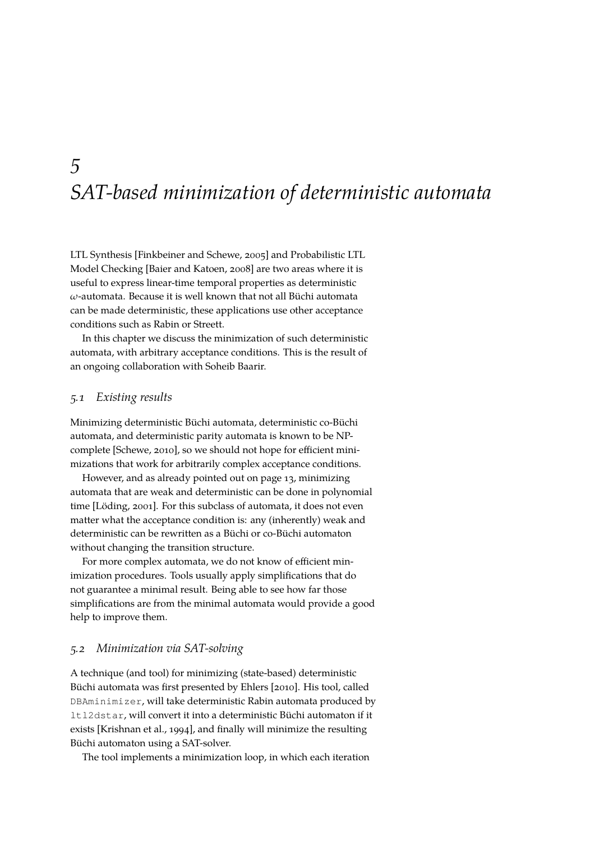### <span id="page-28-0"></span>*5 SAT-based minimization of deterministic automata*

LTL Synthesis [\[Finkbeiner and Schewe, 2005\]](#page-45-11) and Probabilistic LTL Model Checking [\[Baier and Katoen, 2008\]](#page-42-3) are two areas where it is useful to express linear-time temporal properties as deterministic *ω*-automata. Because it is well known that not all Büchi automata can be made deterministic, these applications use other acceptance conditions such as Rabin or Streett.

In this chapter we discuss the minimization of such deterministic automata, with arbitrary acceptance conditions. This is the result of an ongoing collaboration with Soheib Baarir.

#### *5.1 Existing results*

Minimizing deterministic Büchi automata, deterministic co-Büchi automata, and deterministic parity automata is known to be NPcomplete [\[Schewe, 2010\]](#page-48-9), so we should not hope for efficient minimizations that work for arbitrarily complex acceptance conditions.

However, and as already pointed out on page [13,](#page-12-1) minimizing automata that are weak and deterministic can be done in polynomial time [\[Löding, 2001\]](#page-47-5). For this subclass of automata, it does not even matter what the acceptance condition is: any (inherently) weak and deterministic can be rewritten as a Büchi or co-Büchi automaton without changing the transition structure.

For more complex automata, we do not know of efficient minimization procedures. Tools usually apply simplifications that do not guarantee a minimal result. Being able to see how far those simplifications are from the minimal automata would provide a good help to improve them.

#### *5.2 Minimization via SAT-solving*

A technique (and tool) for minimizing (state-based) deterministic Büchi automata was first presented by [Ehlers \[2010\]](#page-45-12). His tool, called DBAminimizer, will take deterministic Rabin automata produced by ltl2dstar, will convert it into a deterministic Büchi automaton if it exists [\[Krishnan et al., 1994\]](#page-46-12), and finally will minimize the resulting Büchi automaton using a SAT-solver.

The tool implements a minimization loop, in which each iteration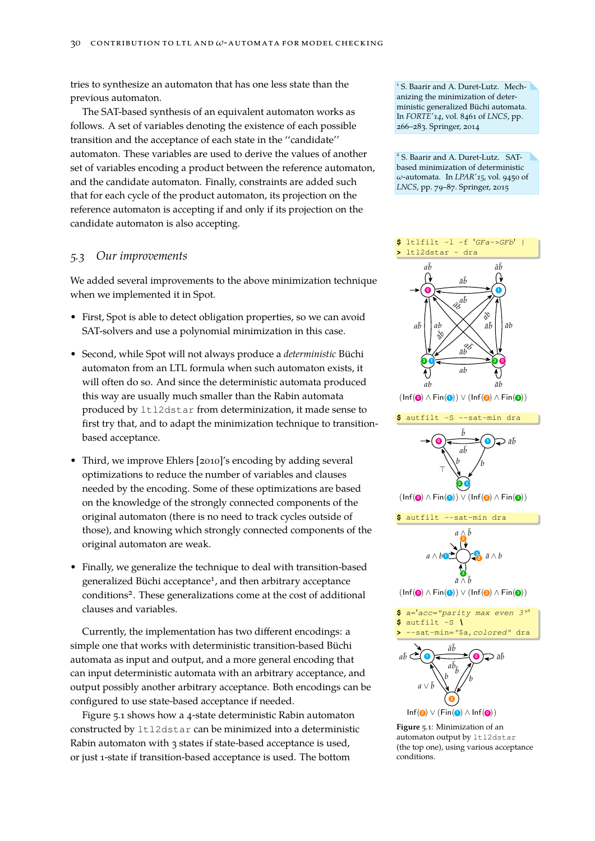tries to synthesize an automaton that has one less state than the previous automaton.

The SAT-based synthesis of an equivalent automaton works as follows. A set of variables denoting the existence of each possible transition and the acceptance of each state in the ''candidate'' automaton. These variables are used to derive the values of another set of variables encoding a product between the reference automaton, and the candidate automaton. Finally, constraints are added such that for each cycle of the product automaton, its projection on the reference automaton is accepting if and only if its projection on the candidate automaton is also accepting.

#### *5.3 Our improvements*

We added several improvements to the above minimization technique when we implemented it in Spot.

- First, Spot is able to detect obligation properties, so we can avoid SAT-solvers and use a polynomial minimization in this case.
- Second, while Spot will not always produce a *deterministic* Büchi automaton from an LTL formula when such automaton exists, it will often do so. And since the deterministic automata produced this way are usually much smaller than the Rabin automata produced by ltl2dstar from determinization, it made sense to first try that, and to adapt the minimization technique to transitionbased acceptance.
- Third, we improve [Ehlers \[2010\]](#page-45-12)'s encoding by adding several optimizations to reduce the number of variables and clauses needed by the encoding. Some of these optimizations are based on the knowledge of the strongly connected components of the original automaton (there is no need to track cycles outside of those), and knowing which strongly connected components of the original automaton are weak.
- Finally, we generalize the technique to deal with transition-based generalized Büchi acceptance<sup>1</sup>, and then arbitrary acceptance conditions<sup>2</sup>. These generalizations come at the cost of additional clauses and variables.

Currently, the implementation has two different encodings: a simple one that works with deterministic transition-based Büchi automata as input and output, and a more general encoding that can input deterministic automata with an arbitrary acceptance, and output possibly another arbitrary acceptance. Both encodings can be configured to use state-based acceptance if needed.

Figure [5.1](#page-29-0) shows how a 4-state deterministic Rabin automaton constructed by ltl2dstar can be minimized into a deterministic Rabin automaton with 3 states if state-based acceptance is used, or just 1-state if transition-based acceptance is used. The bottom

1 S. Baarir and A. Duret-Lutz. Mechanizing the minimization of deterministic generalized Büchi automata. In *FORTE'14*, vol. 8461 of *LNCS*, pp. 266–283. Springer, 2014

2 S. Baarir and A. Duret-Lutz. SATbased minimization of deterministic *ω*-automata. In *LPAR'15*, vol. 9450 of *LNCS*, pp. 79–87. Springer, 2015



<span id="page-29-0"></span>**Figure** 5.1: Minimization of an automaton output by 1t12dstar (the top one), using various acceptance conditions.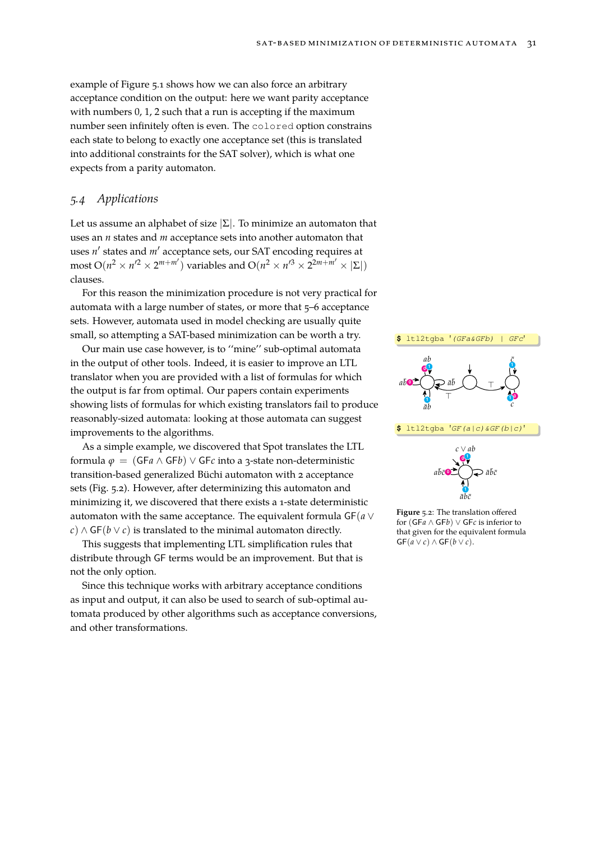example of Figure [5.1](#page-29-0) shows how we can also force an arbitrary acceptance condition on the output: here we want parity acceptance with numbers  $0$ , 1, 2 such that a run is accepting if the maximum number seen infinitely often is even. The colored option constrains each state to belong to exactly one acceptance set (this is translated into additional constraints for the SAT solver), which is what one expects from a parity automaton.

#### <span id="page-30-1"></span>*5.4 Applications*

Let us assume an alphabet of size  $|\Sigma|$ . To minimize an automaton that uses an *n* states and *m* acceptance sets into another automaton that uses *n'* states and *m'* acceptance sets, our SAT encoding requires at  $\text{most } O(n^2 \times n'^2 \times 2^{m+m'}) \text{ variables and } O(n^2 \times n'^3 \times 2^{2m+m'} \times |\Sigma|)$ clauses.

For this reason the minimization procedure is not very practical for automata with a large number of states, or more that 5–6 acceptance sets. However, automata used in model checking are usually quite small, so attempting a SAT-based minimization can be worth a try.

Our main use case however, is to ''mine'' sub-optimal automata in the output of other tools. Indeed, it is easier to improve an LTL translator when you are provided with a list of formulas for which the output is far from optimal. Our papers contain experiments showing lists of formulas for which existing translators fail to produce reasonably-sized automata: looking at those automata can suggest improvements to the algorithms.

As a simple example, we discovered that Spot translates the LTL formula *ϕ* = (GF*a* ∧ GF*b*) ∨ GF*c* into a 3-state non-deterministic transition-based generalized Büchi automaton with 2 acceptance sets (Fig. [5.2\)](#page-30-0). However, after determinizing this automaton and minimizing it, we discovered that there exists a 1-state deterministic automaton with the same acceptance. The equivalent formula GF(*a* ∨ *c*) ∧ GF(*b* ∨ *c*) is translated to the minimal automaton directly.

This suggests that implementing LTL simplification rules that distribute through GF terms would be an improvement. But that is not the only option.

Since this technique works with arbitrary acceptance conditions as input and output, it can also be used to search of sub-optimal automata produced by other algorithms such as acceptance conversions, and other transformations.



<span id="page-30-0"></span>**Figure** 5.2: The translation offered for (GF*a* ∧ GF*b*) ∨ GF*c* is inferior to that given for the equivalent formula  $GF(a \vee c) \wedge GF(b \vee c).$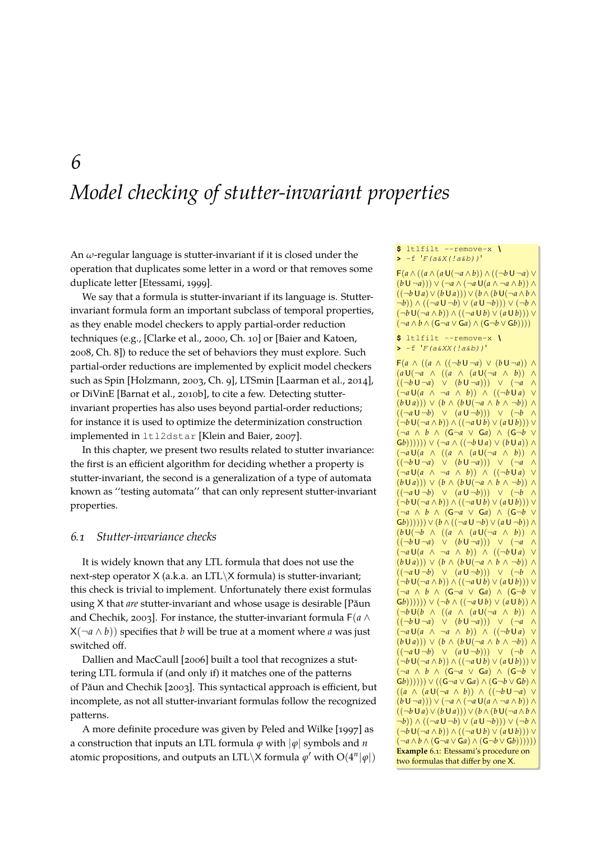### <span id="page-32-0"></span>*6 Model checking of stutter-invariant properties*

An *ω*-regular language is stutter-invariant if it is closed under the operation that duplicates some letter in a word or that removes some duplicate letter [\[Etessami, 1999\]](#page-45-13).

We say that a formula is stutter-invariant if its language is. Stutterinvariant formula form an important subclass of temporal properties, as they enable model checkers to apply partial-order reduction techniques (e.g., [\[Clarke et al., 2000,](#page-44-7) Ch. 10] or [\[Baier and Katoen,](#page-42-3) [2008,](#page-42-3) Ch. 8]) to reduce the set of behaviors they must explore. Such partial-order reductions are implemented by explicit model checkers such as Spin [\[Holzmann, 2003,](#page-46-4) Ch. 9], LTSmin [\[Laarman et al., 2014\]](#page-46-14), or DiVinE [\[Barnat et al., 2010b\]](#page-43-7), to cite a few. Detecting stutterinvariant properties has also uses beyond partial-order reductions; for instance it is used to optimize the determinization construction implemented in ltl2dstar [\[Klein and Baier, 2007\]](#page-46-13).

In this chapter, we present two results related to stutter invariance: the first is an efficient algorithm for deciding whether a property is stutter-invariant, the second is a generalization of a type of automata known as ''testing automata'' that can only represent stutter-invariant properties.

#### *6.1 Stutter-invariance checks*

It is widely known that any LTL formula that does not use the next-step operator X (a.k.a. an LTL\X formula) is stutter-invariant; this check is trivial to implement. Unfortunately there exist formulas using X that *are* stutter-invariant and whose usage is desirable [\[Păun](#page-47-8) [and Chechik, 2003\]](#page-47-8). For instance, the stutter-invariant formula F(*a* ∧  $X(\neg a \land b)$  specifies that *b* will be true at a moment where *a* was just switched off.

[Dallien and MacCaull \[2006\]](#page-44-8) built a tool that recognizes a stuttering LTL formula if (and only if) it matches one of the patterns of [Păun and Chechik \[2003\]](#page-47-8). This syntactical approach is efficient, but incomplete, as not all stutter-invariant formulas follow the recognized patterns.

<span id="page-32-1"></span>A more definite procedure was given by [Peled and Wilke \[1997\]](#page-47-9) as a construction that inputs an LTL formula *ϕ* with |*ϕ*| symbols and *n* atomic propositions, and outputs an LTL\X formula  $\varphi'$  with  $O(4^n|\varphi|)$ 

#### **\$** ltlfilt --remove-x *\* **>** -f '*F(a&X(!a&b))*'

F(*a* ∧ ((*a* ∧ (*a* U(¬*a* ∧ *b*)) ∧ ((¬*b* U ¬*a*) ∨ (*b* U ¬*a*))) ∨ (¬*a* ∧ (¬*a* U(*a* ∧ ¬*a* ∧ *b*)) ∧  $((\neg b \cup a) \vee (b \cup a))) \vee (b \wedge (b \cup (\neg a \wedge b \wedge$ ¬*b*)) ∧ ((¬*a* U ¬*b*) ∨ (*a* U ¬*b*))) ∨ (¬*b* ∧ (¬*b* U(¬*a* ∧ *b*)) ∧ ((¬*a* U *b*) ∨ (*a* U *b*))) ∨ (¬*a* ∧ *b* ∧ (G¬*a* ∨ G*a*) ∧ (G¬*b* ∨ G*b*))))

#### **\$** ltlfilt --remove-x *\* **>** -f '*F(a&XX(!a&b))*'

 $F(a \wedge ((a \wedge ((\neg b \cup \neg a) \vee (b \cup \neg a)) \wedge$ (*a* U(¬*a* ∧ ((*a* ∧ (*a* U(¬*a* ∧ *b*)) ∧ ((¬*b* U ¬*a*) ∨ (*b* U ¬*a*))) ∨ (¬*a* ∧ (¬*a* U(*a* ∧ ¬*a* ∧ *b*)) ∧ ((¬*b* U *a*) ∨ (*b* U *a*))) ∨ (*b* ∧ (*b* U(¬*a* ∧ *b* ∧ ¬*b*)) ∧ ((¬*a* U ¬*b*) ∨ (*a* U ¬*b*))) ∨ (¬*b* ∧ (¬*b* U(¬*a* ∧ *b*)) ∧ ((¬*a* U *b*) ∨ (*a* U *b*))) ∨ (¬*a* ∧ *b* ∧ (G¬*a* ∨ G*a*) ∧ (G¬*b* ∨  $(G(b)))))$ ))  $\vee$   $(\neg a \wedge ((\neg b \cup a) \vee (b \cup a)) \wedge$ (¬*a* U(*a* ∧ ((*a* ∧ (*a* U(¬*a* ∧ *b*)) ∧ ((¬*b* U ¬*a*) ∨ (*b* U ¬*a*))) ∨ (¬*a* ∧ (¬*a* U(*a* ∧ ¬*a* ∧ *b*)) ∧ ((¬*b* U *a*) ∨ (*b* U *a*))) ∨ (*b* ∧ (*b* U(¬*a* ∧ *b* ∧ ¬*b*)) ∧ ((¬*a* U ¬*b*) ∨ (*a* U ¬*b*))) ∨ (¬*b* ∧ (¬*b* U(¬*a* ∧ *b*)) ∧ ((¬*a* U *b*) ∨ (*a* U *b*))) ∨ (¬*a* ∧ *b* ∧ (G¬*a* ∨ G*a*) ∧ (G¬*b* ∨  $(G(b)))))$ )) ∨  $(b \wedge ((\neg a \cup \neg b) \vee (a \cup \neg b)) \wedge$  $(b\cup(\neg b \land ((a \land (a\cup(\neg a \land b))) \land$ ((¬*b* U ¬*a*) ∨ (*b* U ¬*a*))) ∨ (¬*a* ∧ (¬*a* U(*a* ∧ ¬*a* ∧ *b*)) ∧ ((¬*b* U *a*) ∨  $(b \cup a))$   $\vee$   $(b \wedge (b \cup (\neg a \wedge b \wedge \neg b)) \wedge$ ((¬*a* U ¬*b*) ∨ (*a* U ¬*b*))) ∨ (¬*b* ∧ (¬*b* U(¬*a* ∧ *b*)) ∧ ((¬*a* U *b*) ∨ (*a* U *b*))) ∨ (¬*a* ∧ *b* ∧ (G¬*a* ∨ G*a*) ∧ (G¬*b* ∨  $(G(b))))$ ))  $\vee$   $(\neg b \wedge ((\neg a \cup b) \vee (a \cup b)) \wedge$ (¬*b* U(*b* ∧ ((*a* ∧ (*a* U(¬*a* ∧ *b*)) ∧ ((¬*b* U ¬*a*) ∨ (*b* U ¬*a*))) ∨ (¬*a* ∧ (¬*a* U(*a* ∧ ¬*a* ∧ *b*)) ∧ ((¬*b* U *a*) ∨  $(b \cup a))$  ∨  $(b \wedge (b \cup (\neg a \wedge b \wedge \neg b))$  ∧ ((¬*a* U ¬*b*) ∨ (*a* U ¬*b*))) ∨ (¬*b* ∧ (¬*b* U(¬*a* ∧ *b*)) ∧ ((¬*a* U *b*) ∨ (*a* U *b*))) ∨ (¬*a* ∧ *b* ∧ (G¬*a* ∨ G*a*) ∧ (G¬*b* ∨ G*b*)))))) ∨ ((G¬*a* ∨ G*a*) ∧ (G¬*b* ∨ G*b*) ∧ ((*a* ∧ (*a* U(¬*a* ∧ *b*)) ∧ ((¬*b* U ¬*a*) ∨ (*b* U ¬*a*))) ∨ (¬*a* ∧ (¬*a* U(*a* ∧ ¬*a* ∧ *b*)) ∧ ((¬*b* U *a*)∨(*b* U *a*))) ∨(*b*∧(*b* U(¬*a*∧*b*∧ ¬*b*)) ∧ ((¬*a* U ¬*b*) ∨ (*a* U ¬*b*))) ∨ (¬*b* ∧ (¬*b* U(¬*a* ∧ *b*)) ∧ ((¬*a* U *b*) ∨ (*a* U *b*))) ∨ (¬*a* ∧ *b* ∧ (G¬*a* ∨ G*a*) ∧ (G¬*b* ∨ G*b*)))))) **Example** 6.1: [Etessami'](#page-45-14)s procedure on two formulas that differ by one X.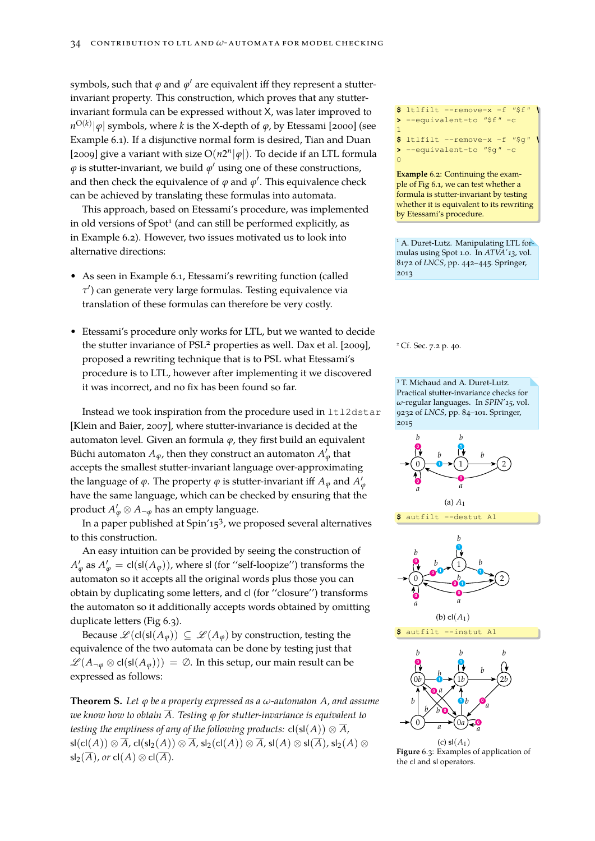symbols, such that  $\varphi$  and  $\varphi'$  are equivalent iff they represent a stutterinvariant property. This construction, which proves that any stutterinvariant formula can be expressed without X, was later improved to *n* O(*k*) |*ϕ*| symbols, where *k* is the X-depth of *ϕ*, by [Etessami \[2000\]](#page-45-14) (see Example [6.1\)](#page-32-1). If a disjunctive normal form is desired, [Tian and Duan](#page-49-3) [\[2009\]](#page-49-3) give a variant with size  $O(n2^n|\varphi|)$ . To decide if an LTL formula  $\varphi$  is stutter-invariant, we build  $\varphi'$  using one of these constructions, and then check the equivalence of  $\varphi$  and  $\varphi'$ . This equivalence check can be achieved by translating these formulas into automata.

This approach, based on [Etessami'](#page-45-14)s procedure, was implemented by Etessami's procedure. in old versions of Spot<sup>1</sup> (and can still be performed explicitly, as in Example [6.2\)](#page-33-0). However, two issues motivated us to look into alternative directions:

- As seen in Example [6.1,](#page-32-1) [Etessami'](#page-45-14)s rewriting function (called *τ* 0 ) can generate very large formulas. Testing equivalence via translation of these formulas can therefore be very costly.
- [Etessami'](#page-45-14)s procedure only works for LTL, but we wanted to decide the stutter invariance of PSL<sup>2</sup> properties as well. [Dax et al. \[2009\]](#page-44-9), <sup>2</sup> Cf. Sec. [7.2](#page-39-0) p. [40.](#page-39-0) proposed a rewriting technique that is to PSL what [Etessami'](#page-45-14)s procedure is to LTL, however after implementing it we discovered it was incorrect, and no fix has been found so far.

Instead we took inspiration from the procedure used in ltl2dstar [\[Klein and Baier, 2007\]](#page-46-13), where stutter-invariance is decided at the automaton level. Given an formula *ϕ*, they first build an equivalent Büchi automaton  $A_\varphi$ , then they construct an automaton  $A'_\varphi$  that accepts the smallest stutter-invariant language over-approximating the language of  $\varphi$ . The property  $\varphi$  is stutter-invariant iff  $A_{\varphi}$  and  $A'_{\varphi}$ have the same language, which can be checked by ensuring that the product  $A'_\varphi \otimes A_{\neg \varphi}$  has an empty language.

In a paper published at Spin'15<sup>3</sup>, we proposed several alternatives to this construction.

An easy intuition can be provided by seeing the construction of  $A'_\varphi$  as  $A'_\varphi = \text{cl}(\text{sl}(A_\varphi))$ , where sl (for ''self-loopize'') transforms the automaton so it accepts all the original words plus those you can obtain by duplicating some letters, and cl (for ''closure'') transforms the automaton so it additionally accepts words obtained by omitting duplicate letters (Fig [6.3\)](#page-33-1).

Because  $\mathscr{L}(\text{cl}(\text{sl}(A_{\varphi})) \subseteq \mathscr{L}(A_{\varphi})$  by construction, testing the equivalence of the two automata can be done by testing just that  $\mathscr{L}(A_{\neg\varphi}\otimes \mathsf{cl}(\mathsf{sl}(A_{\varphi}))) = \varnothing$ . In this setup, our main result can be expressed as follows:

<span id="page-33-2"></span>**Theorem S.** *Let ϕ be a property expressed as a ω-automaton A, and assume we know how to obtain*  $\overline{A}$ *. Testing*  $\varphi$  *for stutter-invariance is equivalent to testing the emptiness of any of the following products:*  $cl(sl(A)) \otimes \overline{A}$ *,*  $\overline{A}$ *,* cl(sl<sub>2</sub>(*A*))  $\otimes \overline{A}$ *,* sl<sub>2</sub>(cl(*A*))  $\otimes \overline{A}$ *,* sl(*A*)  $\otimes$  sl( $\overline{A}$ )*,* sl<sub>2</sub>(*A*)  $\otimes$  $\mathsf{sl}_2(\overline{A})$ *, or*  $\mathsf{cl}(A) \otimes \mathsf{cl}(\overline{A})$ *.* 

 $$$  ltlfilt --remove-x -f  $"$ \$f'' **>** --equivalent-to *"*\$f*"* -c **\$** ltlfilt --remove-x -f *"*\$g*" \* **>** --equivalent-to *"*\$g*"* -c

1

0

<span id="page-33-0"></span>**Example** 6.2: Continuing the example of Fig [6.1,](#page-32-1) we can test whether a formula is stutter-invariant by testing whether it is equivalent to its rewriting

<sup>1</sup> A. Duret-Lutz. Manipulating LTL formulas using Spot 1.0. In *ATVA'13*, vol. 8172 of *LNCS*, pp. 442–445. Springer, 2013



<span id="page-33-1"></span>the cl and sl operators.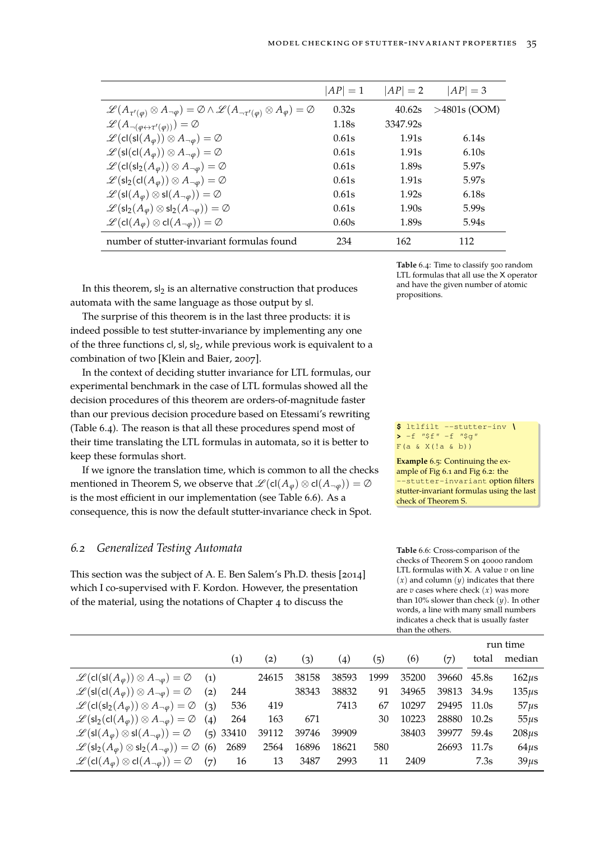|                                                                                                                                              | $ AP =1$ | $ AP  = 2$ | $ AP  = 3$        |
|----------------------------------------------------------------------------------------------------------------------------------------------|----------|------------|-------------------|
| $\mathscr{L}(A_{\tau'(\varphi)}\otimes A_{\neg\varphi})=\varnothing\wedge\mathscr{L}(A_{\neg\tau'(\varphi)}\otimes A_{\varphi})=\varnothing$ | 0.32s    | 40.62s     | $>4801s$ (OOM)    |
| $\mathscr{L}(A_{\neg(\varphi \leftrightarrow \tau'(\varphi)))} = \varnothing$                                                                | 1.18s    | 3347.92s   |                   |
| $\mathscr{L}(\mathsf{cl}(\mathsf{sl}(A_\varphi))\otimes A_{\neg\varphi})=\varnothing$                                                        | 0.61s    | 1.91s      | 6.14s             |
| $\mathscr{L}(\mathsf{sl}(\mathsf{cl}(A_{\varphi}))\otimes A_{\neg\varphi})=\varnothing$                                                      | 0.61s    | 1.91s      | 6.10s             |
| $\mathscr{L}(\mathsf{cl}(\mathsf{sl}_2(A_\varphi))\otimes A_{\neg\varphi})=\varnothing$                                                      | 0.61s    | 1.89s      | 5.97s             |
| $\mathscr{L}(\mathsf{sl}_2(\mathsf{cl}(A_\varphi))\otimes A_{\neg\varphi})=\varnothing$                                                      | 0.61s    | 1.91s      | 5.97s             |
| $\mathscr{L}(\mathsf{sl}(A_{\varphi})\otimes\mathsf{sl}(A_{\neg\varphi}))=\emptyset$                                                         | 0.61s    | 1.92s      | 6.18 <sub>s</sub> |
| $\mathscr{L}(\mathsf{sl}_2(A_\varphi)\otimes \mathsf{sl}_2(A_{\neg \varphi}))=\emptyset$                                                     | 0.61s    | 1.90s      | 5.99s             |
| $\mathscr{L}(\mathsf{cl}(A_{\varphi})\otimes \mathsf{cl}(A_{\neg \varphi}))=\emptyset$                                                       | 0.60s    | 1.89s      | 5.94s             |
| number of stutter-invariant formulas found                                                                                                   | 234      | 162        | 112               |

In this theorem,  $sl_2$  is an alternative construction that produces automata with the same language as those output by sl.

The surprise of this theorem is in the last three products: it is indeed possible to test stutter-invariance by implementing any one of the three functions cl, sl, sl<sub>2</sub>, while previous work is equivalent to a combination of two [\[Klein and Baier, 2007\]](#page-46-13).

In the context of deciding stutter invariance for LTL formulas, our experimental benchmark in the case of LTL formulas showed all the decision procedures of this theorem are orders-of-magnitude faster than our previous decision procedure based on Etessami's rewriting (Table [6.4\)](#page-34-0). The reason is that all these procedures spend most of their time translating the LTL formulas in automata, so it is better to keep these formulas short.

If we ignore the translation time, which is common to all the checks mentioned in Theorem [S,](#page-33-2) we observe that  $\mathscr{L}(\text{cl}(A_{\varphi}) \otimes \text{cl}(A_{\neg \varphi})) = \emptyset$ is the most efficient in our implementation (see Table [6.6\)](#page-34-1). As a consequence, this is now the default stutter-invariance check in Spot.

#### <span id="page-34-2"></span>*6.2 Generalized Testing Automata*

This section was the subject of A. E. [Ben Salem'](#page-43-0)s Ph.D. thesis [\[2014\]](#page-43-0) which I co-supervised with F. Kordon. However, the presentation of the material, using the notations of Chapter [4](#page-22-0) to discuss the

<span id="page-34-0"></span>**Table** 6.4: Time to classify 500 random LTL formulas that all use the X operator and have the given number of atomic propositions.

**\$** ltlfilt --stutter-inv *\* **>** -f *"*\$f*"* -f *"*\$g*"*  $F(a \& X(!a \& b))$ 

**Example** 6.5: Continuing the example of Fig [6.1](#page-32-1) and Fig [6.2:](#page-33-0) the --stutter-invariant option filters stutter-invariant formulas using the last check of Theorem [S.](#page-33-2)

<span id="page-34-1"></span>**Table** 6.6: Cross-comparison of the checks of Theorem [S](#page-33-2) on 40000 random LTL formulas with X. A value *v* on line  $(x)$  and column  $(y)$  indicates that there are  $v$  cases where check  $(x)$  was more than 10% slower than check (*y*). In other words, a line with many small numbers indicates a check that is usually faster than the others.

|                                                                                                    |                   |       |       |       |      |       |       |       | run time   |
|----------------------------------------------------------------------------------------------------|-------------------|-------|-------|-------|------|-------|-------|-------|------------|
|                                                                                                    | $\left( 1\right)$ | (2)   | (3)   | (4)   | (5)  | (6)   | (7)   | total | median     |
| $\mathscr{L}(\mathsf{cl}(\mathsf{sl}(A_\varphi))\otimes A_{\neg\varphi})=\varnothing$<br>(1)       |                   | 24615 | 38158 | 38593 | 1999 | 35200 | 39660 | 45.8s | $162\mu s$ |
| $\mathscr{L}(\mathsf{sl}(\mathsf{cl}(A_{\varphi}))\otimes A_{\neg\varphi})=\varnothing$<br>(2)     | 244               |       | 38343 | 38832 | 91   | 34965 | 39813 | 34.9s | $135\mu s$ |
| $\mathscr{L}(\text{cl}(sl_2(A_{\varphi})) \otimes A_{\neg \varphi}) = \varnothing$ (3)             | 536               | 419   |       | 7413  | 67   | 10297 | 29495 | 11.0s | $57\mu s$  |
| $\mathscr{L}(\mathsf{sl}_2(\mathsf{cl}(A_\varphi)) \otimes A_{\neg \varphi}) = \varnothing$ (4)    | 264               | 163   | 671   |       | 30   | 10223 | 28880 | 10.2s | $55\mu s$  |
| $\mathscr{L}(\mathsf{sl}(A_\varphi)\otimes\mathsf{sl}(A_{\neg\varphi}))=\varnothing$               | $(5)$ 33410       | 39112 | 39746 | 39909 |      | 38403 | 39977 | 59.4s | $208\mu s$ |
| $\mathscr{L}(\mathsf{sl}_2(A_{\varphi})\otimes \mathsf{sl}_2(A_{\neg \varphi})) = \varnothing$ (6) | 2689              | 2564  | 16896 | 18621 | 580  |       | 26693 | 11.7s | $64\mu s$  |
| $\mathscr{L}(\mathsf{cl}(A_{\varphi})\otimes \mathsf{cl}(A_{\neg \varphi}))=\emptyset$<br>(7)      | 16                | 13    | 3487  | 2993  | 11   | 2409  |       | 7.3s  | $39\mu s$  |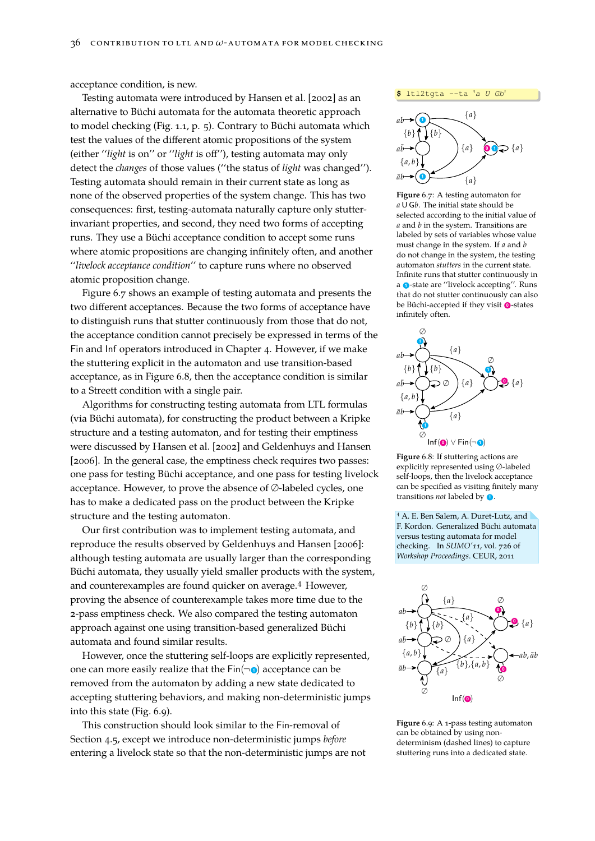acceptance condition, is new.

Testing automata were introduced by [Hansen et al. \[2002\]](#page-46-15) as an alternative to Büchi automata for the automata theoretic approach to model checking (Fig. [1.1,](#page-4-1) p. [5\)](#page-4-1). Contrary to Büchi automata which test the values of the different atomic propositions of the system (either ''*light* is on'' or ''*light* is off''), testing automata may only detect the *changes* of those values (''the status of *light* was changed''). Testing automata should remain in their current state as long as none of the observed properties of the system change. This has two consequences: first, testing-automata naturally capture only stutterinvariant properties, and second, they need two forms of accepting runs. They use a Büchi acceptance condition to accept some runs where atomic propositions are changing infinitely often, and another ''*livelock acceptance condition*'' to capture runs where no observed atomic proposition change.

Figure [6.7](#page-35-0) shows an example of testing automata and presents the two different acceptances. Because the two forms of acceptance have to distinguish runs that stutter continuously from those that do not, the acceptance condition cannot precisely be expressed in terms of the Fin and Inf operators introduced in Chapter [4.](#page-22-0) However, if we make the stuttering explicit in the automaton and use transition-based acceptance, as in Figure [6.8,](#page-35-1) then the acceptance condition is similar to a Streett condition with a single pair.

Algorithms for constructing testing automata from LTL formulas (via Büchi automata), for constructing the product between a Kripke structure and a testing automaton, and for testing their emptiness were discussed by [Hansen et al. \[2002\]](#page-46-15) and [Geldenhuys and Hansen](#page-45-15) [\[2006\]](#page-45-15). In the general case, the emptiness check requires two passes: one pass for testing Büchi acceptance, and one pass for testing livelock acceptance. However, to prove the absence of ∅-labeled cycles, one has to make a dedicated pass on the product between the Kripke structure and the testing automaton.

Our first contribution was to implement testing automata, and reproduce the results observed by [Geldenhuys and Hansen \[2006\]](#page-45-15): although testing automata are usually larger than the corresponding Büchi automata, they usually yield smaller products with the system, and counterexamples are found quicker on average.<sup>4</sup> However, proving the absence of counterexample takes more time due to the 2-pass emptiness check. We also compared the testing automaton approach against one using transition-based generalized Büchi automata and found similar results.

However, once the stuttering self-loops are explicitly represented, one can more easily realize that the  $Fin(\neg \bullet)$  acceptance can be removed from the automaton by adding a new state dedicated to accepting stuttering behaviors, and making non-deterministic jumps into this state (Fig. [6.9\)](#page-35-2).

This construction should look similar to the Fin-removal of Section [4.5,](#page-24-2) except we introduce non-deterministic jumps *before* entering a livelock state so that the non-deterministic jumps are not





<span id="page-35-0"></span>**Figure** 6.7: A testing automaton for *a* U G*b*. The initial state should be selected according to the initial value of *a* and *b* in the system. Transitions are labeled by sets of variables whose value must change in the system. If *a* and *b* do not change in the system, the testing automaton *stutters* in the current state. Infinite runs that stutter continuously in a  $\bullet$ -state are "livelock accepting". Runs that do not stutter continuously can also be Büchi-accepted if they visit **<sup>0</sup>** -states infinitely often.



<span id="page-35-1"></span>**Figure** 6.8: If stuttering actions are explicitly represented using ∅-labeled self-loops, then the livelock acceptance can be specified as visiting finitely many transitions *not* labeled by **<sup>1</sup>** .

<sup>4</sup> A. E. Ben Salem, A. Duret-Lutz, and F. Kordon. Generalized Büchi automata versus testing automata for model checking. In *SUMO'11*, vol. 726 of *Workshop Proceedings*. CEUR, 2011



<span id="page-35-2"></span>**Figure** 6.9: A 1-pass testing automaton can be obtained by using nondeterminism (dashed lines) to capture stuttering runs into a dedicated state.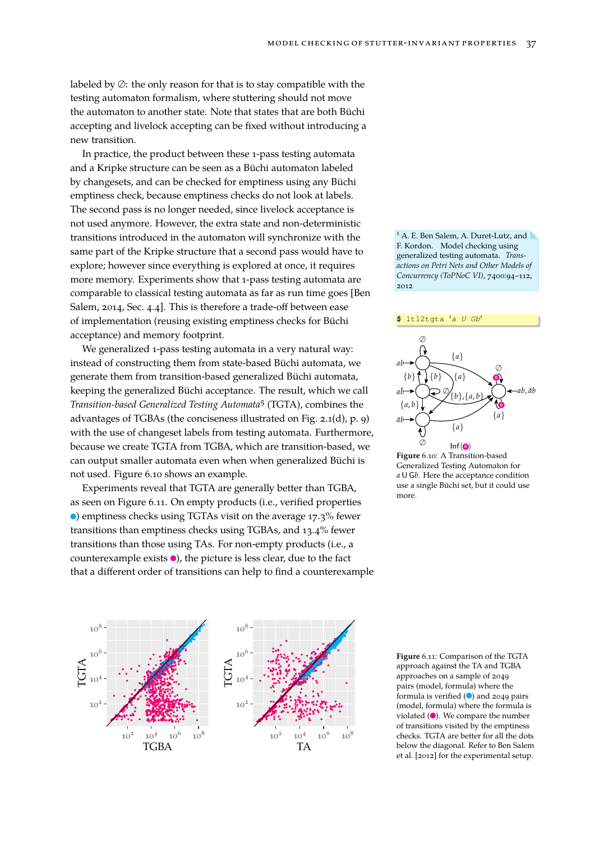labeled by ∅: the only reason for that is to stay compatible with the testing automaton formalism, where stuttering should not move the automaton to another state. Note that states that are both Büchi accepting and livelock accepting can be fixed without introducing a new transition.

In practice, the product between these 1-pass testing automata and a Kripke structure can be seen as a Büchi automaton labeled by changesets, and can be checked for emptiness using any Büchi emptiness check, because emptiness checks do not look at labels. The second pass is no longer needed, since livelock acceptance is not used anymore. However, the extra state and non-deterministic transitions introduced in the automaton will synchronize with the same part of the Kripke structure that a second pass would have to explore; however since everything is explored at once, it requires more memory. Experiments show that 1-pass testing automata are comparable to classical testing automata as far as run time goes [\[Ben](#page-43-0) [Salem, 2014,](#page-43-0) Sec. 4.4]. This is therefore a trade-off between ease of implementation (reusing existing emptiness checks for Büchi acceptance) and memory footprint.

We generalized 1-pass testing automata in a very natural way: instead of constructing them from state-based Büchi automata, we generate them from transition-based generalized Büchi automata, keeping the generalized Büchi acceptance. The result, which we call *Transition-based Generalized Testing Automata*<sup>5</sup> (TGTA), combines the advantages of TGBAs (the conciseness illustrated on Fig. [2.1\(d\),](#page-8-5)p. [9\)](#page-8-1) with the use of changeset labels from testing automata. Furthermore, because we create TGTA from TGBA, which are transition-based, we can output smaller automata even when when generalized Büchi is not used. Figure [6.10](#page-36-0) shows an example.

Experiments reveal that TGTA are generally better than TGBA, as seen on Figure [6.11.](#page-36-1) On empty products (i.e., verified properties ) emptiness checks using TGTAs visit on the average 17.3% fewer transitions than emptiness checks using TGBAs, and 13.4% fewer transitions than those using TAs. For non-empty products (i.e., a counterexample exists  $\bullet$ ), the picture is less clear, due to the fact that a different order of transitions can help to find a counterexample

<span id="page-36-2"></span>





<span id="page-36-0"></span>**Figure** 6.10: A Transition-based Generalized Testing Automaton for *a* U G*b*. Here the acceptance condition use a single Büchi set, but it could use more.



<span id="page-36-1"></span>**Figure** 6.11: Comparison of the TGTA approach against the TA and TGBA approaches on a sample of 2049 pairs (model, formula) where the formula is verified  $\left( \bullet \right)$  and 2049 pairs (model, formula) where the formula is violated  $($   $\bullet$ ). We compare the number of transitions visited by the emptiness checks. TGTA are better for all the dots below the diagonal. Referto [Ben Salem](#page-36-2) [et al. \[2012\]](#page-36-2) for the experimental setup.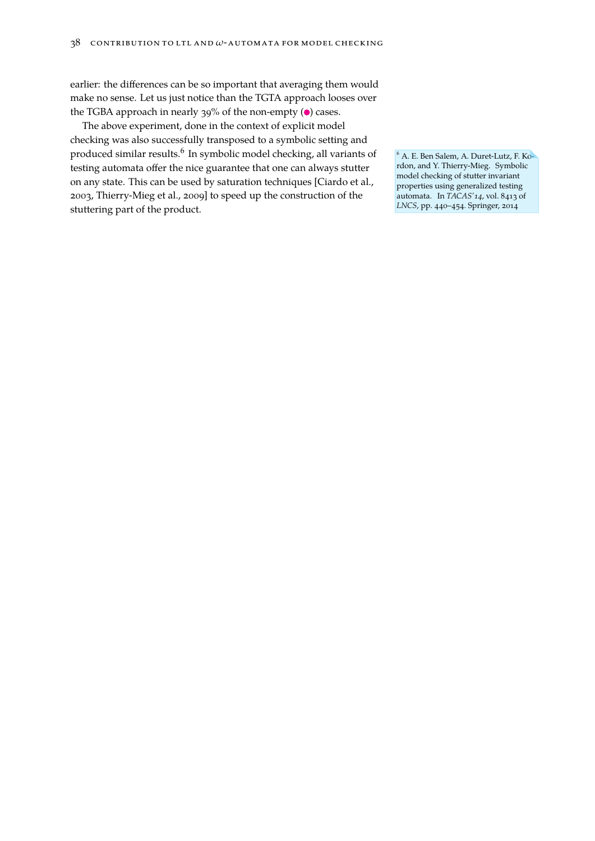earlier: the differences can be so important that averaging them would make no sense. Let us just notice than the TGTA approach looses over the TGBA approach in nearly 39% of the non-empty  $($   $)$  cases.

The above experiment, done in the context of explicit model checking was also successfully transposed to a symbolic setting and produced similar results.<sup>6</sup> In symbolic model checking, all variants of Ga. E. Ben Salem, A. Duret-Lutz, F. Kotesting automata offer the nice guarantee that one can always stutter on any state. This can be used by saturation techniques [\[Ciardo et al.,](#page-44-10) [2003,](#page-44-10) [Thierry-Mieg et al., 2009\]](#page-48-10) to speed up the construction of the stuttering part of the product.

rdon, and Y. Thierry-Mieg. Symbolic model checking of stutter invariant properties using generalized testing automata. In *TACAS'14*, vol. 8413 of *LNCS*, pp. 440–454. Springer, 2014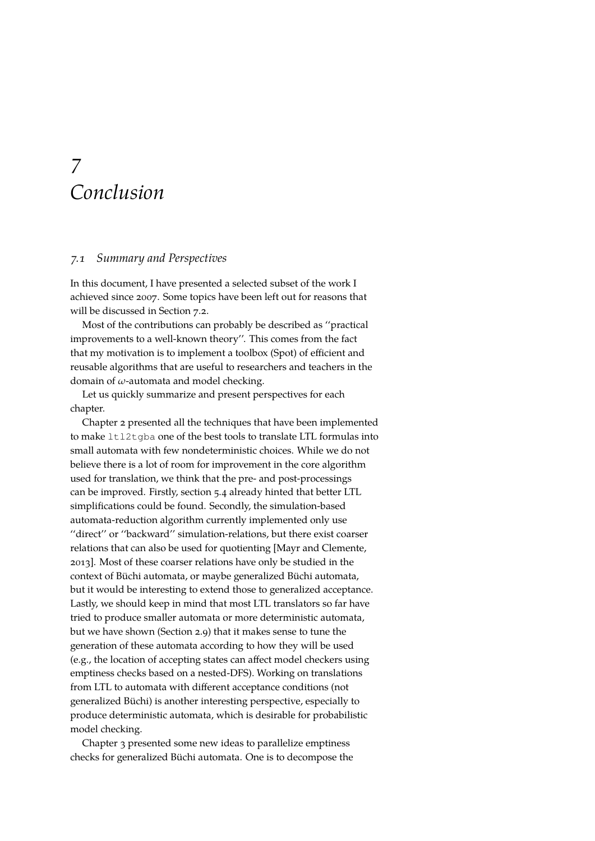### <span id="page-38-0"></span>*7 Conclusion*

#### *7.1 Summary and Perspectives*

In this document, I have presented a selected subset of the work I achieved since 2007. Some topics have been left out for reasons that will be discussed in Section [7.2.](#page-39-0)

Most of the contributions can probably be described as ''practical improvements to a well-known theory''. This comes from the fact that my motivation is to implement a toolbox (Spot) of efficient and reusable algorithms that are useful to researchers and teachers in the domain of *ω*-automata and model checking.

Let us quickly summarize and present perspectives for each chapter.

Chapter [2](#page-8-0) presented all the techniques that have been implemented to make ltl2tgba one of the best tools to translate LTL formulas into small automata with few nondeterministic choices. While we do not believe there is a lot of room for improvement in the core algorithm used for translation, we think that the pre- and post-processings can be improved. Firstly, section [5.4](#page-30-1) already hinted that better LTL simplifications could be found. Secondly, the simulation-based automata-reduction algorithm currently implemented only use ''direct'' or ''backward'' simulation-relations, but there exist coarser relations that can also be used for quotienting [\[Mayr and Clemente,](#page-47-10) [2013\]](#page-47-10). Most of these coarser relations have only be studied in the context of Büchi automata, or maybe generalized Büchi automata, but it would be interesting to extend those to generalized acceptance. Lastly, we should keep in mind that most LTL translators so far have tried to produce smaller automata or more deterministic automata, but we have shown (Section [2.9\)](#page-13-3) that it makes sense to tune the generation of these automata according to how they will be used (e.g., the location of accepting states can affect model checkers using emptiness checks based on a nested-DFS). Working on translations from LTL to automata with different acceptance conditions (not generalized Büchi) is another interesting perspective, especially to produce deterministic automata, which is desirable for probabilistic model checking.

Chapter [3](#page-18-0) presented some new ideas to parallelize emptiness checks for generalized Büchi automata. One is to decompose the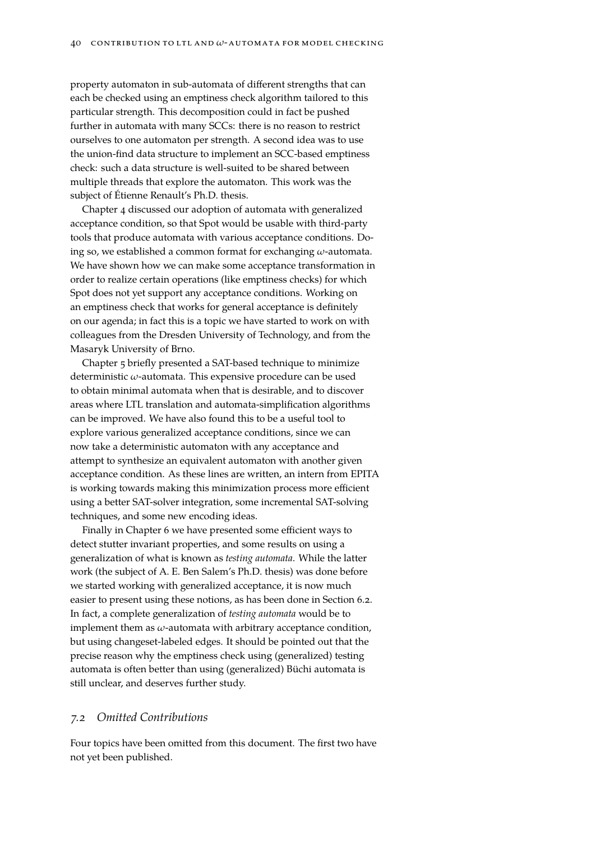property automaton in sub-automata of different strengths that can each be checked using an emptiness check algorithm tailored to this particular strength. This decomposition could in fact be pushed further in automata with many SCCs: there is no reason to restrict ourselves to one automaton per strength. A second idea was to use the union-find data structure to implement an SCC-based emptiness check: such a data structure is well-suited to be shared between multiple threads that explore the automaton. This work was the subject of Étienne Renault's Ph.D. thesis.

Chapter [4](#page-22-0) discussed our adoption of automata with generalized acceptance condition, so that Spot would be usable with third-party tools that produce automata with various acceptance conditions. Doing so, we established a common format for exchanging *ω*-automata. We have shown how we can make some acceptance transformation in order to realize certain operations (like emptiness checks) for which Spot does not yet support any acceptance conditions. Working on an emptiness check that works for general acceptance is definitely on our agenda; in fact this is a topic we have started to work on with colleagues from the Dresden University of Technology, and from the Masaryk University of Brno.

Chapter [5](#page-28-0) briefly presented a SAT-based technique to minimize deterministic *ω*-automata. This expensive procedure can be used to obtain minimal automata when that is desirable, and to discover areas where LTL translation and automata-simplification algorithms can be improved. We have also found this to be a useful tool to explore various generalized acceptance conditions, since we can now take a deterministic automaton with any acceptance and attempt to synthesize an equivalent automaton with another given acceptance condition. As these lines are written, an intern from EPITA is working towards making this minimization process more efficient using a better SAT-solver integration, some incremental SAT-solving techniques, and some new encoding ideas.

Finally in Chapter [6](#page-32-0) we have presented some efficient ways to detect stutter invariant properties, and some results on using a generalization of what is known as *testing automata*. While the latter work (the subject of A. E. Ben Salem's Ph.D. thesis) was done before we started working with generalized acceptance, it is now much easier to present using these notions, as has been done in Section [6.2.](#page-34-2) In fact, a complete generalization of *testing automata* would be to implement them as *ω*-automata with arbitrary acceptance condition, but using changeset-labeled edges. It should be pointed out that the precise reason why the emptiness check using (generalized) testing automata is often better than using (generalized) Büchi automata is still unclear, and deserves further study.

#### <span id="page-39-0"></span>*7.2 Omitted Contributions*

Four topics have been omitted from this document. The first two have not yet been published.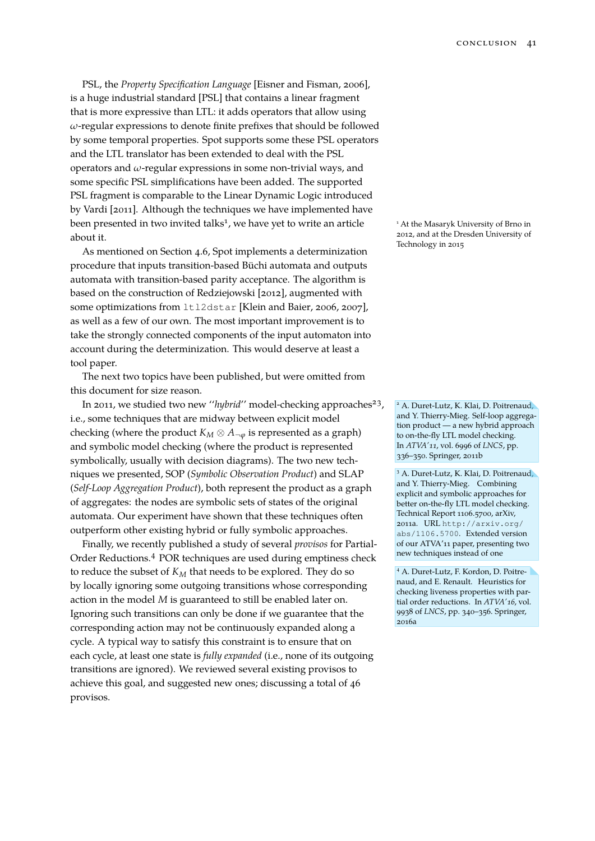PSL, the *Property Specification Language* [\[Eisner and Fisman, 2006\]](#page-45-0), is a huge industrial standard [\[PSL\]](#page-47-11) that contains a linear fragment that is more expressive than LTL: it adds operators that allow using *ω*-regular expressions to denote finite prefixes that should be followed by some temporal properties. Spot supports some these PSL operators and the LTL translator has been extended to deal with the PSL operators and *ω*-regular expressions in some non-trivial ways, and some specific PSL simplifications have been added. The supported PSL fragment is comparable to the Linear Dynamic Logic introduced by [Vardi \[2011\]](#page-49-4). Although the techniques we have implemented have been presented in two invited talks<sup>1</sup>, we have yet to write an article **1 At the Masaryk University of Brno** in about it.

As mentioned on Section [4.6,](#page-25-1) Spot implements a determinization procedure that inputs transition-based Büchi automata and outputs automata with transition-based parity acceptance. The algorithm is based on the construction of [Redziejowski \[2012\]](#page-47-7), augmented with some optimizations from ltl2dstar [\[Klein and Baier, 2006,](#page-46-0) [2007\]](#page-46-13), as well as a few of our own. The most important improvement is to take the strongly connected components of the input automaton into account during the determinization. This would deserve at least a tool paper.

The next two topics have been published, but were omitted from this document for size reason.

In 2011, we studied two new "hybrid" model-checking approaches<sup>23</sup>, i.e., some techniques that are midway between explicit model checking (where the product  $K_M \otimes A_{\neg \varphi}$  is represented as a graph) and symbolic model checking (where the product is represented symbolically, usually with decision diagrams). The two new techniques we presented, SOP (*Symbolic Observation Product*) and SLAP (*Self-Loop Aggregation Product*), both represent the product as a graph of aggregates: the nodes are symbolic sets of states of the original automata. Our experiment have shown that these techniques often outperform other existing hybrid or fully symbolic approaches.

Finally, we recently published a study of several *provisos* for Partial-Order Reductions.<sup>4</sup> POR techniques are used during emptiness check to reduce the subset of *K<sup>M</sup>* that needs to be explored. They do so by locally ignoring some outgoing transitions whose corresponding action in the model *M* is guaranteed to still be enabled later on. Ignoring such transitions can only be done if we guarantee that the corresponding action may not be continuously expanded along a cycle. A typical way to satisfy this constraint is to ensure that on each cycle, at least one state is *fully expanded* (i.e., none of its outgoing transitions are ignored). We reviewed several existing provisos to achieve this goal, and suggested new ones; discussing a total of 46 provisos.

2012, and at the Dresden University of Technology in 2015

<sup>2</sup> A. Duret-Lutz, K. Klai, D. Poitrenaud, and Y. Thierry-Mieg. Self-loop aggregation product — a new hybrid approach to on-the-fly LTL model checking. In *ATVA'11*, vol. 6996 of *LNCS*, pp. 336–350. Springer, 2011b

<sup>3</sup> A. Duret-Lutz, K. Klai, D. Poitrenaud, and Y. Thierry-Mieg. Combining explicit and symbolic approaches for better on-the-fly LTL model checking. Technical Report 1106.5700, arXiv, 2011a. URL [http://arxiv.org/](http://arxiv.org/abs/1106.5700) [abs/1106.5700](http://arxiv.org/abs/1106.5700). Extended version of our ATVA'11 paper, presenting two new techniques instead of one

<sup>4</sup> A. Duret-Lutz, F. Kordon, D. Poitrenaud, and E. Renault. Heuristics for checking liveness properties with partial order reductions. In *ATVA'16*, vol. 9938 of *LNCS*, pp. 340–356. Springer, 2016a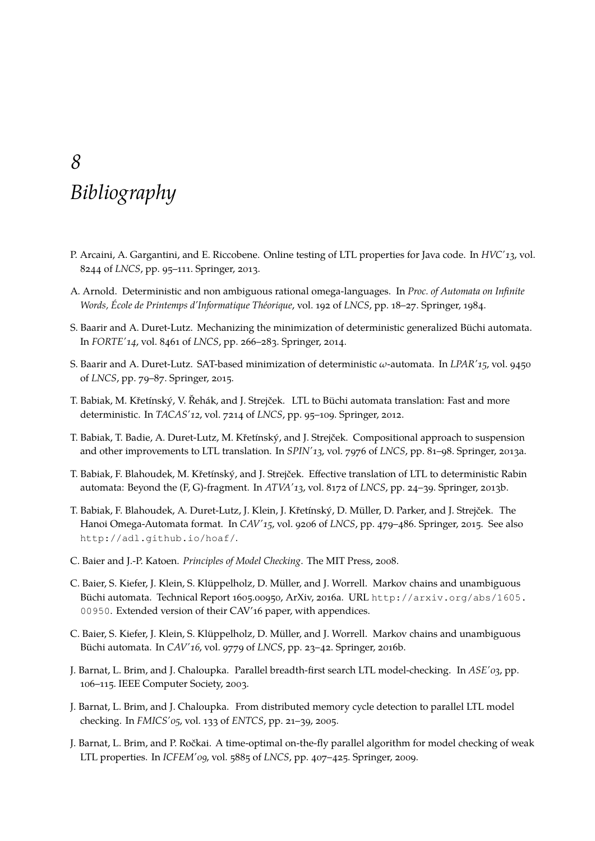### <span id="page-42-0"></span>*8 Bibliography*

- <span id="page-42-10"></span>P. Arcaini, A. Gargantini, and E. Riccobene. Online testing of LTL properties for Java code. In *HVC'13*, vol. 8244 of *LNCS*, pp. 95–111. Springer, 2013.
- <span id="page-42-2"></span>A. Arnold. Deterministic and non ambiguous rational omega-languages. In *Proc. of Automata on Infinite Words, École de Printemps d'Informatique Théorique*, vol. 192 of *LNCS*, pp. 18–27. Springer, 1984.
- S. Baarir and A. Duret-Lutz. Mechanizing the minimization of deterministic generalized Büchi automata. In *FORTE'14*, vol. 8461 of *LNCS*, pp. 266–283. Springer, 2014.
- S. Baarir and A. Duret-Lutz. SAT-based minimization of deterministic *ω*-automata. In *LPAR'15*, vol. 9450 of *LNCS*, pp. 79–87. Springer, 2015.
- <span id="page-42-1"></span>T. Babiak, M. Křetínský, V. Řehák, and J. Strejček. LTL to Büchi automata translation: Fast and more deterministic. In *TACAS'12*, vol. 7214 of *LNCS*, pp. 95–109. Springer, 2012.
- T. Babiak, T. Badie, A. Duret-Lutz, M. Křetínský, and J. Strejček. Compositional approach to suspension and other improvements to LTL translation. In *SPIN'13*, vol. 7976 of *LNCS*, pp. 81–98. Springer, 2013a.
- <span id="page-42-9"></span>T. Babiak, F. Blahoudek, M. Křetínský, and J. Strejček. Effective translation of LTL to deterministic Rabin automata: Beyond the (F, G)-fragment. In *ATVA'13*, vol. 8172 of *LNCS*, pp. 24–39. Springer, 2013b.
- T. Babiak, F. Blahoudek, A. Duret-Lutz, J. Klein, J. Křetínský, D. Müller, D. Parker, and J. Strejček. The Hanoi Omega-Automata format. In *CAV'15*, vol. 9206 of *LNCS*, pp. 479–486. Springer, 2015. See also <http://adl.github.io/hoaf/>.
- <span id="page-42-3"></span>C. Baier and J.-P. Katoen. *Principles of Model Checking*. The MIT Press, 2008.
- <span id="page-42-5"></span>C. Baier, S. Kiefer, J. Klein, S. Klüppelholz, D. Müller, and J. Worrell. Markov chains and unambiguous Büchi automata. Technical Report 1605.00950, ArXiv, 2016a. URL [http://arxiv.org/abs/1605.](http://arxiv.org/abs/1605.00950) [00950](http://arxiv.org/abs/1605.00950). Extended version of their CAV'16 paper, with appendices.
- <span id="page-42-4"></span>C. Baier, S. Kiefer, J. Klein, S. Klüppelholz, D. Müller, and J. Worrell. Markov chains and unambiguous Büchi automata. In *CAV'16*, vol. 9779 of *LNCS*, pp. 23–42. Springer, 2016b.
- <span id="page-42-6"></span>J. Barnat, L. Brim, and J. Chaloupka. Parallel breadth-first search LTL model-checking. In *ASE'03*, pp. 106–115. IEEE Computer Society, 2003.
- <span id="page-42-7"></span>J. Barnat, L. Brim, and J. Chaloupka. From distributed memory cycle detection to parallel LTL model checking. In *FMICS'05*, vol. 133 of *ENTCS*, pp. 21–39, 2005.
- <span id="page-42-8"></span>J. Barnat, L. Brim, and P. Ročkai. A time-optimal on-the-fly parallel algorithm for model checking of weak LTL properties. In *ICFEM'09*, vol. 5885 of *LNCS*, pp. 407–425. Springer, 2009.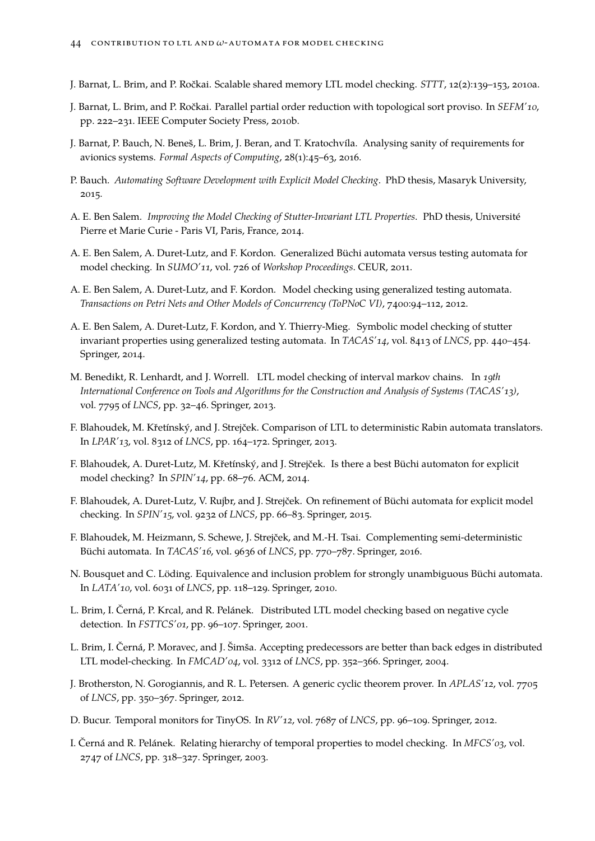- <span id="page-43-6"></span>J. Barnat, L. Brim, and P. Ročkai. Scalable shared memory LTL model checking. *STTT*, 12(2):139–153, 2010a.
- <span id="page-43-7"></span>J. Barnat, L. Brim, and P. Ročkai. Parallel partial order reduction with topological sort proviso. In *SEFM'10*, pp. 222–231. IEEE Computer Society Press, 2010b.
- <span id="page-43-13"></span>J. Barnat, P. Bauch, N. Beneš, L. Brim, J. Beran, and T. Kratochvíla. Analysing sanity of requirements for avionics systems. *Formal Aspects of Computing*, 28(1):45–63, 2016.
- <span id="page-43-12"></span>P. Bauch. *Automating Software Development with Explicit Model Checking*. PhD thesis, Masaryk University, 2015.
- <span id="page-43-0"></span>A. E. Ben Salem. *Improving the Model Checking of Stutter-Invariant LTL Properties*. PhD thesis, Université Pierre et Marie Curie - Paris VI, Paris, France, 2014.
- A. E. Ben Salem, A. Duret-Lutz, and F. Kordon. Generalized Büchi automata versus testing automata for model checking. In *SUMO'11*, vol. 726 of *Workshop Proceedings*. CEUR, 2011.
- A. E. Ben Salem, A. Duret-Lutz, and F. Kordon. Model checking using generalized testing automata. *Transactions on Petri Nets and Other Models of Concurrency (ToPNoC VI)*, 7400:94–112, 2012.
- A. E. Ben Salem, A. Duret-Lutz, F. Kordon, and Y. Thierry-Mieg. Symbolic model checking of stutter invariant properties using generalized testing automata. In *TACAS'14*, vol. 8413 of *LNCS*, pp. 440–454. Springer, 2014.
- <span id="page-43-3"></span>M. Benedikt, R. Lenhardt, and J. Worrell. LTL model checking of interval markov chains. In *19th International Conference on Tools and Algorithms for the Construction and Analysis of Systems (TACAS'13)*, vol. 7795 of *LNCS*, pp. 32–46. Springer, 2013.
- <span id="page-43-9"></span>F. Blahoudek, M. Křetínský, and J. Strejček. Comparison of LTL to deterministic Rabin automata translators. In *LPAR'13*, vol. 8312 of *LNCS*, pp. 164–172. Springer, 2013.
- F. Blahoudek, A. Duret-Lutz, M. Křetínský, and J. Strejček. Is there a best Büchi automaton for explicit model checking? In *SPIN'14*, pp. 68–76. ACM, 2014.
- F. Blahoudek, A. Duret-Lutz, V. Rujbr, and J. Strejček. On refinement of Büchi automata for explicit model checking. In *SPIN'15*, vol. 9232 of *LNCS*, pp. 66–83. Springer, 2015.
- <span id="page-43-10"></span>F. Blahoudek, M. Heizmann, S. Schewe, J. Strejček, and M.-H. Tsai. Complementing semi-deterministic Büchi automata. In *TACAS'16*, vol. 9636 of *LNCS*, pp. 770–787. Springer, 2016.
- <span id="page-43-2"></span>N. Bousquet and C. Löding. Equivalence and inclusion problem for strongly unambiguous Büchi automata. In *LATA'10*, vol. 6031 of *LNCS*, pp. 118–129. Springer, 2010.
- <span id="page-43-4"></span>L. Brim, I. Černá, P. Krcal, and R. Pelánek. Distributed LTL model checking based on negative cycle detection. In *FSTTCS'01*, pp. 96–107. Springer, 2001.
- <span id="page-43-5"></span>L. Brim, I. Černá, P. Moravec, and J. Šimša. Accepting predecessors are better than back edges in distributed LTL model-checking. In *FMCAD'04*, vol. 3312 of *LNCS*, pp. 352–366. Springer, 2004.
- <span id="page-43-11"></span>J. Brotherston, N. Gorogiannis, and R. L. Petersen. A generic cyclic theorem prover. In *APLAS'12*, vol. 7705 of *LNCS*, pp. 350–367. Springer, 2012.
- <span id="page-43-8"></span>D. Bucur. Temporal monitors for TinyOS. In *RV'12*, vol. 7687 of *LNCS*, pp. 96–109. Springer, 2012.
- <span id="page-43-1"></span>I. Černá and R. Pelánek. Relating hierarchy of temporal properties to model checking. In *MFCS'03*, vol. 2747 of *LNCS*, pp. 318–327. Springer, 2003.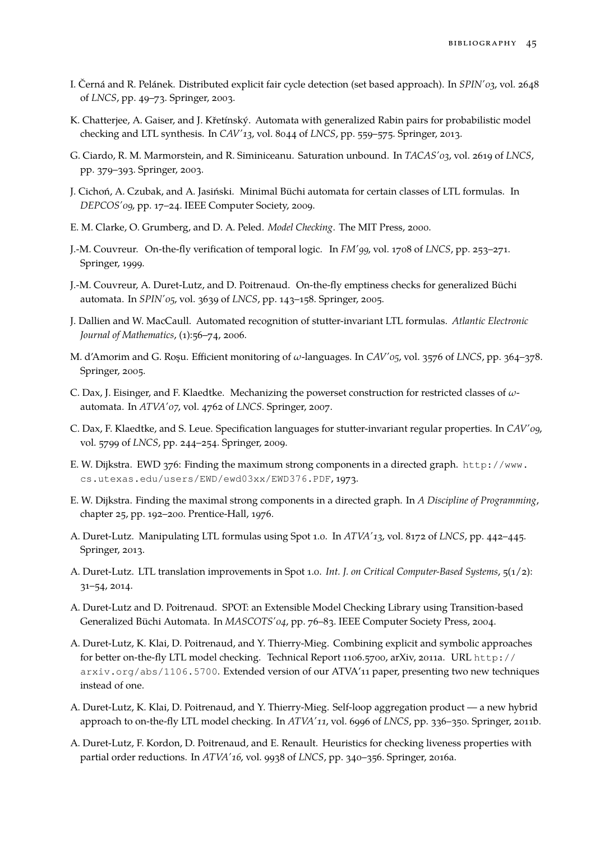- <span id="page-44-5"></span>I. Černá and R. Pelánek. Distributed explicit fair cycle detection (set based approach). In *SPIN'03*, vol. 2648 of *LNCS*, pp. 49–73. Springer, 2003.
- <span id="page-44-6"></span>K. Chatterjee, A. Gaiser, and J. Křetínský. Automata with generalized Rabin pairs for probabilistic model checking and LTL synthesis. In *CAV'13*, vol. 8044 of *LNCS*, pp. 559–575. Springer, 2013.
- <span id="page-44-10"></span>G. Ciardo, R. M. Marmorstein, and R. Siminiceanu. Saturation unbound. In *TACAS'03*, vol. 2619 of *LNCS*, pp. 379–393. Springer, 2003.
- <span id="page-44-11"></span>J. Cichoń, A. Czubak, and A. Jasiński. Minimal Büchi automata for certain classes of LTL formulas. In *DEPCOS'09*, pp. 17–24. IEEE Computer Society, 2009.
- <span id="page-44-7"></span>E. M. Clarke, O. Grumberg, and D. A. Peled. *Model Checking*. The MIT Press, 2000.
- <span id="page-44-0"></span>J.-M. Couvreur. On-the-fly verification of temporal logic. In *FM'99*, vol. 1708 of *LNCS*, pp. 253–271. Springer, 1999.
- J.-M. Couvreur, A. Duret-Lutz, and D. Poitrenaud. On-the-fly emptiness checks for generalized Büchi automata. In *SPIN'05*, vol. 3639 of *LNCS*, pp. 143–158. Springer, 2005.
- <span id="page-44-8"></span>J. Dallien and W. MacCaull. Automated recognition of stutter-invariant LTL formulas. *Atlantic Electronic Journal of Mathematics*, (1):56–74, 2006.
- <span id="page-44-2"></span>M. d'Amorim and G. Roşu. Efficient monitoring of *ω*-languages. In *CAV'05*, vol. 3576 of *LNCS*, pp. 364–378. Springer, 2005.
- <span id="page-44-1"></span>C. Dax, J. Eisinger, and F. Klaedtke. Mechanizing the powerset construction for restricted classes of *ω*automata. In *ATVA'07*, vol. 4762 of *LNCS*. Springer, 2007.
- <span id="page-44-9"></span>C. Dax, F. Klaedtke, and S. Leue. Specification languages for stutter-invariant regular properties. In *CAV'09*, vol. 5799 of *LNCS*, pp. 244–254. Springer, 2009.
- <span id="page-44-3"></span>E. W. Dijkstra. EWD 376: Finding the maximum strong components in a directed graph. [http://www.](http://www.cs.utexas.edu/users/EWD/ewd03xx/EWD376.PDF) [cs.utexas.edu/users/EWD/ewd03xx/EWD376.PDF](http://www.cs.utexas.edu/users/EWD/ewd03xx/EWD376.PDF), 1973.
- <span id="page-44-4"></span>E. W. Dijkstra. Finding the maximal strong components in a directed graph. In *A Discipline of Programming*, chapter 25, pp. 192–200. Prentice-Hall, 1976.
- A. Duret-Lutz. Manipulating LTL formulas using Spot 1.0. In *ATVA'13*, vol. 8172 of *LNCS*, pp. 442–445. Springer, 2013.
- A. Duret-Lutz. LTL translation improvements in Spot 1.0. *Int. J. on Critical Computer-Based Systems*, 5(1/2): 31–54, 2014.
- A. Duret-Lutz and D. Poitrenaud. SPOT: an Extensible Model Checking Library using Transition-based Generalized Büchi Automata. In *MASCOTS'04*, pp. 76–83. IEEE Computer Society Press, 2004.
- A. Duret-Lutz, K. Klai, D. Poitrenaud, and Y. Thierry-Mieg. Combining explicit and symbolic approaches for better on-the-fly LTL model checking. Technical Report 1106.5700, arXiv, 2011a. URL [http://](http://arxiv.org/abs/1106.5700) [arxiv.org/abs/1106.5700](http://arxiv.org/abs/1106.5700). Extended version of our ATVA'11 paper, presenting two new techniques instead of one.
- A. Duret-Lutz, K. Klai, D. Poitrenaud, and Y. Thierry-Mieg. Self-loop aggregation product a new hybrid approach to on-the-fly LTL model checking. In *ATVA'11*, vol. 6996 of *LNCS*, pp. 336–350. Springer, 2011b.
- A. Duret-Lutz, F. Kordon, D. Poitrenaud, and E. Renault. Heuristics for checking liveness properties with partial order reductions. In *ATVA'16*, vol. 9938 of *LNCS*, pp. 340–356. Springer, 2016a.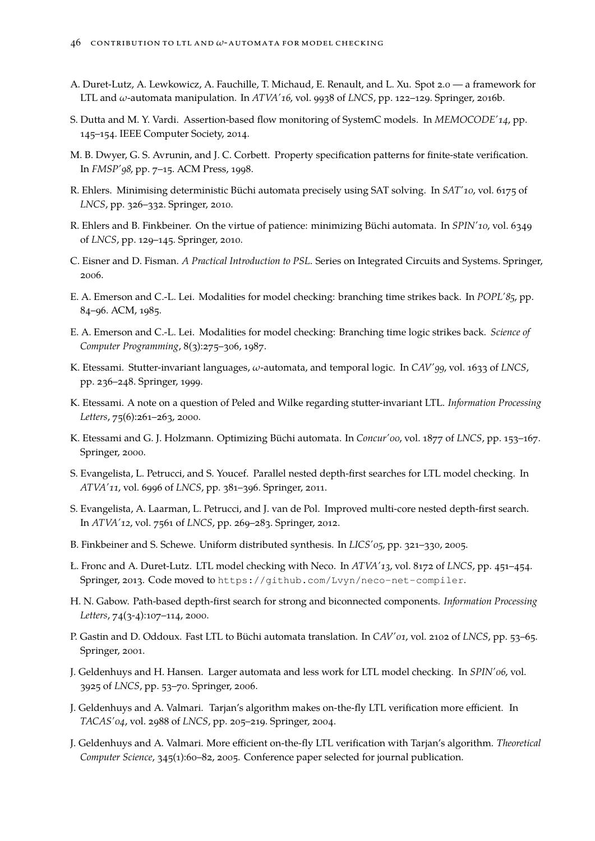- A. Duret-Lutz, A. Lewkowicz, A. Fauchille, T. Michaud, E. Renault, and L. Xu. Spot 2.0 a framework for LTL and *ω*-automata manipulation. In *ATVA'16*, vol. 9938 of *LNCS*, pp. 122–129. Springer, 2016b.
- <span id="page-45-17"></span>S. Dutta and M. Y. Vardi. Assertion-based flow monitoring of SystemC models. In *MEMOCODE'14*, pp. 145–154. IEEE Computer Society, 2014.
- <span id="page-45-1"></span>M. B. Dwyer, G. S. Avrunin, and J. C. Corbett. Property specification patterns for finite-state verification. In *FMSP'98*, pp. 7–15. ACM Press, 1998.
- <span id="page-45-12"></span>R. Ehlers. Minimising deterministic Büchi automata precisely using SAT solving. In *SAT'10*, vol. 6175 of *LNCS*, pp. 326–332. Springer, 2010.
- <span id="page-45-16"></span>R. Ehlers and B. Finkbeiner. On the virtue of patience: minimizing Büchi automata. In *SPIN'10*, vol. 6349 of *LNCS*, pp. 129–145. Springer, 2010.
- <span id="page-45-0"></span>C. Eisner and D. Fisman. *A Practical Introduction to PSL*. Series on Integrated Circuits and Systems. Springer, 2006.
- <span id="page-45-10"></span>E. A. Emerson and C.-L. Lei. Modalities for model checking: branching time strikes back. In *POPL'85*, pp. 84–96. ACM, 1985.
- <span id="page-45-9"></span>E. A. Emerson and C.-L. Lei. Modalities for model checking: Branching time logic strikes back. *Science of Computer Programming*, 8(3):275–306, 1987.
- <span id="page-45-13"></span>K. Etessami. Stutter-invariant languages, *ω*-automata, and temporal logic. In *CAV'99*, vol. 1633 of *LNCS*, pp. 236–248. Springer, 1999.
- <span id="page-45-14"></span>K. Etessami. A note on a question of Peled and Wilke regarding stutter-invariant LTL. *Information Processing Letters*, 75(6):261–263, 2000.
- <span id="page-45-3"></span>K. Etessami and G. J. Holzmann. Optimizing Büchi automata. In *Concur'00*, vol. 1877 of *LNCS*, pp. 153–167. Springer, 2000.
- <span id="page-45-7"></span>S. Evangelista, L. Petrucci, and S. Youcef. Parallel nested depth-first searches for LTL model checking. In *ATVA'11*, vol. 6996 of *LNCS*, pp. 381–396. Springer, 2011.
- <span id="page-45-8"></span>S. Evangelista, A. Laarman, L. Petrucci, and J. van de Pol. Improved multi-core nested depth-first search. In *ATVA'12*, vol. 7561 of *LNCS*, pp. 269–283. Springer, 2012.
- <span id="page-45-11"></span>B. Finkbeiner and S. Schewe. Uniform distributed synthesis. In *LICS'05*, pp. 321–330, 2005.
- Ł. Fronc and A. Duret-Lutz. LTL model checking with Neco. In *ATVA'13*, vol. 8172 of *LNCS*, pp. 451–454. Springer, 2013. Code moved to <https://github.com/Lvyn/neco-net-compiler>.
- <span id="page-45-6"></span>H. N. Gabow. Path-based depth-first search for strong and biconnected components. *Information Processing Letters*, 74(3-4):107–114, 2000.
- <span id="page-45-2"></span>P. Gastin and D. Oddoux. Fast LTL to Büchi automata translation. In *CAV'01*, vol. 2102 of *LNCS*, pp. 53–65. Springer, 2001.
- <span id="page-45-15"></span>J. Geldenhuys and H. Hansen. Larger automata and less work for LTL model checking. In *SPIN'06*, vol. 3925 of *LNCS*, pp. 53–70. Springer, 2006.
- <span id="page-45-5"></span>J. Geldenhuys and A. Valmari. Tarjan's algorithm makes on-the-fly LTL verification more efficient. In *TACAS'04*, vol. 2988 of *LNCS*, pp. 205–219. Springer, 2004.
- <span id="page-45-4"></span>J. Geldenhuys and A. Valmari. More efficient on-the-fly LTL verification with Tarjan's algorithm. *Theoretical Computer Science*, 345(1):60–82, 2005. Conference paper selected for journal publication.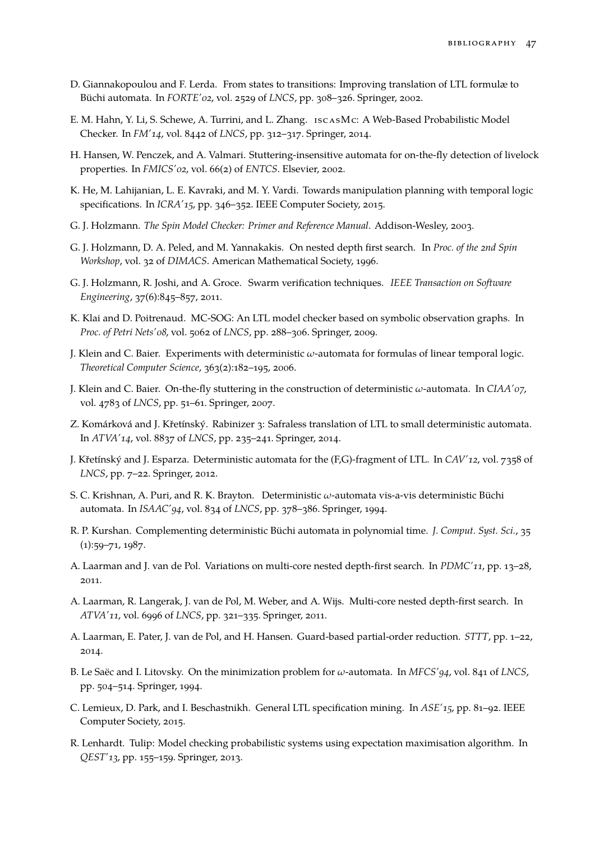- <span id="page-46-3"></span>D. Giannakopoulou and F. Lerda. From states to transitions: Improving translation of LTL formulæ to Büchi automata. In *FORTE'02*, vol. 2529 of *LNCS*, pp. 308–326. Springer, 2002.
- <span id="page-46-17"></span>E. M. Hahn, Y. Li, S. Schewe, A. Turrini, and L. Zhang. iscasMc: A Web-Based Probabilistic Model Checker. In *FM'14*, vol. 8442 of *LNCS*, pp. 312–317. Springer, 2014.
- <span id="page-46-15"></span>H. Hansen, W. Penczek, and A. Valmari. Stuttering-insensitive automata for on-the-fly detection of livelock properties. In *FMICS'02*, vol. 66(2) of *ENTCS*. Elsevier, 2002.
- <span id="page-46-16"></span>K. He, M. Lahijanian, L. E. Kavraki, and M. Y. Vardi. Towards manipulation planning with temporal logic specifications. In *ICRA'15*, pp. 346–352. IEEE Computer Society, 2015.
- <span id="page-46-4"></span>G. J. Holzmann. *The Spin Model Checker: Primer and Reference Manual*. Addison-Wesley, 2003.
- <span id="page-46-5"></span>G. J. Holzmann, D. A. Peled, and M. Yannakakis. On nested depth first search. In *Proc. of the 2nd Spin Workshop*, vol. 32 of *DIMACS*. American Mathematical Society, 1996.
- <span id="page-46-7"></span>G. J. Holzmann, R. Joshi, and A. Groce. Swarm verification techniques. *IEEE Transaction on Software Engineering*, 37(6):845–857, 2011.
- <span id="page-46-18"></span>K. Klai and D. Poitrenaud. MC-SOG: An LTL model checker based on symbolic observation graphs. In *Proc. of Petri Nets'08*, vol. 5062 of *LNCS*, pp. 288–306. Springer, 2009.
- <span id="page-46-0"></span>J. Klein and C. Baier. Experiments with deterministic *ω*-automata for formulas of linear temporal logic. *Theoretical Computer Science*, 363(2):182–195, 2006.
- <span id="page-46-13"></span>J. Klein and C. Baier. On-the-fly stuttering in the construction of deterministic *ω*-automata. In *CIAA'07*, vol. 4783 of *LNCS*, pp. 51–61. Springer, 2007.
- <span id="page-46-11"></span>Z. Komárková and J. Křetínský. Rabinizer 3: Safraless translation of LTL to small deterministic automata. In *ATVA'14*, vol. 8837 of *LNCS*, pp. 235–241. Springer, 2014.
- <span id="page-46-10"></span>J. Křetínský and J. Esparza. Deterministic automata for the (F,G)-fragment of LTL. In *CAV'12*, vol. 7358 of *LNCS*, pp. 7–22. Springer, 2012.
- <span id="page-46-12"></span>S. C. Krishnan, A. Puri, and R. K. Brayton. Deterministic *ω*-automata vis-a-vis deterministic Büchi automata. In *ISAAC'94*, vol. 834 of *LNCS*, pp. 378–386. Springer, 1994.
- <span id="page-46-1"></span>R. P. Kurshan. Complementing deterministic Büchi automata in polynomial time. *J. Comput. Syst. Sci.*, 35 (1):59–71, 1987.
- <span id="page-46-9"></span>A. Laarman and J. van de Pol. Variations on multi-core nested depth-first search. In *PDMC'11*, pp. 13–28, 2011.
- <span id="page-46-8"></span>A. Laarman, R. Langerak, J. van de Pol, M. Weber, and A. Wijs. Multi-core nested depth-first search. In *ATVA'11*, vol. 6996 of *LNCS*, pp. 321–335. Springer, 2011.
- <span id="page-46-14"></span>A. Laarman, E. Pater, J. van de Pol, and H. Hansen. Guard-based partial-order reduction. *STTT*, pp. 1–22, 2014.
- <span id="page-46-2"></span>B. Le Saëc and I. Litovsky. On the minimization problem for *ω*-automata. In *MFCS'94*, vol. 841 of *LNCS*, pp. 504–514. Springer, 1994.
- <span id="page-46-19"></span>C. Lemieux, D. Park, and I. Beschastnikh. General LTL specification mining. In *ASE'15*, pp. 81–92. IEEE Computer Society, 2015.
- <span id="page-46-6"></span>R. Lenhardt. Tulip: Model checking probabilistic systems using expectation maximisation algorithm. In *QEST'13*, pp. 155–159. Springer, 2013.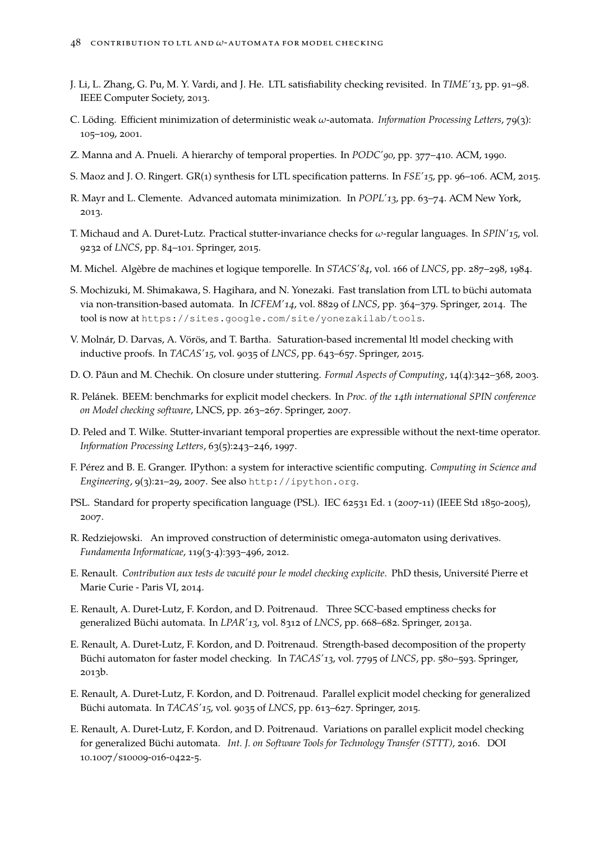- <span id="page-47-12"></span>J. Li, L. Zhang, G. Pu, M. Y. Vardi, and J. He. LTL satisfiability checking revisited. In *TIME'13*, pp. 91–98. IEEE Computer Society, 2013.
- <span id="page-47-5"></span>C. Löding. Efficient minimization of deterministic weak *ω*-automata. *Information Processing Letters*, 79(3): 105–109, 2001.
- <span id="page-47-3"></span>Z. Manna and A. Pnueli. A hierarchy of temporal properties. In *PODC'90*, pp. 377–410. ACM, 1990.
- <span id="page-47-14"></span>S. Maoz and J. O. Ringert. GR(1) synthesis for LTL specification patterns. In *FSE'15*, pp. 96–106. ACM, 2015.
- <span id="page-47-10"></span>R. Mayr and L. Clemente. Advanced automata minimization. In *POPL'13*, pp. 63–74. ACM New York, 2013.
- T. Michaud and A. Duret-Lutz. Practical stutter-invariance checks for *ω*-regular languages. In *SPIN'15*, vol. 9232 of *LNCS*, pp. 84–101. Springer, 2015.
- <span id="page-47-2"></span>M. Michel. Algèbre de machines et logique temporelle. In *STACS'84*, vol. 166 of *LNCS*, pp. 287–298, 1984.
- <span id="page-47-4"></span>S. Mochizuki, M. Shimakawa, S. Hagihara, and N. Yonezaki. Fast translation from LTL to büchi automata via non-transition-based automata. In *ICFEM'14*, vol. 8829 of *LNCS*, pp. 364–379. Springer, 2014. The tool is now at <https://sites.google.com/site/yonezakilab/tools>.
- <span id="page-47-13"></span>V. Molnár, D. Darvas, A. Vörös, and T. Bartha. Saturation-based incremental ltl model checking with inductive proofs. In *TACAS'15*, vol. 9035 of *LNCS*, pp. 643–657. Springer, 2015.
- <span id="page-47-8"></span>D. O. Păun and M. Chechik. On closure under stuttering. *Formal Aspects of Computing*, 14(4):342–368, 2003.
- <span id="page-47-6"></span>R. Pelánek. BEEM: benchmarks for explicit model checkers. In *Proc. of the 14th international SPIN conference on Model checking software*, LNCS, pp. 263–267. Springer, 2007.
- <span id="page-47-9"></span>D. Peled and T. Wilke. Stutter-invariant temporal properties are expressible without the next-time operator. *Information Processing Letters*, 63(5):243–246, 1997.
- <span id="page-47-0"></span>F. Pérez and B. E. Granger. IPython: a system for interactive scientific computing. *Computing in Science and Engineering*, 9(3):21–29, 2007. See also <http://ipython.org>.
- <span id="page-47-11"></span>PSL. Standard for property specification language (PSL). IEC 62531 Ed. 1 (2007-11) (IEEE Std 1850-2005), 2007.
- <span id="page-47-7"></span>R. Redziejowski. An improved construction of deterministic omega-automaton using derivatives. *Fundamenta Informaticae*, 119(3-4):393–496, 2012.
- <span id="page-47-1"></span>E. Renault. *Contribution aux tests de vacuité pour le model checking explicite*. PhD thesis, Université Pierre et Marie Curie - Paris VI, 2014.
- E. Renault, A. Duret-Lutz, F. Kordon, and D. Poitrenaud. Three SCC-based emptiness checks for generalized Büchi automata. In *LPAR'13*, vol. 8312 of *LNCS*, pp. 668–682. Springer, 2013a.
- E. Renault, A. Duret-Lutz, F. Kordon, and D. Poitrenaud. Strength-based decomposition of the property Büchi automaton for faster model checking. In *TACAS'13*, vol. 7795 of *LNCS*, pp. 580–593. Springer, 2013b.
- E. Renault, A. Duret-Lutz, F. Kordon, and D. Poitrenaud. Parallel explicit model checking for generalized Büchi automata. In *TACAS'15*, vol. 9035 of *LNCS*, pp. 613–627. Springer, 2015.
- E. Renault, A. Duret-Lutz, F. Kordon, and D. Poitrenaud. Variations on parallel explicit model checking for generalized Büchi automata. *Int. J. on Software Tools for Technology Transfer (STTT)*, 2016. DOI [10.1007/s10009-016-0422-5.](http://doi.org/10.1007/s10009-016-0422-5)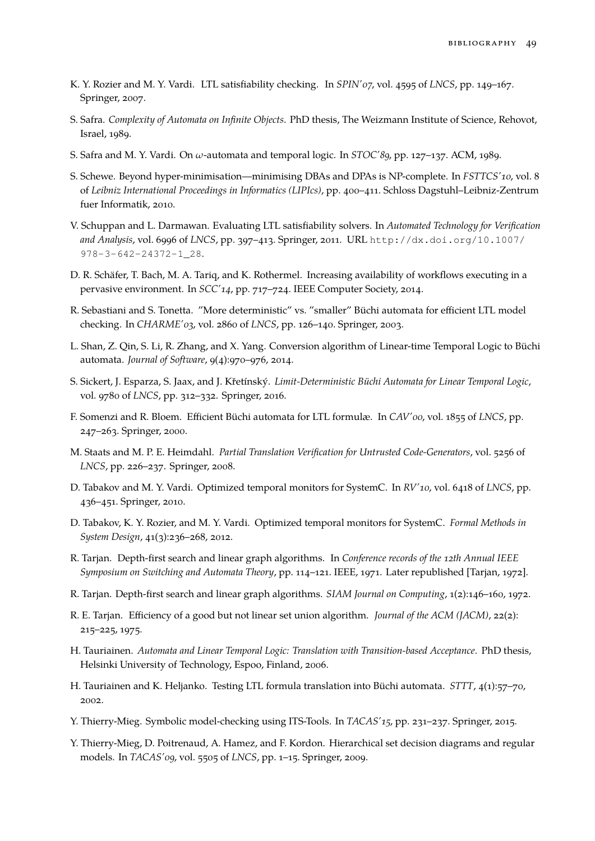- <span id="page-48-15"></span>K. Y. Rozier and M. Y. Vardi. LTL satisfiability checking. In *SPIN'07*, vol. 4595 of *LNCS*, pp. 149–167. Springer, 2007.
- <span id="page-48-18"></span>S. Safra. *Complexity of Automata on Infinite Objects*. PhD thesis, The Weizmann Institute of Science, Rehovot, Israel, 1989.
- <span id="page-48-7"></span>S. Safra and M. Y. Vardi. On *ω*-automata and temporal logic. In *STOC'89*, pp. 127–137. ACM, 1989.
- <span id="page-48-9"></span>S. Schewe. Beyond hyper-minimisation—minimising DBAs and DPAs is NP-complete. In *FSTTCS'10*, vol. 8 of *Leibniz International Proceedings in Informatics (LIPIcs)*, pp. 400–411. Schloss Dagstuhl–Leibniz-Zentrum fuer Informatik, 2010.
- <span id="page-48-16"></span>V. Schuppan and L. Darmawan. Evaluating LTL satisfiability solvers. In *Automated Technology for Verification and Analysis*, vol. 6996 of *LNCS*, pp. 397–413. Springer, 2011. URL [http://dx.doi.org/10.1007/](http://dx.doi.org/10.1007/978-3-642-24372-1_28) [978-3-642-24372-1\\_28](http://dx.doi.org/10.1007/978-3-642-24372-1_28).
- <span id="page-48-19"></span>D. R. Schäfer, T. Bach, M. A. Tariq, and K. Rothermel. Increasing availability of workflows executing in a pervasive environment. In *SCC'14*, pp. 717–724. IEEE Computer Society, 2014.
- <span id="page-48-0"></span>R. Sebastiani and S. Tonetta. "More deterministic" vs. "smaller" Büchi automata for efficient LTL model checking. In *CHARME'03*, vol. 2860 of *LNCS*, pp. 126–140. Springer, 2003.
- <span id="page-48-14"></span>L. Shan, Z. Qin, S. Li, R. Zhang, and X. Yang. Conversion algorithm of Linear-time Temporal Logic to Büchi automata. *Journal of Software*, 9(4):970–976, 2014.
- <span id="page-48-13"></span>S. Sickert, J. Esparza, S. Jaax, and J. Křetínský. *Limit-Deterministic Büchi Automata for Linear Temporal Logic*, vol. 9780 of *LNCS*, pp. 312–332. Springer, 2016.
- <span id="page-48-1"></span>F. Somenzi and R. Bloem. Efficient Büchi automata for LTL formulæ. In *CAV'00*, vol. 1855 of *LNCS*, pp. 247–263. Springer, 2000.
- <span id="page-48-11"></span>M. Staats and M. P. E. Heimdahl. *Partial Translation Verification for Untrusted Code-Generators*, vol. 5256 of *LNCS*, pp. 226–237. Springer, 2008.
- <span id="page-48-3"></span>D. Tabakov and M. Y. Vardi. Optimized temporal monitors for SystemC. In *RV'10*, vol. 6418 of *LNCS*, pp. 436–451. Springer, 2010.
- <span id="page-48-12"></span>D. Tabakov, K. Y. Rozier, and M. Y. Vardi. Optimized temporal monitors for SystemC. *Formal Methods in System Design*, 41(3):236–268, 2012.
- <span id="page-48-4"></span>R. Tarjan. Depth-first search and linear graph algorithms. In *Conference records of the 12th Annual IEEE Symposium on Switching and Automata Theory*, pp. 114–121. IEEE, 1971. Later republished [\[Tarjan, 1972\]](#page-48-5).
- <span id="page-48-5"></span>R. Tarjan. Depth-first search and linear graph algorithms. *SIAM Journal on Computing*, 1(2):146–160, 1972.
- <span id="page-48-6"></span>R. E. Tarjan. Efficiency of a good but not linear set union algorithm. *Journal of the ACM (JACM)*, 22(2): 215–225, 1975.
- <span id="page-48-2"></span>H. Tauriainen. *Automata and Linear Temporal Logic: Translation with Transition-based Acceptance*. PhD thesis, Helsinki University of Technology, Espoo, Finland, 2006.
- <span id="page-48-8"></span>H. Tauriainen and K. Heljanko. Testing LTL formula translation into Büchi automata. *STTT*, 4(1):57–70, 2002.
- <span id="page-48-17"></span>Y. Thierry-Mieg. Symbolic model-checking using ITS-Tools. In *TACAS'15*, pp. 231–237. Springer, 2015.
- <span id="page-48-10"></span>Y. Thierry-Mieg, D. Poitrenaud, A. Hamez, and F. Kordon. Hierarchical set decision diagrams and regular models. In *TACAS'09*, vol. 5505 of *LNCS*, pp. 1–15. Springer, 2009.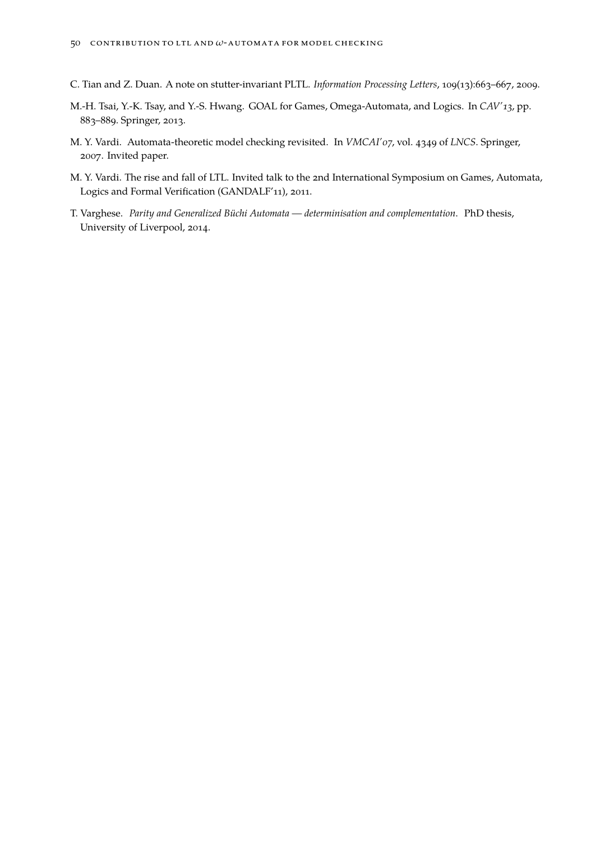- <span id="page-49-3"></span>C. Tian and Z. Duan. A note on stutter-invariant PLTL. *Information Processing Letters*, 109(13):663–667, 2009.
- <span id="page-49-2"></span>M.-H. Tsai, Y.-K. Tsay, and Y.-S. Hwang. GOAL for Games, Omega-Automata, and Logics. In *CAV'13*, pp. 883–889. Springer, 2013.
- <span id="page-49-0"></span>M. Y. Vardi. Automata-theoretic model checking revisited. In *VMCAI'07*, vol. 4349 of *LNCS*. Springer, 2007. Invited paper.
- <span id="page-49-4"></span>M. Y. Vardi. The rise and fall of LTL. Invited talk to the 2nd International Symposium on Games, Automata, Logics and Formal Verification (GANDALF'11), 2011.
- <span id="page-49-1"></span>T. Varghese. *Parity and Generalized Büchi Automata — determinisation and complementation*. PhD thesis, University of Liverpool, 2014.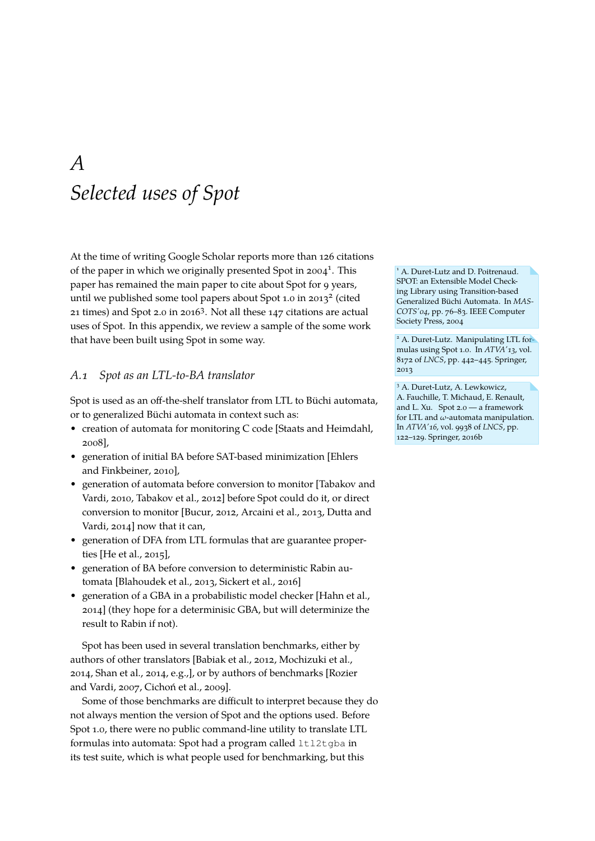### <span id="page-50-0"></span>*A Selected uses of Spot*

At the time of writing [Google Scholar reports more than 126 citations](https://scholar.google.fr/scholar?oi=bibs&hl=fr&cites=14494065957429457598&as_sdt=5) of the paper in which we originally presented Spot in  $2004^1$ . This paper has remained the main paper to cite about Spot for 9 years, until we published some tool papers about Spot 1.0 in 2013<sup>2</sup> (cited 21 times) and Spot 2.0 in 2016<sup>3</sup>. Not all these 147 citations are actual uses of Spot. In this appendix, we review a sample of the some work that have been built using Spot in some way.

#### *A.1 Spot as an LTL-to-BA translator*

Spot is used as an off-the-shelf translator from LTL to Büchi automata, or to generalized Büchi automata in context such as:

- creation of automata for monitoring C code [\[Staats and Heimdahl,](#page-48-11) [2008\]](#page-48-11),
- generation of initial BA before SAT-based minimization [\[Ehlers](#page-45-16) [and Finkbeiner, 2010\]](#page-45-16),
- generation of automata before conversion to monitor [\[Tabakov and](#page-48-3) [Vardi, 2010,](#page-48-3) [Tabakov et al., 2012\]](#page-48-12) before Spot could do it, or direct conversion to monitor [\[Bucur, 2012,](#page-43-8) [Arcaini et al., 2013,](#page-42-10) [Dutta and](#page-45-17) [Vardi, 2014\]](#page-45-17) now that it can,
- generation of DFA from LTL formulas that are guarantee properties [\[He et al., 2015\]](#page-46-16),
- generation of BA before conversion to deterministic Rabin automata [\[Blahoudek et al., 2013,](#page-43-9) [Sickert et al., 2016\]](#page-48-13)
- generation of a GBA in a probabilistic model checker [\[Hahn et al.,](#page-46-17) [2014\]](#page-46-17) (they hope for a determinisic GBA, but will determinize the result to Rabin if not).

Spot has been used in several translation benchmarks, either by authors of other translators [\[Babiak et al., 2012,](#page-42-1) [Mochizuki et al.,](#page-47-4) [2014,](#page-47-4) [Shan et al., 2014,](#page-48-14) e.g.,], or by authors of benchmarks [\[Rozier](#page-48-15) [and Vardi, 2007,](#page-48-15) [Cichoń et al., 2009\]](#page-44-11).

Some of those benchmarks are difficult to interpret because they do not always mention the version of Spot and the options used. Before Spot 1.0, there were no public command-line utility to translate LTL formulas into automata: Spot had a program called ltl2tgba in its test suite, which is what people used for benchmarking, but this

<sup>1</sup> A. Duret-Lutz and D. Poitrenaud. SPOT: an Extensible Model Checking Library using Transition-based Generalized Büchi Automata. In *MAS-COTS'04*, pp. 76–83. IEEE Computer Society Press, 2004

<sup>2</sup> A. Duret-Lutz. Manipulating LTL formulas using Spot 1.0. In *ATVA'13*, vol. 8172 of *LNCS*, pp. 442–445. Springer, 2013

<sup>3</sup> A. Duret-Lutz, A. Lewkowicz, A. Fauchille, T. Michaud, E. Renault, and L. Xu. Spot 2.0 — a framework for LTL and *ω*-automata manipulation. In *ATVA'16*, vol. 9938 of *LNCS*, pp. 122–129. Springer, 2016b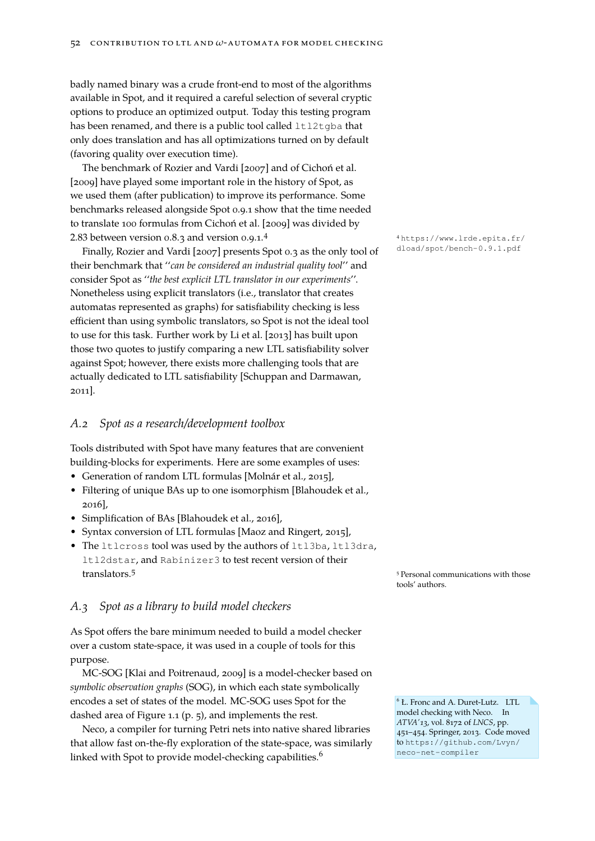badly named binary was a crude front-end to most of the algorithms available in Spot, and it required a careful selection of several cryptic options to produce an optimized output. Today this testing program has been renamed, and there is a public tool called ltl2tgba that only does translation and has all optimizations turned on by default (favoring quality over execution time).

The benchmarkof [Rozier and Vardi \[2007\]](#page-48-15) and of [Cichoń et al.](#page-44-11) [\[2009\]](#page-44-11) have played some important role in the history of Spot, as we used them (after publication) to improve its performance. Some benchmarks released alongside Spot 0.9.1 show that the time needed to translate 100 formulas from [Cichoń et al. \[2009\]](#page-44-11) was divided by 2.83 between version 0.8.3 and version 0.9.1.<sup>4</sup>  $\frac{4 \text{ https://www.lrde.epita.fr/}}{4 \text{ https://www.lrde.epita.fr/}}$  $\frac{4 \text{ https://www.lrde.epita.fr/}}{4 \text{ https://www.lrde.epita.fr/}}$  $\frac{4 \text{ https://www.lrde.epita.fr/}}{4 \text{ https://www.lrde.epita.fr/}}$ 

Finally, Rozier and Vardi [2007] presents Spot 0.3 as the only tool of [dload/spot/bench-0.9.1.pdf](https://www.lrde.epita.fr/dload/spot/bench-0.9.1.pdf) their benchmark that ''*can be considered an industrial quality tool*'' and consider Spot as ''*the best explicit LTL translator in our experiments*''. Nonetheless using explicit translators (i.e., translator that creates automatas represented as graphs) for satisfiability checking is less efficient than using symbolic translators, so Spot is not the ideal tool to use for this task. Further work by [Li et al. \[2013\]](#page-47-12) has built upon those two quotes to justify comparing a new LTL satisfiability solver against Spot; however, there exists more challenging tools that are actually dedicated to LTL satisfiability [\[Schuppan and Darmawan,](#page-48-16) [2011\]](#page-48-16).

#### *A.2 Spot as a research/development toolbox*

Tools distributed with Spot have many features that are convenient building-blocks for experiments. Here are some examples of uses:

- Generation of random LTL formulas [\[Molnár et al., 2015\]](#page-47-13),
- Filtering of unique BAs up to one isomorphism [\[Blahoudek et al.,](#page-43-10) [2016\]](#page-43-10),
- Simplification of BAs [\[Blahoudek et al., 2016\]](#page-43-10),
- Syntax conversion of LTL formulas [\[Maoz and Ringert, 2015\]](#page-47-14),
- The ltlcross tool was used by the authors of ltl3ba, ltl3dra, ltl2dstar, and Rabinizer3 to test recent version of their translators.<sup>5</sup> Personal communications with those

#### *A.3 Spot as a library to build model checkers*

As Spot offers the bare minimum needed to build a model checker over a custom state-space, it was used in a couple of tools for this purpose.

MC-SOG [\[Klai and Poitrenaud, 2009\]](#page-46-18) is a model-checker based on *symbolic observation graphs* (SOG), in which each state symbolically encodes a set of states of the model. MC-SOG uses Spot for the dashed area of Figure [1.1](#page-4-1) (p. [5\)](#page-4-1), and implements the rest.

Neco, a compiler for turning Petri nets into native shared libraries that allow fast on-the-fly exploration of the state-space, was similarly linked with Spot to provide model-checking capabilities.<sup>6</sup>

tools' authors.

<sup>6</sup> Ł. Fronc and A. Duret-Lutz. LTL model checking with Neco. In *ATVA'13*, vol. 8172 of *LNCS*, pp. 451–454. Springer, 2013. Code moved to [https://github.com/Lvyn/](https://github.com/Lvyn/neco-net-compiler) [neco-net-compiler](https://github.com/Lvyn/neco-net-compiler)